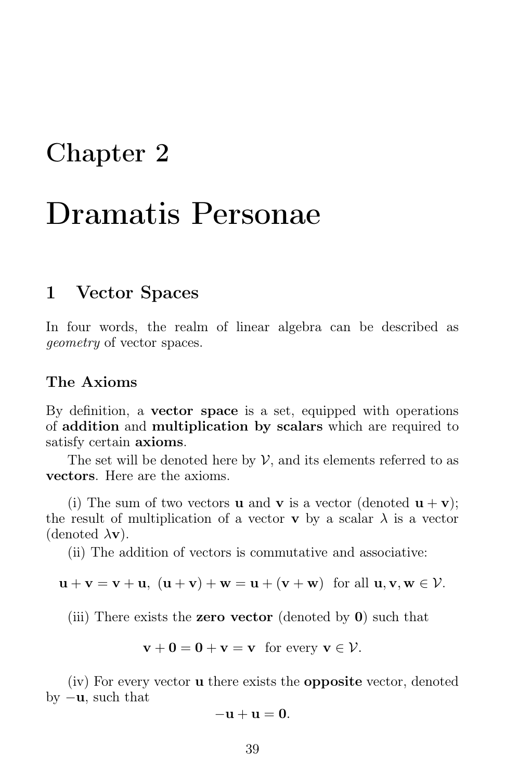# Chapter 2

# Dramatis Personae

### 1 Vector Spaces

In four words, the realm of linear algebra can be described as geometry of vector spaces.

### The Axioms

By definition, a vector space is a set, equipped with operations of addition and multiplication by scalars which are required to satisfy certain **axioms**.

The set will be denoted here by  $\mathcal V$ , and its elements referred to as vectors. Here are the axioms.

(i) The sum of two vectors **u** and **v** is a vector (denoted  $\mathbf{u} + \mathbf{v}$ ); the result of multiplication of a vector **v** by a scalar  $\lambda$  is a vector (denoted  $\lambda$ **v**).

(ii) The addition of vectors is commutative and associative:

$$
\mathbf{u} + \mathbf{v} = \mathbf{v} + \mathbf{u}, \ (\mathbf{u} + \mathbf{v}) + \mathbf{w} = \mathbf{u} + (\mathbf{v} + \mathbf{w}) \ \text{ for all } \mathbf{u}, \mathbf{v}, \mathbf{w} \in \mathcal{V}.
$$

(iii) There exists the **zero vector** (denoted by  $\mathbf{0}$ ) such that

$$
\mathbf{v} + \mathbf{0} = \mathbf{0} + \mathbf{v} = \mathbf{v} \quad \text{for every } \mathbf{v} \in \mathcal{V}.
$$

(iv) For every vector u there exists the opposite vector, denoted by  $-\mathbf{u}$ , such that

$$
-\mathbf{u}+\mathbf{u}=\mathbf{0}.
$$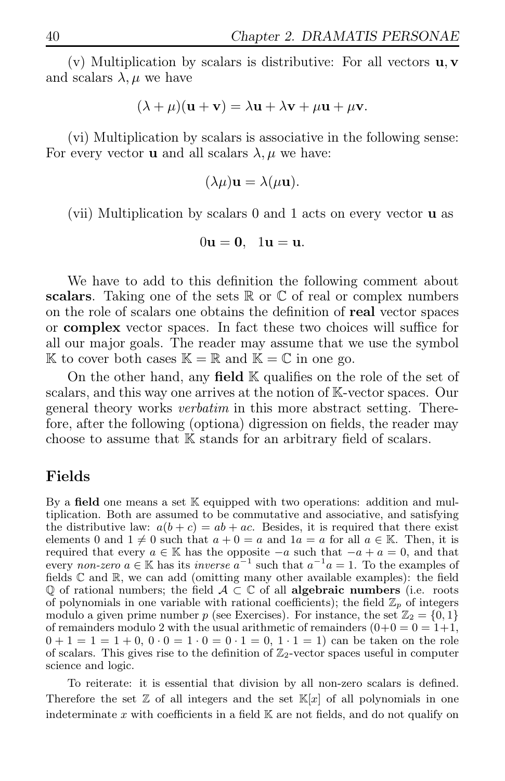(v) Multiplication by scalars is distributive: For all vectors  $\mathbf{u}, \mathbf{v}$ and scalars  $\lambda, \mu$  we have

$$
(\lambda + \mu)(\mathbf{u} + \mathbf{v}) = \lambda \mathbf{u} + \lambda \mathbf{v} + \mu \mathbf{u} + \mu \mathbf{v}.
$$

(vi) Multiplication by scalars is associative in the following sense: For every vector **u** and all scalars  $\lambda, \mu$  we have:

$$
(\lambda \mu) \mathbf{u} = \lambda(\mu \mathbf{u}).
$$

(vii) Multiplication by scalars 0 and 1 acts on every vector u as

$$
0\mathbf{u}=\mathbf{0}, \ \ 1\mathbf{u}=\mathbf{u}.
$$

We have to add to this definition the following comment about scalars. Taking one of the sets  $\mathbb R$  or  $\mathbb C$  of real or complex numbers on the role of scalars one obtains the definition of real vector spaces or complex vector spaces. In fact these two choices will suffice for all our major goals. The reader may assume that we use the symbol K to cover both cases  $\mathbb{K} = \mathbb{R}$  and  $\mathbb{K} = \mathbb{C}$  in one go.

On the other hand, any field  $\mathbb K$  qualifies on the role of the set of scalars, and this way one arrives at the notion of K-vector spaces. Our general theory works verbatim in this more abstract setting. Therefore, after the following (optiona) digression on fields, the reader may choose to assume that K stands for an arbitrary field of scalars.

### Fields

By a **field** one means a set  $K$  equipped with two operations: addition and multiplication. Both are assumed to be commutative and associative, and satisfying the distributive law:  $a(b + c) = ab + ac$ . Besides, it is required that there exist elements 0 and  $1 \neq 0$  such that  $a + 0 = a$  and  $1a = a$  for all  $a \in \mathbb{K}$ . Then, it is required that every  $a \in \mathbb{K}$  has the opposite  $-a$  such that  $-a + a = 0$ , and that every non-zero  $a \in \mathbb{K}$  has its *inverse*  $a^{-1}$  such that  $a^{-1}a = 1$ . To the examples of fields  $\mathbb C$  and  $\mathbb R$ , we can add (omitting many other available examples): the field Q of rational numbers; the field  $A \subset \mathbb{C}$  of all **algebraic numbers** (i.e. roots of polynomials in one variable with rational coefficients); the field  $\mathbb{Z}_p$  of integers modulo a given prime number p (see Exercises). For instance, the set  $\mathbb{Z}_2 = \{0, 1\}$ of remainders modulo 2 with the usual arithmetic of remainders  $(0+0=0=1+1,$  $0 + 1 = 1 = 1 + 0$ ,  $0 \cdot 0 = 1 \cdot 0 = 0 \cdot 1 = 0$ ,  $1 \cdot 1 = 1$  can be taken on the role of scalars. This gives rise to the definition of  $\mathbb{Z}_2$ -vector spaces useful in computer science and logic.

To reiterate: it is essential that division by all non-zero scalars is defined. Therefore the set  $\mathbb{Z}$  of all integers and the set  $\mathbb{K}[x]$  of all polynomials in one indeterminate x with coefficients in a field  $\mathbb K$  are not fields, and do not qualify on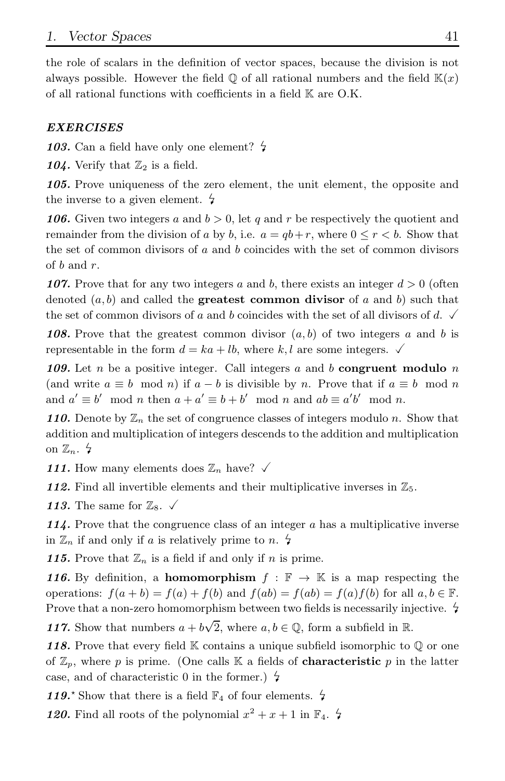the role of scalars in the definition of vector spaces, because the division is not always possible. However the field  $\mathbb{Q}$  of all rational numbers and the field  $\mathbb{K}(x)$ of all rational functions with coefficients in a field K are O.K.

#### *EXERCISES*

103. Can a field have only one element?  $\frac{1}{2}$ 

104. Verify that  $\mathbb{Z}_2$  is a field.

*105.* Prove uniqueness of the zero element, the unit element, the opposite and the inverse to a given element.  $\frac{1}{7}$ 

*106.* Given two integers a and  $b > 0$ , let q and r be respectively the quotient and remainder from the division of a by b, i.e.  $a = qb + r$ , where  $0 \le r \le b$ . Show that the set of common divisors of a and b coincides with the set of common divisors of  $b$  and  $r$ .

**107.** Prove that for any two integers a and b, there exists an integer  $d > 0$  (often denoted  $(a, b)$  and called the **greatest common divisor** of a and b) such that the set of common divisors of a and b coincides with the set of all divisors of d.  $\checkmark$ 

**108.** Prove that the greatest common divisor  $(a, b)$  of two integers a and b is representable in the form  $d = ka + lb$ , where k, l are some integers.  $\checkmark$ 

*109.* Let n be a positive integer. Call integers a and b congruent modulo n (and write  $a \equiv b \mod n$ ) if  $a - b$  is divisible by n. Prove that if  $a \equiv b \mod n$ and  $a' \equiv b' \mod n$  then  $a + a' \equiv b + b' \mod n$  and  $ab \equiv a'b' \mod n$ .

**110.** Denote by  $\mathbb{Z}_n$  the set of congruence classes of integers modulo n. Show that addition and multiplication of integers descends to the addition and multiplication on  $\mathbb{Z}_n$ .  $\frac{1}{2}$ 

111. How many elements does  $\mathbb{Z}_n$  have?  $\checkmark$ 

112. Find all invertible elements and their multiplicative inverses in  $\mathbb{Z}_5$ .

113. The same for  $\mathbb{Z}_8$ .  $\checkmark$ 

*114.* Prove that the congruence class of an integer a has a multiplicative inverse in  $\mathbb{Z}_n$  if and only if a is relatively prime to n.  $\sharp$ 

**115.** Prove that  $\mathbb{Z}_n$  is a field if and only if n is prime.

*116.* By definition, a **homomorphism**  $f : \mathbb{F} \to \mathbb{K}$  is a map respecting the operations:  $f(a + b) = f(a) + f(b)$  and  $f(ab) = f(ab) = f(a)f(b)$  for all  $a, b \in \mathbb{F}$ . Prove that a non-zero homomorphism between two fields is necessarily injective.  $\frac{1}{7}$ 117. Show that numbers  $a + b\sqrt{2}$ , where  $a, b \in \mathbb{Q}$ , form a subfield in  $\mathbb{R}$ .

118. Prove that every field K contains a unique subfield isomorphic to  $\mathbb Q$  or one of  $\mathbb{Z}_p$ , where p is prime. (One calls K a fields of **characteristic** p in the latter case, and of characteristic 0 in the former.)  $\frac{1}{2}$ 

119.<sup> $\star$ </sup> Show that there is a field  $\mathbb{F}_4$  of four elements.  $\sharp$ 

**120.** Find all roots of the polynomial  $x^2 + x + 1$  in  $\mathbb{F}_4$ .  $\sharp$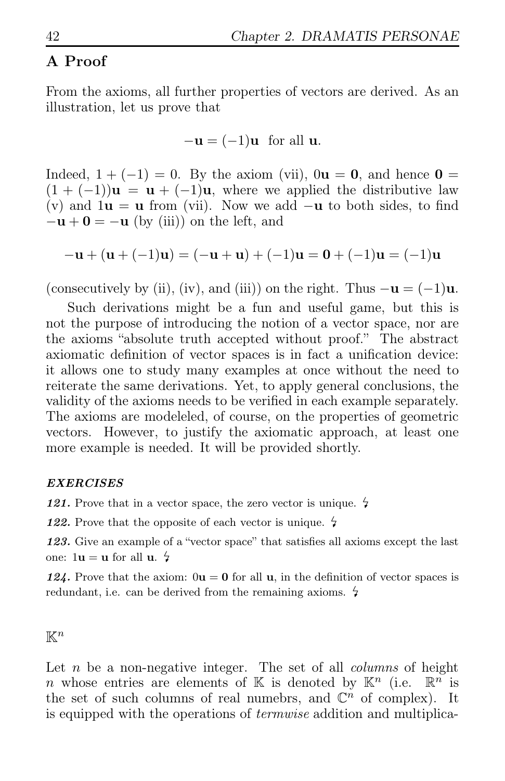### A Proof

From the axioms, all further properties of vectors are derived. As an illustration, let us prove that

$$
-\mathbf{u} = (-1)\mathbf{u} \text{ for all } \mathbf{u}.
$$

Indeed,  $1 + (-1) = 0$ . By the axiom (vii),  $0\mathbf{u} = \mathbf{0}$ , and hence  $\mathbf{0} =$  $(1 + (-1))\mathbf{u} = \mathbf{u} + (-1)\mathbf{u}$ , where we applied the distributive law (v) and  $1u = u$  from (vii). Now we add  $-u$  to both sides, to find  $-\mathbf{u} + \mathbf{0} = -\mathbf{u}$  (by (iii)) on the left, and

$$
-\mathbf{u} + (\mathbf{u} + (-1)\mathbf{u}) = (-\mathbf{u} + \mathbf{u}) + (-1)\mathbf{u} = \mathbf{0} + (-1)\mathbf{u} = (-1)\mathbf{u}
$$

(consecutively by (ii), (iv), and (iii)) on the right. Thus  $-\mathbf{u} = (-1)\mathbf{u}$ .

Such derivations might be a fun and useful game, but this is not the purpose of introducing the notion of a vector space, nor are the axioms "absolute truth accepted without proof." The abstract axiomatic definition of vector spaces is in fact a unification device: it allows one to study many examples at once without the need to reiterate the same derivations. Yet, to apply general conclusions, the validity of the axioms needs to be verified in each example separately. The axioms are modeleled, of course, on the properties of geometric vectors. However, to justify the axiomatic approach, at least one more example is needed. It will be provided shortly.

#### *EXERCISES*

121. Prove that in a vector space, the zero vector is unique.  $\frac{1}{2}$ 

122. Prove that the opposite of each vector is unique.  $\frac{1}{2}$ 

*123.* Give an example of a "vector space" that satisfies all axioms except the last one:  $1u = u$  for all  $u$ .  $\frac{1}{2}$ 

124. Prove that the axiom:  $0\mathbf{u} = \mathbf{0}$  for all  $\mathbf{u}$ , in the definition of vector spaces is redundant, i.e. can be derived from the remaining axioms.  $\frac{1}{2}$ 

 $\mathbb{K}^n$ 

Let  $n$  be a non-negative integer. The set of all *columns* of height n whose entries are elements of K is denoted by  $\mathbb{K}^n$  (i.e.  $\mathbb{R}^n$  is the set of such columns of real numebrs, and  $\mathbb{C}^n$  of complex). It is equipped with the operations of termwise addition and multiplica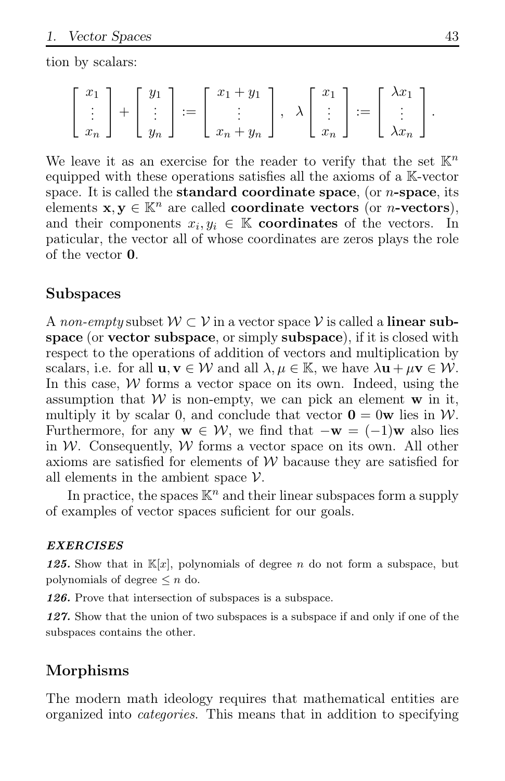tion by scalars:

$$
\begin{bmatrix} x_1 \\ \vdots \\ x_n \end{bmatrix} + \begin{bmatrix} y_1 \\ \vdots \\ y_n \end{bmatrix} := \begin{bmatrix} x_1 + y_1 \\ \vdots \\ x_n + y_n \end{bmatrix}, \quad \lambda \begin{bmatrix} x_1 \\ \vdots \\ x_n \end{bmatrix} := \begin{bmatrix} \lambda x_1 \\ \vdots \\ \lambda x_n \end{bmatrix}.
$$

We leave it as an exercise for the reader to verify that the set  $\mathbb{K}^n$ equipped with these operations satisfies all the axioms of a K-vector space. It is called the **standard coordinate space**, (or  $n$ -space, its elements  $\mathbf{x}, \mathbf{y} \in \mathbb{K}^n$  are called **coordinate vectors** (or *n*-**vectors**), and their components  $x_i, y_i \in \mathbb{K}$  coordinates of the vectors. In paticular, the vector all of whose coordinates are zeros plays the role of the vector 0.

### Subspaces

A non-empty subset  $W \subset V$  in a vector space V is called a **linear sub**space (or vector subspace, or simply subspace), if it is closed with respect to the operations of addition of vectors and multiplication by scalars, i.e. for all  $\mathbf{u}, \mathbf{v} \in \mathcal{W}$  and all  $\lambda, \mu \in \mathbb{K}$ , we have  $\lambda \mathbf{u} + \mu \mathbf{v} \in \mathcal{W}$ . In this case,  $W$  forms a vector space on its own. Indeed, using the assumption that  $W$  is non-empty, we can pick an element  $w$  in it, multiply it by scalar 0, and conclude that vector  $\mathbf{0} = 0\mathbf{w}$  lies in W. Furthermore, for any  $\mathbf{w} \in \mathcal{W}$ , we find that  $-\mathbf{w} = (-1)\mathbf{w}$  also lies in W. Consequently, W forms a vector space on its own. All other axioms are satisfied for elements of  $W$  bacause they are satisfied for all elements in the ambient space  $\mathcal V$ .

In practice, the spaces  $\mathbb{K}^n$  and their linear subspaces form a supply of examples of vector spaces suficient for our goals.

#### *EXERCISES*

**125.** Show that in  $\mathbb{K}[x]$ , polynomials of degree n do not form a subspace, but polynomials of degree  $\leq n$  do.

*126.* Prove that intersection of subspaces is a subspace.

*127.* Show that the union of two subspaces is a subspace if and only if one of the subspaces contains the other.

### Morphisms

The modern math ideology requires that mathematical entities are organized into categories. This means that in addition to specifying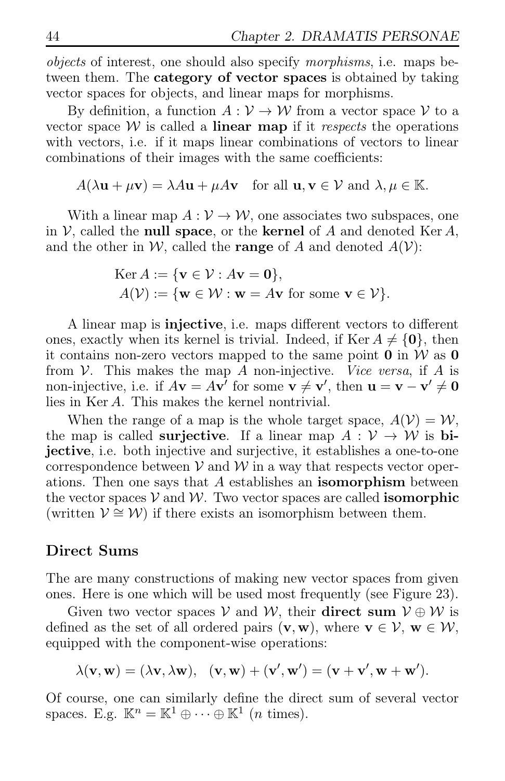objects of interest, one should also specify morphisms, i.e. maps between them. The **category of vector spaces** is obtained by taking vector spaces for objects, and linear maps for morphisms.

By definition, a function  $A: V \to W$  from a vector space V to a vector space  $W$  is called a **linear map** if it *respects* the operations with vectors, i.e. if it maps linear combinations of vectors to linear combinations of their images with the same coefficients:

 $A(\lambda \mathbf{u} + \mu \mathbf{v}) = \lambda A \mathbf{u} + \mu A \mathbf{v}$  for all  $\mathbf{u}, \mathbf{v} \in \mathcal{V}$  and  $\lambda, \mu \in \mathbb{K}$ .

With a linear map  $A: V \to W$ , one associates two subspaces, one in  $V$ , called the **null space**, or the **kernel** of A and denoted Ker A, and the other in W, called the **range** of A and denoted  $A(V)$ :

$$
\begin{aligned} \text{Ker } A &:= \{ \mathbf{v} \in \mathcal{V} : A\mathbf{v} = \mathbf{0} \}, \\ A(\mathcal{V}) &:= \{ \mathbf{w} \in \mathcal{W} : \mathbf{w} = A\mathbf{v} \text{ for some } \mathbf{v} \in \mathcal{V} \}. \end{aligned}
$$

A linear map is injective, i.e. maps different vectors to different ones, exactly when its kernel is trivial. Indeed, if Ker  $A \neq \{0\}$ , then it contains non-zero vectors mapped to the same point  $\mathbf{0}$  in W as  $\mathbf{0}$ from  $V$ . This makes the map A non-injective. Vice versa, if A is non-injective, i.e. if  $A\mathbf{v} = A\mathbf{v}'$  for some  $\mathbf{v} \neq \mathbf{v}'$ , then  $\mathbf{u} = \mathbf{v} - \mathbf{v}' \neq \mathbf{0}$ lies in Ker A. This makes the kernel nontrivial.

When the range of a map is the whole target space,  $A(V) = W$ , the map is called **surjective**. If a linear map  $A: V \rightarrow W$  is bijective, i.e. both injective and surjective, it establishes a one-to-one correspondence between  $V$  and  $W$  in a way that respects vector operations. Then one says that A establishes an isomorphism between the vector spaces  $V$  and  $W$ . Two vector spaces are called **isomorphic** (written  $\mathcal{V} \cong \mathcal{W}$ ) if there exists an isomorphism between them.

### Direct Sums

The are many constructions of making new vector spaces from given ones. Here is one which will be used most frequently (see Figure 23).

Given two vector spaces V and W, their direct sum  $V \oplus W$  is defined as the set of all ordered pairs  $(v, w)$ , where  $v \in V$ ,  $w \in W$ , equipped with the component-wise operations:

$$
\lambda(\mathbf{v},\mathbf{w})=(\lambda\mathbf{v},\lambda\mathbf{w}),\ \ (\mathbf{v},\mathbf{w})+(\mathbf{v}',\mathbf{w}')=(\mathbf{v}+\mathbf{v}',\mathbf{w}+\mathbf{w}').
$$

Of course, one can similarly define the direct sum of several vector spaces. E.g.  $\mathbb{K}^n = \mathbb{K}^1 \oplus \cdots \oplus \mathbb{K}^1$  (*n* times).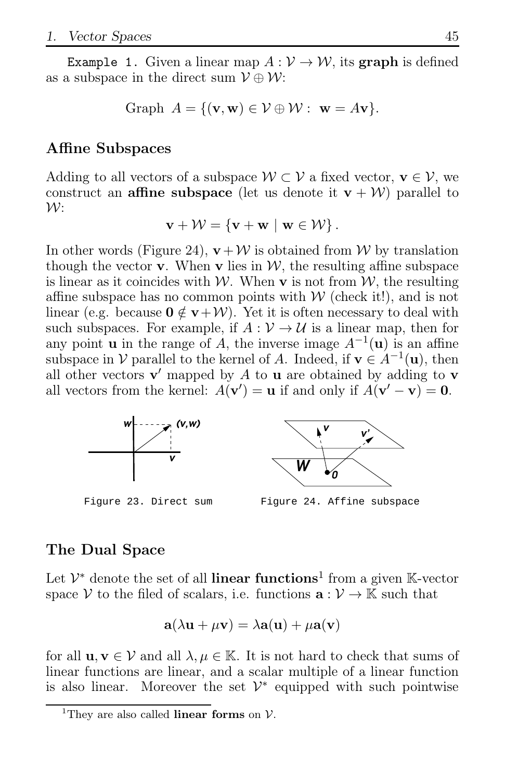**Example 1.** Given a linear map  $A: V \rightarrow W$ , its **graph** is defined as a subspace in the direct sum  $\mathcal{V} \oplus \mathcal{W}$ :

Graph 
$$
A = \{(\mathbf{v}, \mathbf{w}) \in \mathcal{V} \oplus \mathcal{W} : \mathbf{w} = A\mathbf{v}\}.
$$

### Affine Subspaces

Adding to all vectors of a subspace  $W \subset V$  a fixed vector,  $v \in V$ , we construct an **affine subspace** (let us denote it  $v + W$ ) parallel to  $\mathcal{W}$ :

$$
\mathbf{v} + \mathcal{W} = \{ \mathbf{v} + \mathbf{w} \mid \mathbf{w} \in \mathcal{W} \}.
$$

In other words (Figure 24),  $\mathbf{v} + \mathcal{W}$  is obtained from W by translation though the vector **v**. When **v** lies in  $W$ , the resulting affine subspace is linear as it coincides with W. When **v** is not from  $W$ , the resulting affine subspace has no common points with  $W$  (check it!), and is not linear (e.g. because  $0 \notin v+W$ ). Yet it is often necessary to deal with such subspaces. For example, if  $A: V \rightarrow U$  is a linear map, then for any point **u** in the range of A, the inverse image  $A^{-1}(\mathbf{u})$  is an affine subspace in  $V$  parallel to the kernel of A. Indeed, if  $\mathbf{v} \in A^{-1}(\mathbf{u})$ , then all other vectors  $\mathbf{v}'$  mapped by A to **u** are obtained by adding to **v** all vectors from the kernel:  $A(\mathbf{v}') = \mathbf{u}$  if and only if  $A(\mathbf{v}' - \mathbf{v}) = \mathbf{0}$ .



Figure 23. Direct sum

Figure 24. Affine subspace

### The Dual Space

Let  $\mathcal{V}^*$  denote the set of all linear functions<sup>1</sup> from a given K-vector space V to the filed of scalars, i.e. functions  $\mathbf{a}: \mathcal{V} \to \mathbb{K}$  such that

$$
\mathbf{a}(\lambda \mathbf{u} + \mu \mathbf{v}) = \lambda \mathbf{a}(\mathbf{u}) + \mu \mathbf{a}(\mathbf{v})
$$

for all  $\mathbf{u}, \mathbf{v} \in \mathcal{V}$  and all  $\lambda, \mu \in \mathbb{K}$ . It is not hard to check that sums of linear functions are linear, and a scalar multiple of a linear function is also linear. Moreover the set  $\mathcal{V}^*$  equipped with such pointwise

<sup>&</sup>lt;sup>1</sup>They are also called **linear forms** on  $V$ .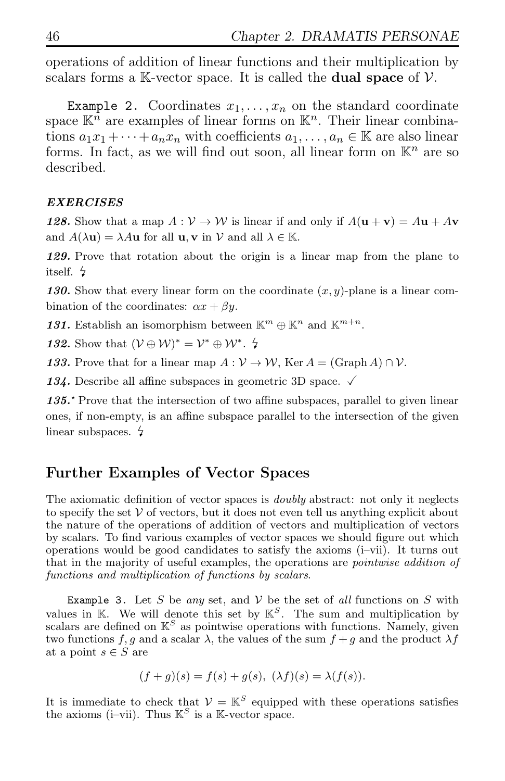operations of addition of linear functions and their multiplication by scalars forms a K-vector space. It is called the **dual space** of  $V$ .

Example 2. Coordinates  $x_1, \ldots, x_n$  on the standard coordinate space  $\mathbb{K}^n$  are examples of linear forms on  $\mathbb{K}^n$ . Their linear combinations  $a_1x_1 + \cdots + a_nx_n$  with coefficients  $a_1, \ldots, a_n \in \mathbb{K}$  are also linear forms. In fact, as we will find out soon, all linear form on  $\mathbb{K}^n$  are so described.

#### *EXERCISES*

*128.* Show that a map  $A: V \to W$  is linear if and only if  $A(\mathbf{u} + \mathbf{v}) = A\mathbf{u} + A\mathbf{v}$ and  $A(\lambda \mathbf{u}) = \lambda A \mathbf{u}$  for all  $\mathbf{u}, \mathbf{v}$  in V and all  $\lambda \in \mathbb{K}$ .

*129.* Prove that rotation about the origin is a linear map from the plane to itself.

130. Show that every linear form on the coordinate  $(x, y)$ -plane is a linear combination of the coordinates:  $\alpha x + \beta y$ .

131. Establish an isomorphism between  $\mathbb{K}^m \oplus \mathbb{K}^n$  and  $\mathbb{K}^{m+n}$ .

132. Show that  $(\mathcal{V} \oplus \mathcal{W})^* = \mathcal{V}^* \oplus \mathcal{W}^*$ .  $\sharp$ 

133. Prove that for a linear map  $A: V \to W$ , Ker  $A = (\text{Graph } A) \cap V$ .

134. Describe all affine subspaces in geometric 3D space.  $\sqrt{ }$ 

135<sup>\*</sup> Prove that the intersection of two affine subspaces, parallel to given linear ones, if non-empty, is an affine subspace parallel to the intersection of the given linear subspaces.  $\frac{1}{2}$ 

### Further Examples of Vector Spaces

The axiomatic definition of vector spaces is *doubly* abstract: not only it neglects to specify the set  $V$  of vectors, but it does not even tell us anything explicit about the nature of the operations of addition of vectors and multiplication of vectors by scalars. To find various examples of vector spaces we should figure out which operations would be good candidates to satisfy the axioms (i–vii). It turns out that in the majority of useful examples, the operations are *pointwise addition of* functions and multiplication of functions by scalars.

Example 3. Let S be any set, and  $V$  be the set of all functions on S with values in K. We will denote this set by  $\mathbb{K}^S$ . The sum and multiplication by scalars are defined on  $\mathbb{K}^S$  as pointwise operations with functions. Namely, given two functions f, g and a scalar  $\lambda$ , the values of the sum  $f + g$  and the product  $\lambda f$ at a point  $s \in S$  are

$$
(f+g)(s) = f(s) + g(s), \ (\lambda f)(s) = \lambda(f(s)).
$$

It is immediate to check that  $V = \mathbb{K}^S$  equipped with these operations satisfies the axioms (i–vii). Thus  $\mathbb{K}^S$  is a K-vector space.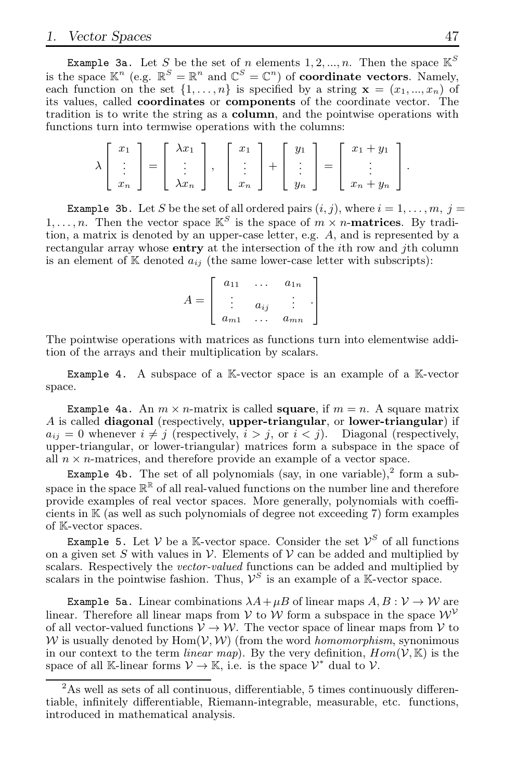**Example 3a.** Let  $S$  be the set of  $n$  elements  $1, 2, ..., n$ . Then the space  $\mathbb{K}^S$ is the space  $\mathbb{K}^n$  (e.g.  $\mathbb{R}^S = \mathbb{R}^n$  and  $\mathbb{C}^S = \mathbb{C}^n$ ) of coordinate vectors. Namely, each function on the set  $\{1, \ldots, n\}$  is specified by a string  $\mathbf{x} = (x_1, \ldots, x_n)$  of its values, called coordinates or components of the coordinate vector. The tradition is to write the string as a column, and the pointwise operations with functions turn into termwise operations with the columns:

$$
\lambda \left[ \begin{array}{c} x_1 \\ \vdots \\ x_n \end{array} \right] = \left[ \begin{array}{c} \lambda x_1 \\ \vdots \\ \lambda x_n \end{array} \right], \quad \left[ \begin{array}{c} x_1 \\ \vdots \\ x_n \end{array} \right] + \left[ \begin{array}{c} y_1 \\ \vdots \\ y_n \end{array} \right] = \left[ \begin{array}{c} x_1 + y_1 \\ \vdots \\ x_n + y_n \end{array} \right].
$$

**Example 3b.** Let S be the set of all ordered pairs  $(i, j)$ , where  $i = 1, \ldots, m, j =$  $1, \ldots, n$ . Then the vector space  $\mathbb{K}^S$  is the space of  $m \times n$ -**matrices**. By tradition, a matrix is denoted by an upper-case letter, e.g. A, and is represented by a rectangular array whose **entry** at the intersection of the *i*th row and *j*th column is an element of  $K$  denoted  $a_{ij}$  (the same lower-case letter with subscripts):

| $a_{11}$ |          | $a_{1n}$ |  |
|----------|----------|----------|--|
|          | $a_{ij}$ |          |  |
| $a_{m1}$ |          | $a_{mn}$ |  |

The pointwise operations with matrices as functions turn into elementwise addition of the arrays and their multiplication by scalars.

Example 4. A subspace of a K-vector space is an example of a K-vector space.

Example 4a. An  $m \times n$ -matrix is called square, if  $m = n$ . A square matrix A is called diagonal (respectively, upper-triangular, or lower-triangular) if  $a_{ij} = 0$  whenever  $i \neq j$  (respectively,  $i > j$ , or  $i < j$ ). Diagonal (respectively, upper-triangular, or lower-triangular) matrices form a subspace in the space of all  $n \times n$ -matrices, and therefore provide an example of a vector space.

Example 4b. The set of all polynomials (say, in one variable), $^2$  form a subspace in the space  $\mathbb{R}^{\mathbb{R}}$  of all real-valued functions on the number line and therefore provide examples of real vector spaces. More generally, polynomials with coefficients in K (as well as such polynomials of degree not exceeding 7) form examples of K-vector spaces.

Example 5. Let  $V$  be a K-vector space. Consider the set  $V^S$  of all functions on a given set S with values in V. Elements of V can be added and multiplied by scalars. Respectively the *vector-valued* functions can be added and multiplied by scalars in the pointwise fashion. Thus,  $\mathcal{V}^S$  is an example of a K-vector space.

Example 5a. Linear combinations  $\lambda A + \mu B$  of linear maps  $A, B: V \to W$  are linear. Therefore all linear maps from V to W form a subspace in the space  $W^{\mathcal{V}}$ of all vector-valued functions  $V \to W$ . The vector space of linear maps from V to W is usually denoted by  $\text{Hom}(\mathcal{V}, \mathcal{W})$  (from the word *homomorphism*, synonimous in our context to the term *linear map*). By the very definition,  $Hom(V, K)$  is the space of all K-linear forms  $V \to \mathbb{K}$ , i.e. is the space  $V^*$  dual to  $V$ .

 $2<sup>2</sup>$ As well as sets of all continuous, differentiable, 5 times continuously differentiable, infinitely differentiable, Riemann-integrable, measurable, etc. functions, introduced in mathematical analysis.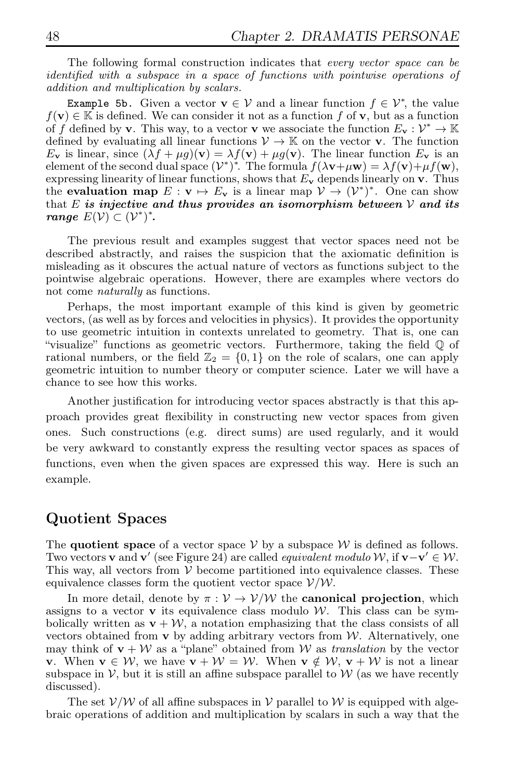The following formal construction indicates that every vector space can be identified with a subspace in a space of functions with pointwise operations of addition and multiplication by scalars.

Example 5b. Given a vector  $\mathbf{v} \in \mathcal{V}$  and a linear function  $f \in \mathcal{V}^*$ , the value  $f(\mathbf{v}) \in \mathbb{K}$  is defined. We can consider it not as a function f of **v**, but as a function of f defined by **v**. This way, to a vector **v** we associate the function  $E_v : \mathcal{V}^* \to \mathbb{K}$ defined by evaluating all linear functions  $V \to \mathbb{K}$  on the vector **v**. The function  $E_{\mathbf{v}}$  is linear, since  $(\lambda f + \mu g)(\mathbf{v}) = \lambda f(\mathbf{v}) + \mu g(\mathbf{v})$ . The linear function  $E_{\mathbf{v}}$  is an element of the second dual space  $(\mathcal{V}^*)^*$ . The formula  $f(\lambda \mathbf{v} + \mu \mathbf{w}) = \lambda f(\mathbf{v}) + \mu f(\mathbf{w})$ , expressing linearity of linear functions, shows that  $E_{\mathbf{v}}$  depends linearly on  $\mathbf{v}$ . Thus the **evaluation map**  $E: \mathbf{v} \mapsto E_{\mathbf{v}}$  is a linear map  $\mathcal{V} \to (\mathcal{V}^*)^*$ . One can show that E *is injective and thus provides an isomorphism between* V *and its range*  $E(\mathcal{V}) \subset (\mathcal{V}^*)^*$ .

The previous result and examples suggest that vector spaces need not be described abstractly, and raises the suspicion that the axiomatic definition is misleading as it obscures the actual nature of vectors as functions subject to the pointwise algebraic operations. However, there are examples where vectors do not come naturally as functions.

Perhaps, the most important example of this kind is given by geometric vectors, (as well as by forces and velocities in physics). It provides the opportunity to use geometric intuition in contexts unrelated to geometry. That is, one can "visualize" functions as geometric vectors. Furthermore, taking the field Q of rational numbers, or the field  $\mathbb{Z}_2 = \{0, 1\}$  on the role of scalars, one can apply geometric intuition to number theory or computer science. Later we will have a chance to see how this works.

Another justification for introducing vector spaces abstractly is that this approach provides great flexibility in constructing new vector spaces from given ones. Such constructions (e.g. direct sums) are used regularly, and it would be very awkward to constantly express the resulting vector spaces as spaces of functions, even when the given spaces are expressed this way. Here is such an example.

### Quotient Spaces

The quotient space of a vector space  $V$  by a subspace  $W$  is defined as follows. Two vectors v and v' (see Figure 24) are called *equivalent modulo W*, if v−v'  $\in \mathcal{W}$ . This way, all vectors from  $V$  become partitioned into equivalence classes. These equivalence classes form the quotient vector space  $V/W$ .

In more detail, denote by  $\pi : V \to V/W$  the **canonical projection**, which assigns to a vector  $\bf{v}$  its equivalence class modulo W. This class can be symbolically written as  $\mathbf{v} + \mathcal{W}$ , a notation emphasizing that the class consists of all vectors obtained from  $\bf{v}$  by adding arbitrary vectors from  $\mathcal{W}$ . Alternatively, one may think of  $\mathbf{v} + \mathcal{W}$  as a "plane" obtained from W as translation by the vector **v**. When  $\mathbf{v} \in \mathcal{W}$ , we have  $\mathbf{v} + \mathcal{W} = \mathcal{W}$ . When  $\mathbf{v} \notin \mathcal{W}$ ,  $\mathbf{v} + \mathcal{W}$  is not a linear subspace in  $\mathcal{V}$ , but it is still an affine subspace parallel to  $\mathcal{W}$  (as we have recently discussed).

The set  $V/W$  of all affine subspaces in V parallel to W is equipped with algebraic operations of addition and multiplication by scalars in such a way that the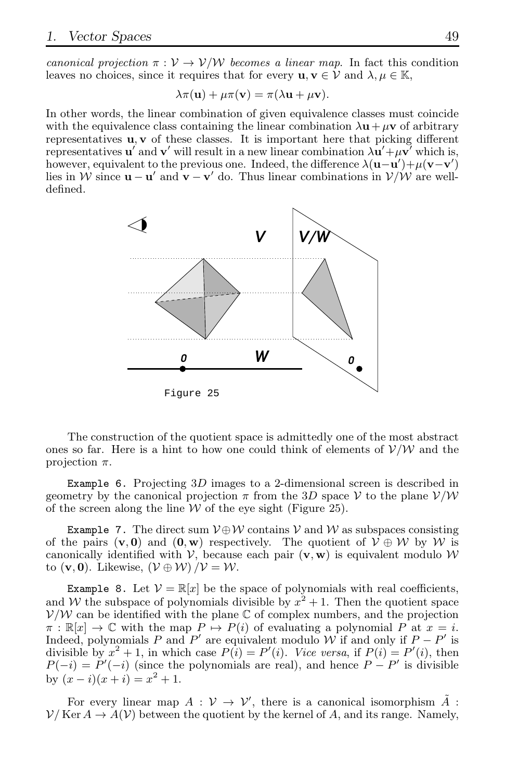canonical projection  $\pi : V \to V/W$  becomes a linear map. In fact this condition leaves no choices, since it requires that for every  $\mathbf{u}, \mathbf{v} \in \mathcal{V}$  and  $\lambda, \mu \in \mathbb{K}$ ,

$$
\lambda \pi(\mathbf{u}) + \mu \pi(\mathbf{v}) = \pi(\lambda \mathbf{u} + \mu \mathbf{v}).
$$

In other words, the linear combination of given equivalence classes must coincide with the equivalence class containing the linear combination  $\lambda \mathbf{u} + \mu \mathbf{v}$  of arbitrary representatives  $\mathbf{u}, \mathbf{v}$  of these classes. It is important here that picking different representatives  $\mathbf{u}'$  and  $\mathbf{v}'$  will result in a new linear combination  $\lambda \mathbf{u}' + \mu \mathbf{v}'$  which is, however, equivalent to the previous one. Indeed, the difference  $\lambda(\mathbf{u}-\mathbf{u}')+\mu(\mathbf{v}-\mathbf{v}')$ lies in W since  $\mathbf{u} - \mathbf{u}'$  and  $\mathbf{v} - \mathbf{v}'$  do. Thus linear combinations in  $V/W$  are welldefined.



The construction of the quotient space is admittedly one of the most abstract ones so far. Here is a hint to how one could think of elements of  $V/W$  and the projection  $\pi$ .

Example 6. Projecting 3D images to a 2-dimensional screen is described in geometry by the canonical projection  $\pi$  from the 3D space V to the plane  $V/W$ of the screen along the line  $W$  of the eye sight (Figure 25).

Example 7. The direct sum  $V \oplus W$  contains V and W as subspaces consisting of the pairs  $(v, 0)$  and  $(0, w)$  respectively. The quotient of  $V \oplus W$  by W is canonically identified with  $V$ , because each pair  $(v, w)$  is equivalent modulo W to  $(\mathbf{v}, \mathbf{0})$ . Likewise,  $(\mathcal{V} \oplus \mathcal{W}) / \mathcal{V} = \mathcal{W}$ .

**Example 8.** Let  $V = \mathbb{R}[x]$  be the space of polynomials with real coefficients, and W the subspace of polynomials divisible by  $x^2 + 1$ . Then the quotient space  $V/W$  can be identified with the plane  $\mathbb C$  of complex numbers, and the projection  $\pi : \mathbb{R}[x] \to \mathbb{C}$  with the map  $P \mapsto P(i)$  of evaluating a polynomial P at  $x = i$ . Indeed, polynomials P and  $P'$  are equivalent modulo W if and only if  $P - P'$  is divisible by  $x^2 + 1$ , in which case  $P(i) = P'(i)$ . Vice versa, if  $P(i) = P'(i)$ , then  $P(-i) = P'(-i)$  (since the polynomials are real), and hence  $P - P'$  is divisible by  $(x - i)(x + i) = x^2 + 1$ .

For every linear map  $A: V \to V'$ , there is a canonical isomorphism  $\tilde{A}$ :  $\mathcal{V}/$  Ker  $A \to A(\mathcal{V})$  between the quotient by the kernel of A, and its range. Namely,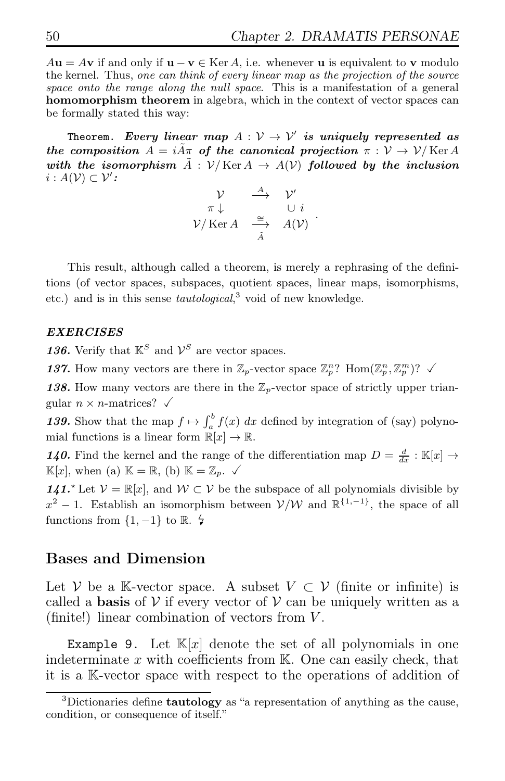$A\mathbf{u} = A\mathbf{v}$  if and only if  $\mathbf{u} - \mathbf{v} \in \text{Ker } A$ , i.e. whenever **u** is equivalent to **v** modulo the kernel. Thus, one can think of every linear map as the projection of the source space onto the range along the null space. This is a manifestation of a general homomorphism theorem in algebra, which in the context of vector spaces can be formally stated this way:

Theorem. *Every linear map*  $A: V \rightarrow V'$  *is uniquely represented as the composition*  $A = iA\pi$  *of the canonical projection*  $\pi : V \to V/Ker A$ with the isomorphism  $\tilde{A}$  :  $V/Ker A \rightarrow A(V)$  followed by the inclusion  $i: A(\mathcal{V}) \subset \mathcal{V}'$ :

$$
\begin{array}{ccc}\n\mathcal{V} & \xrightarrow{A} & \mathcal{V}' \\
\pi \downarrow & & \cup i \\
\mathcal{V}/\operatorname{Ker} A & \xrightarrow{\cong} & A(\mathcal{V})\n\end{array}.
$$

This result, although called a theorem, is merely a rephrasing of the definitions (of vector spaces, subspaces, quotient spaces, linear maps, isomorphisms, etc.) and is in this sense *tautological*,<sup>3</sup> void of new knowledge.

#### *EXERCISES*

**136.** Verify that  $\mathbb{K}^S$  and  $\mathcal{V}^S$  are vector spaces.

137. How many vectors are there in  $\mathbb{Z}_p$ -vector space  $\mathbb{Z}_p^n$ ? Hom $(\mathbb{Z}_p^n, \mathbb{Z}_p^m)$ ?  $\checkmark$ 

138. How many vectors are there in the  $\mathbb{Z}_p$ -vector space of strictly upper triangular  $n \times n$ -matrices?  $\checkmark$ 

139. Show that the map  $f \mapsto \int_a^b f(x) dx$  defined by integration of (say) polynomial functions is a linear form  $\mathbb{R}[x] \to \mathbb{R}$ .

**140.** Find the kernel and the range of the differentiation map  $D = \frac{d}{dx} : \mathbb{K}[x] \to$  $\mathbb{K}[x]$ , when (a)  $\mathbb{K} = \mathbb{R}$ , (b)  $\mathbb{K} = \mathbb{Z}_p$ .  $\checkmark$ 

*141.<sup>★</sup>* Let  $V = \mathbb{R}[x]$ , and  $W \subset V$  be the subspace of all polynomials divisible by  $x^2 - 1$ . Establish an isomorphism between  $\mathcal{V}/\mathcal{W}$  and  $\mathbb{R}^{\{1,-1\}}$ , the space of all functions from  $\{1, -1\}$  to  $\mathbb{R}$ .  $\sharp$ 

### Bases and Dimension

Let V be a K-vector space. A subset  $V \subset V$  (finite or infinite) is called a **basis** of  $V$  if every vector of  $V$  can be uniquely written as a (finite!) linear combination of vectors from V .

Example 9. Let  $\mathbb{K}[x]$  denote the set of all polynomials in one indeterminate  $x$  with coefficients from  $K$ . One can easily check, that it is a K-vector space with respect to the operations of addition of

<sup>&</sup>lt;sup>3</sup>Dictionaries define **tautology** as "a representation of anything as the cause, condition, or consequence of itself."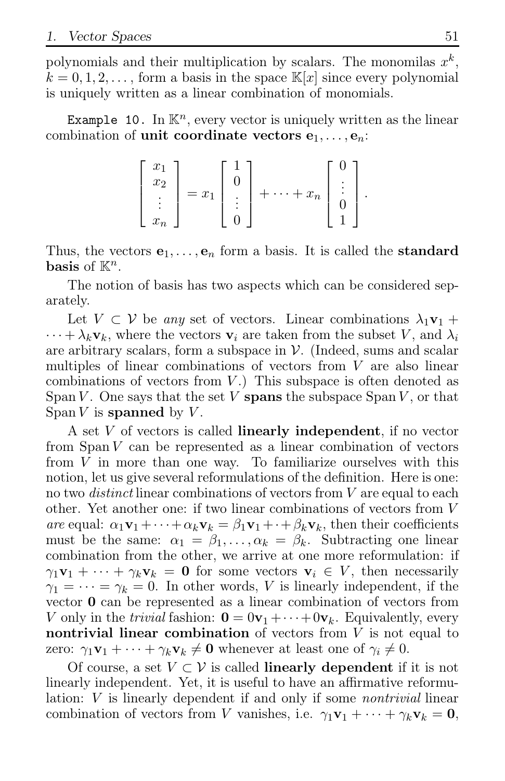polynomials and their multiplication by scalars. The monomilas  $x^k$ ,  $k = 0, 1, 2, \ldots$ , form a basis in the space  $\mathbb{K}[x]$  since every polynomial is uniquely written as a linear combination of monomials.

Example 10. In  $\mathbb{K}^n$ , every vector is uniquely written as the linear combination of unit coordinate vectors  $e_1, \ldots, e_n$ :

$$
\begin{bmatrix} x_1 \\ x_2 \\ \vdots \\ x_n \end{bmatrix} = x_1 \begin{bmatrix} 1 \\ 0 \\ \vdots \\ 0 \end{bmatrix} + \dots + x_n \begin{bmatrix} 0 \\ \vdots \\ 0 \\ 1 \end{bmatrix}.
$$

Thus, the vectors  $e_1, \ldots, e_n$  form a basis. It is called the **standard** basis of  $\mathbb{K}^n$ .

The notion of basis has two aspects which can be considered separately.

Let  $V \subset V$  be any set of vectors. Linear combinations  $\lambda_1 \mathbf{v}_1 +$  $\cdots + \lambda_k \mathbf{v}_k$ , where the vectors  $\mathbf{v}_i$  are taken from the subset V, and  $\lambda_i$ are arbitrary scalars, form a subspace in  $\mathcal V$ . (Indeed, sums and scalar multiples of linear combinations of vectors from V are also linear combinations of vectors from  $V$ .) This subspace is often denoted as Span  $V$ . One says that the set  $V$  spans the subspace Span  $V$ , or that Span  $V$  is spanned by  $V$ .

A set V of vectors is called **linearly independent**, if no vector from  $Span V$  can be represented as a linear combination of vectors from V in more than one way. To familiarize ourselves with this notion, let us give several reformulations of the definition. Here is one: no two *distinct* linear combinations of vectors from V are equal to each other. Yet another one: if two linear combinations of vectors from V are equal:  $\alpha_1 \mathbf{v}_1 + \cdots + \alpha_k \mathbf{v}_k = \beta_1 \mathbf{v}_1 + \cdots + \beta_k \mathbf{v}_k$ , then their coefficients must be the same:  $\alpha_1 = \beta_1, \ldots, \alpha_k = \beta_k$ . Subtracting one linear combination from the other, we arrive at one more reformulation: if  $\gamma_1\mathbf{v}_1 + \cdots + \gamma_k\mathbf{v}_k = \mathbf{0}$  for some vectors  $\mathbf{v}_i \in V$ , then necessarily  $\gamma_1 = \cdots = \gamma_k = 0$ . In other words, V is linearly independent, if the vector 0 can be represented as a linear combination of vectors from V only in the *trivial* fashion:  $\mathbf{0} = 0\mathbf{v}_1 + \cdots + 0\mathbf{v}_k$ . Equivalently, every nontrivial linear combination of vectors from  $V$  is not equal to zero:  $\gamma_1 \mathbf{v}_1 + \cdots + \gamma_k \mathbf{v}_k \neq \mathbf{0}$  whenever at least one of  $\gamma_i \neq 0$ .

Of course, a set  $V \subset V$  is called **linearly dependent** if it is not linearly independent. Yet, it is useful to have an affirmative reformulation: V is linearly dependent if and only if some *nontrivial* linear combination of vectors from V vanishes, i.e.  $\gamma_1 \mathbf{v}_1 + \cdots + \gamma_k \mathbf{v}_k = \mathbf{0}$ ,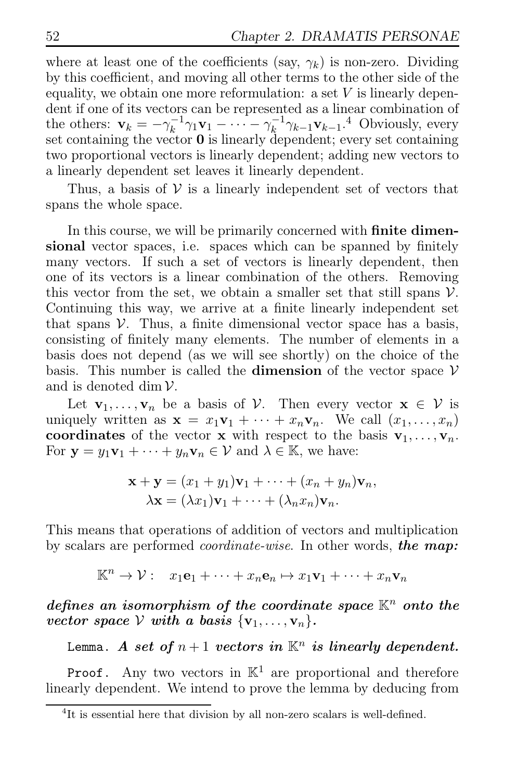where at least one of the coefficients (say,  $\gamma_k$ ) is non-zero. Dividing by this coefficient, and moving all other terms to the other side of the equality, we obtain one more reformulation: a set  $V$  is linearly dependent if one of its vectors can be represented as a linear combination of the others:  $\mathbf{v}_k = -\gamma_k^{-1}\gamma_1\mathbf{v}_1 - \cdots - \gamma_k^{-1}\gamma_{k-1}\mathbf{v}_{k-1}$ .<sup>4</sup> Obviously, every set containing the vector 0 is linearly dependent; every set containing two proportional vectors is linearly dependent; adding new vectors to a linearly dependent set leaves it linearly dependent.

Thus, a basis of  $V$  is a linearly independent set of vectors that spans the whole space.

In this course, we will be primarily concerned with **finite dimen**sional vector spaces, i.e. spaces which can be spanned by finitely many vectors. If such a set of vectors is linearly dependent, then one of its vectors is a linear combination of the others. Removing this vector from the set, we obtain a smaller set that still spans  $V$ . Continuing this way, we arrive at a finite linearly independent set that spans  $V$ . Thus, a finite dimensional vector space has a basis, consisting of finitely many elements. The number of elements in a basis does not depend (as we will see shortly) on the choice of the basis. This number is called the **dimension** of the vector space  $V$ and is denoted dim  $\mathcal{V}$ .

Let  $\mathbf{v}_1, \ldots, \mathbf{v}_n$  be a basis of  $\mathcal{V}$ . Then every vector  $\mathbf{x} \in \mathcal{V}$  is uniquely written as  $\mathbf{x} = x_1 \mathbf{v}_1 + \cdots + x_n \mathbf{v}_n$ . We call  $(x_1, \ldots, x_n)$ coordinates of the vector **x** with respect to the basis  $\mathbf{v}_1, \ldots, \mathbf{v}_n$ . For  $y = y_1v_1 + \cdots + y_nv_n \in V$  and  $\lambda \in K$ , we have:

$$
\mathbf{x} + \mathbf{y} = (x_1 + y_1)\mathbf{v}_1 + \dots + (x_n + y_n)\mathbf{v}_n,
$$
  

$$
\lambda \mathbf{x} = (\lambda x_1)\mathbf{v}_1 + \dots + (\lambda_n x_n)\mathbf{v}_n.
$$

This means that operations of addition of vectors and multiplication by scalars are performed coordinate-wise. In other words, *the map:*

$$
\mathbb{K}^n \to \mathcal{V}: \quad x_1\mathbf{e}_1 + \cdots + x_n\mathbf{e}_n \mapsto x_1\mathbf{v}_1 + \cdots + x_n\mathbf{v}_n
$$

*defines an isomorphism of the coordinate space*  $\mathbb{K}^n$  *onto the vector space*  $V$  *with a basis*  $\{v_1, \ldots, v_n\}$ *.* 

Lemma. *A set of*  $n+1$  *vectors in*  $\mathbb{K}^n$  *is linearly dependent.* 

**Proof.** Any two vectors in  $\mathbb{K}^1$  are proportional and therefore linearly dependent. We intend to prove the lemma by deducing from

<sup>4</sup> It is essential here that division by all non-zero scalars is well-defined.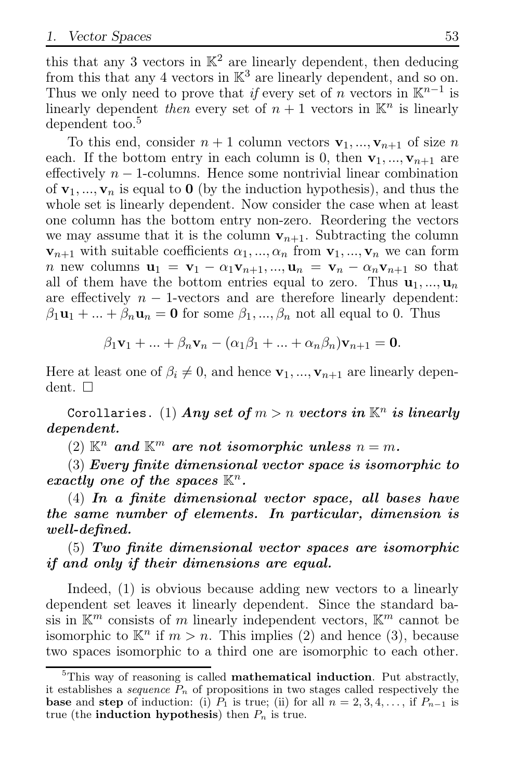this that any 3 vectors in  $\mathbb{K}^2$  are linearly dependent, then deducing from this that any 4 vectors in  $\mathbb{K}^3$  are linearly dependent, and so on. Thus we only need to prove that if every set of n vectors in  $\mathbb{K}^{n-1}$  is linearly dependent then every set of  $n+1$  vectors in  $\mathbb{K}^n$  is linearly dependent too.<sup>5</sup>

To this end, consider  $n + 1$  column vectors  $v_1, ..., v_{n+1}$  of size n each. If the bottom entry in each column is 0, then  $v_1, ..., v_{n+1}$  are effectively  $n-1$ -columns. Hence some nontrivial linear combination of  $\mathbf{v}_1, \ldots, \mathbf{v}_n$  is equal to 0 (by the induction hypothesis), and thus the whole set is linearly dependent. Now consider the case when at least one column has the bottom entry non-zero. Reordering the vectors we may assume that it is the column  $v_{n+1}$ . Subtracting the column  ${\bf v}_{n+1}$  with suitable coefficients  $\alpha_1, ..., \alpha_n$  from  ${\bf v}_1, ..., {\bf v}_n$  we can form n new columns  $\mathbf{u}_1 = \mathbf{v}_1 - \alpha_1 \mathbf{v}_{n+1}, \dots, \mathbf{u}_n = \mathbf{v}_n - \alpha_n \mathbf{v}_{n+1}$  so that all of them have the bottom entries equal to zero. Thus  $\mathbf{u}_1, ..., \mathbf{u}_n$ are effectively  $n - 1$ -vectors and are therefore linearly dependent:  $\beta_1\mathbf{u}_1 + \dots + \beta_n\mathbf{u}_n = \mathbf{0}$  for some  $\beta_1, \dots, \beta_n$  not all equal to 0. Thus

$$
\beta_1 \mathbf{v}_1 + \ldots + \beta_n \mathbf{v}_n - (\alpha_1 \beta_1 + \ldots + \alpha_n \beta_n) \mathbf{v}_{n+1} = \mathbf{0}.
$$

Here at least one of  $\beta_i \neq 0$ , and hence  $\mathbf{v}_1, ..., \mathbf{v}_{n+1}$  are linearly dependent.  $\square$ 

Corollaries.  $(1)$   $\boldsymbol{Any}$  set of  $m > n$   $\boldsymbol{v}$ ectors  $\boldsymbol{in}$   $\mathbb{K}^n$   $\boldsymbol{is}$   $\boldsymbol{linearly}$ *dependent.*

 $(2)$   $\mathbb{K}^n$  *and*  $\mathbb{K}^m$  *are not isomorphic unless*  $n = m$ *.* 

(3) *Every finite dimensional vector space is isomorphic to exactly one of the spaces*  $\mathbb{K}^n$ *.* 

(4) *In a finite dimensional vector space, all bases have the same number of elements. In particular, dimension is well-defined.*

(5) *Two finite dimensional vector spaces are isomorphic if and only if their dimensions are equal.*

Indeed, (1) is obvious because adding new vectors to a linearly dependent set leaves it linearly dependent. Since the standard basis in  $\mathbb{K}^m$  consists of m linearly independent vectors,  $\mathbb{K}^m$  cannot be isomorphic to  $\mathbb{K}^n$  if  $m > n$ . This implies (2) and hence (3), because two spaces isomorphic to a third one are isomorphic to each other.

 ${}^{5}$ This way of reasoning is called **mathematical induction**. Put abstractly, it establishes a *sequence*  $P_n$  of propositions in two stages called respectively the **base** and **step** of induction: (i)  $P_1$  is true; (ii) for all  $n = 2, 3, 4, \ldots$ , if  $P_{n-1}$  is true (the **induction hypothesis**) then  $P_n$  is true.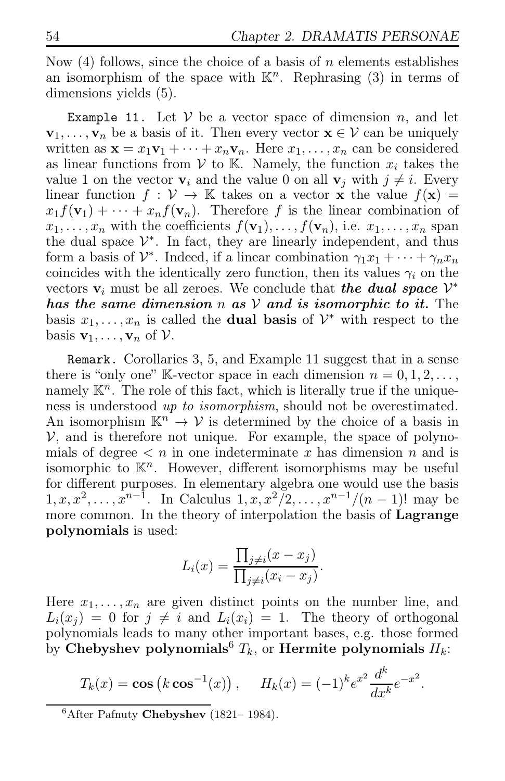Now (4) follows, since the choice of a basis of n elements establishes an isomorphism of the space with  $\mathbb{K}^n$ . Rephrasing (3) in terms of dimensions yields (5).

Example 11. Let  $V$  be a vector space of dimension n, and let  $\mathbf{v}_1, \ldots, \mathbf{v}_n$  be a basis of it. Then every vector  $\mathbf{x} \in \mathcal{V}$  can be uniquely written as  $\mathbf{x} = x_1 \mathbf{v}_1 + \cdots + x_n \mathbf{v}_n$ . Here  $x_1, \ldots, x_n$  can be considered as linear functions from  $V$  to K. Namely, the function  $x_i$  takes the value 1 on the vector  $v_i$  and the value 0 on all  $v_j$  with  $j \neq i$ . Every linear function  $f: V \to \mathbb{K}$  takes on a vector x the value  $f(x) =$  $x_1f(\mathbf{v}_1) + \cdots + x_nf(\mathbf{v}_n)$ . Therefore f is the linear combination of  $x_1, \ldots, x_n$  with the coefficients  $f(\mathbf{v}_1), \ldots, f(\mathbf{v}_n)$ , i.e.  $x_1, \ldots, x_n$  span the dual space  $\mathcal{V}^*$ . In fact, they are linearly independent, and thus form a basis of  $\mathcal{V}^*$ . Indeed, if a linear combination  $\gamma_1 x_1 + \cdots + \gamma_n x_n$ coincides with the identically zero function, then its values  $\gamma_i$  on the vectors  $\mathbf{v}_i$  must be all zeroes. We conclude that *the dual space*  $\mathcal{V}^*$ *has the same dimension* n *as* V *and is isomorphic to it.* The basis  $x_1, \ldots, x_n$  is called the **dual basis** of  $\mathcal{V}^*$  with respect to the basis  $\mathbf{v}_1, \ldots, \mathbf{v}_n$  of  $\mathcal{V}$ .

Remark. Corollaries 3, 5, and Example 11 suggest that in a sense there is "only one" K-vector space in each dimension  $n = 0, 1, 2, \ldots$ , namely  $\mathbb{K}^n$ . The role of this fact, which is literally true if the uniqueness is understood up to isomorphism, should not be overestimated. An isomorphism  $\mathbb{K}^n \to \mathcal{V}$  is determined by the choice of a basis in  $V$ , and is therefore not unique. For example, the space of polynomials of degree  $\langle n \rangle$  in one indeterminate x has dimension n and is isomorphic to  $K<sup>n</sup>$ . However, different isomorphisms may be useful for different purposes. In elementary algebra one would use the basis  $1, x, x^2, \ldots, x^{n-1}$ . In Calculus  $1, x, x^2/2, \ldots, x^{n-1}/(n-1)!$  may be more common. In the theory of interpolation the basis of Lagrange polynomials is used:

$$
L_i(x) = \frac{\prod_{j \neq i} (x - x_j)}{\prod_{j \neq i} (x_i - x_j)}.
$$

Here  $x_1, \ldots, x_n$  are given distinct points on the number line, and  $L_i(x_i) = 0$  for  $j \neq i$  and  $L_i(x_i) = 1$ . The theory of orthogonal polynomials leads to many other important bases, e.g. those formed by Chebyshev polynomials<sup>6</sup>  $T_k$ , or Hermite polynomials  $H_k$ :

$$
T_k(x) = \cos (k \cos^{-1}(x)), \quad H_k(x) = (-1)^k e^{x^2} \frac{d^k}{dx^k} e^{-x^2}.
$$

<sup>&</sup>lt;sup>6</sup>After Pafnuty Chebyshev (1821-1984).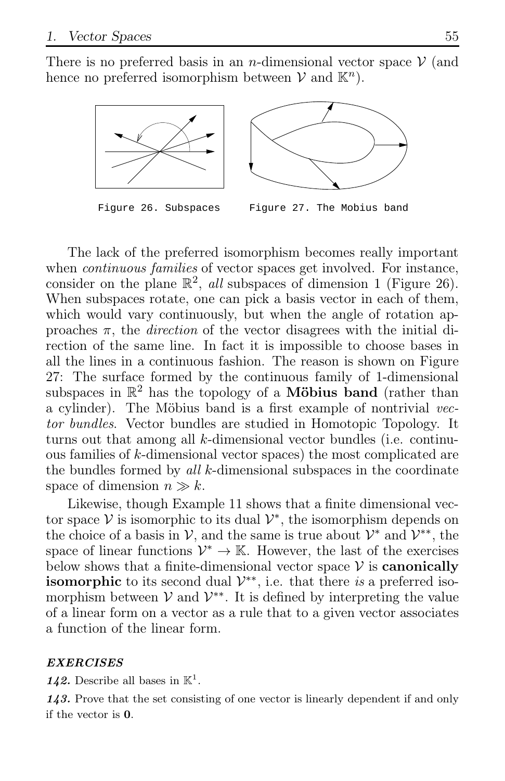There is no preferred basis in an *n*-dimensional vector space  $\mathcal V$  (and hence no preferred isomorphism between  $V$  and  $\mathbb{K}^n$ ).



Figure 26. Subspaces Figure 27. The Mobius band

The lack of the preferred isomorphism becomes really important when *continuous families* of vector spaces get involved. For instance, consider on the plane  $\mathbb{R}^2$ , all subspaces of dimension 1 (Figure 26). When subspaces rotate, one can pick a basis vector in each of them, which would vary continuously, but when the angle of rotation approaches  $\pi$ , the *direction* of the vector disagrees with the initial direction of the same line. In fact it is impossible to choose bases in all the lines in a continuous fashion. The reason is shown on Figure 27: The surface formed by the continuous family of 1-dimensional subspaces in  $\mathbb{R}^2$  has the topology of a **Möbius band** (rather than a cylinder). The Möbius band is a first example of nontrivial vector bundles. Vector bundles are studied in Homotopic Topology. It turns out that among all  $k$ -dimensional vector bundles (i.e. continuous families of k-dimensional vector spaces) the most complicated are the bundles formed by all  $k$ -dimensional subspaces in the coordinate space of dimension  $n \gg k$ .

Likewise, though Example 11 shows that a finite dimensional vector space  $V$  is isomorphic to its dual  $V^*$ , the isomorphism depends on the choice of a basis in  $\mathcal{V}$ , and the same is true about  $\mathcal{V}^*$  and  $\mathcal{V}^{**}$ , the space of linear functions  $\mathcal{V}^* \to \mathbb{K}$ . However, the last of the exercises below shows that a finite-dimensional vector space  $\mathcal V$  is **canonically isomorphic** to its second dual  $\mathcal{V}^{**}$ , i.e. that there is a preferred isomorphism between  $V$  and  $V^{**}$ . It is defined by interpreting the value of a linear form on a vector as a rule that to a given vector associates a function of the linear form.

#### *EXERCISES*

142. Describe all bases in  $\mathbb{K}^1$ .

*143.* Prove that the set consisting of one vector is linearly dependent if and only if the vector is 0.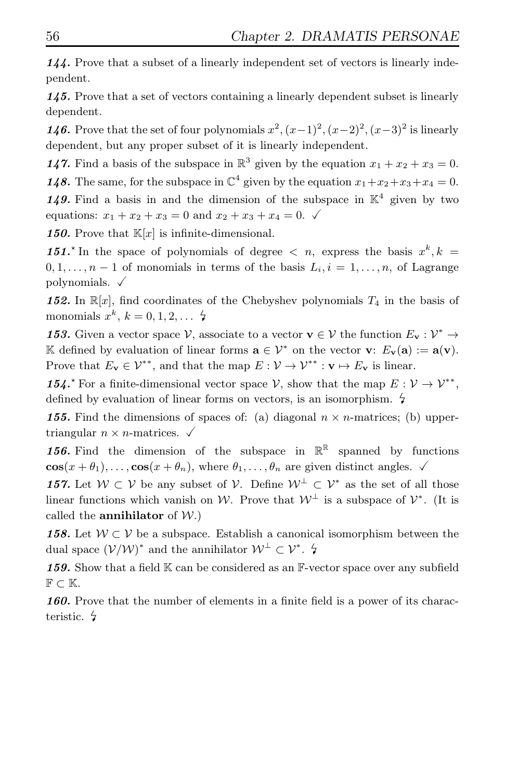*144.* Prove that a subset of a linearly independent set of vectors is linearly independent.

*145.* Prove that a set of vectors containing a linearly dependent subset is linearly dependent.

*146*. Prove that the set of four polynomials  $x^2$ ,  $(x-1)^2$ ,  $(x-2)^2$ ,  $(x-3)^2$  is linearly dependent, but any proper subset of it is linearly independent.

**147.** Find a basis of the subspace in  $\mathbb{R}^3$  given by the equation  $x_1 + x_2 + x_3 = 0$ . **148.** The same, for the subspace in  $\mathbb{C}^4$  given by the equation  $x_1+x_2+x_3+x_4=0$ . 149. Find a basis in and the dimension of the subspace in  $K^4$  given by two equations:  $x_1 + x_2 + x_3 = 0$  and  $x_2 + x_3 + x_4 = 0$ .

**150.** Prove that  $\mathbb{K}[x]$  is infinite-dimensional.

151<sup>\*</sup> In the space of polynomials of degree  $\langle n, \text{ express the basis } x^k, k = \rangle$  $0, 1, \ldots, n-1$  of monomials in terms of the basis  $L_i, i = 1, \ldots, n$ , of Lagrange polynomials.  $\sqrt{ }$ 

**152.** In  $\mathbb{R}[x]$ , find coordinates of the Chebyshev polynomials  $T_4$  in the basis of monomials  $x^k$ ,  $k = 0, 1, 2, \ldots$  4

**153.** Given a vector space  $V$ , associate to a vector  $\mathbf{v} \in V$  the function  $E_{\mathbf{v}} : V^* \to V$ K defined by evaluation of linear forms  $\mathbf{a} \in \mathcal{V}^*$  on the vector  $\mathbf{v}$ :  $E_{\mathbf{v}}(\mathbf{a}) := \mathbf{a}(\mathbf{v})$ . Prove that  $E_v \in \mathcal{V}^{**}$ , and that the map  $E : \mathcal{V} \to \mathcal{V}^{**} : v \mapsto E_v$  is linear.

154.<sup> $\star$ </sup> For a finite-dimensional vector space  $\mathcal{V}$ , show that the map  $E: \mathcal{V} \to \mathcal{V}^{**}$ , defined by evaluation of linear forms on vectors, is an isomorphism.  $\frac{1}{2}$ 

**155.** Find the dimensions of spaces of: (a) diagonal  $n \times n$ -matrices; (b) uppertriangular  $n \times n$ -matrices.  $\checkmark$ 

**156.** Find the dimension of the subspace in  $\mathbb{R}^{\mathbb{R}}$  spanned by functions  $\cos(x + \theta_1), \ldots, \cos(x + \theta_n)$ , where  $\theta_1, \ldots, \theta_n$  are given distinct angles.

*157.* Let  $W \subset V$  be any subset of  $V$ . Define  $W^{\perp} \subset V^*$  as the set of all those linear functions which vanish on W. Prove that  $W^{\perp}$  is a subspace of  $\mathcal{V}^*$ . (It is called the **annihilator** of  $W$ .)

**158.** Let  $W \subset V$  be a subspace. Establish a canonical isomorphism between the dual space  $(\mathcal{V}/\mathcal{W})^*$  and the annihilator  $\mathcal{W}^{\perp} \subset \mathcal{V}^*$ .  $\sharp$ 

159. Show that a field K can be considered as an F-vector space over any subfield  $\mathbb{F} \subset \mathbb{K}$ .

*160.* Prove that the number of elements in a finite field is a power of its characteristic.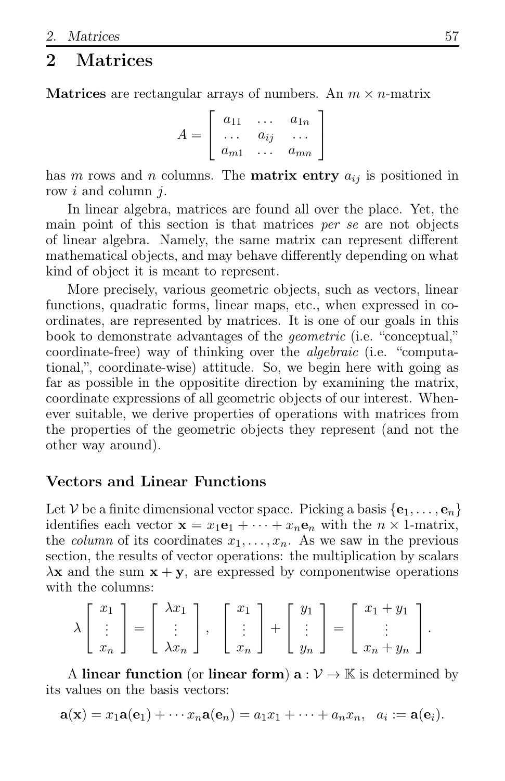# **Matrices**

**Matrices** are rectangular arrays of numbers. An  $m \times n$ -matrix

 $A =$  $\overline{1}$  $\overline{1}$  $a_{11} \quad \ldots \quad a_{1n}$  $\cdots$   $a_{ij}$   $\cdots$  $a_{m1} \ldots a_{mn}$ Ĭ.  $\overline{1}$ 

has m rows and n columns. The **matrix entry**  $a_{ij}$  is positioned in row i and column j.

In linear algebra, matrices are found all over the place. Yet, the main point of this section is that matrices per se are not objects of linear algebra. Namely, the same matrix can represent different mathematical objects, and may behave differently depending on what kind of object it is meant to represent.

More precisely, various geometric objects, such as vectors, linear functions, quadratic forms, linear maps, etc., when expressed in coordinates, are represented by matrices. It is one of our goals in this book to demonstrate advantages of the geometric (i.e. "conceptual," coordinate-free) way of thinking over the algebraic (i.e. "computational,", coordinate-wise) attitude. So, we begin here with going as far as possible in the oppositite direction by examining the matrix, coordinate expressions of all geometric objects of our interest. Whenever suitable, we derive properties of operations with matrices from the properties of the geometric objects they represent (and not the other way around).

### Vectors and Linear Functions

Let V be a finite dimensional vector space. Picking a basis  $\{e_1, \ldots, e_n\}$ identifies each vector  $\mathbf{x} = x_1 \mathbf{e}_1 + \cdots + x_n \mathbf{e}_n$  with the  $n \times 1$ -matrix, the *column* of its coordinates  $x_1, \ldots, x_n$ . As we saw in the previous section, the results of vector operations: the multiplication by scalars  $\lambda$ **x** and the sum  $x + y$ , are expressed by componentwise operations with the columns:

$$
\lambda \begin{bmatrix} x_1 \\ \vdots \\ x_n \end{bmatrix} = \begin{bmatrix} \lambda x_1 \\ \vdots \\ \lambda x_n \end{bmatrix}, \quad \begin{bmatrix} x_1 \\ \vdots \\ x_n \end{bmatrix} + \begin{bmatrix} y_1 \\ \vdots \\ y_n \end{bmatrix} = \begin{bmatrix} x_1 + y_1 \\ \vdots \\ x_n + y_n \end{bmatrix}.
$$

A linear function (or linear form)  $a: V \to \mathbb{K}$  is determined by its values on the basis vectors:

$$
\mathbf{a}(\mathbf{x})=x_1\mathbf{a}(\mathbf{e}_1)+\cdots x_n\mathbf{a}(\mathbf{e}_n)=a_1x_1+\cdots+a_nx_n, \ \ a_i:=\mathbf{a}(\mathbf{e}_i).
$$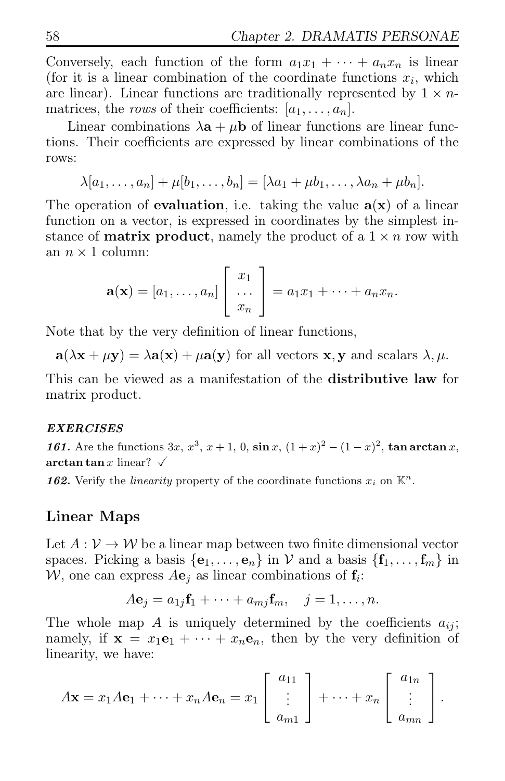Conversely, each function of the form  $a_1x_1 + \cdots + a_nx_n$  is linear (for it is a linear combination of the coordinate functions  $x_i$ , which are linear). Linear functions are traditionally represented by  $1 \times n$ matrices, the rows of their coefficients:  $[a_1, \ldots, a_n]$ .

Linear combinations  $\lambda \mathbf{a} + \mu \mathbf{b}$  of linear functions are linear functions. Their coefficients are expressed by linear combinations of the rows:

$$
\lambda[a_1,\ldots,a_n]+\mu[b_1,\ldots,b_n]=[\lambda a_1+\mu b_1,\ldots,\lambda a_n+\mu b_n].
$$

The operation of **evaluation**, i.e. taking the value  $a(x)$  of a linear function on a vector, is expressed in coordinates by the simplest instance of **matrix product**, namely the product of a  $1 \times n$  row with an  $n \times 1$  column:

$$
\mathbf{a}(\mathbf{x}) = [a_1, \dots, a_n] \begin{bmatrix} x_1 \\ \dots \\ x_n \end{bmatrix} = a_1 x_1 + \dots + a_n x_n.
$$

Note that by the very definition of linear functions,

 $\mathbf{a}(\lambda \mathbf{x} + \mu \mathbf{y}) = \lambda \mathbf{a}(\mathbf{x}) + \mu \mathbf{a}(\mathbf{y})$  for all vectors  $\mathbf{x}, \mathbf{y}$  and scalars  $\lambda, \mu$ .

This can be viewed as a manifestation of the distributive law for matrix product.

#### *EXERCISES*

*161.* Are the functions  $3x, x^3, x+1, 0, \sin x, (1+x)^2 - (1-x)^2$ , tan arctan x, arctan tan x linear?  $\checkmark$ 

**162.** Verify the *linearity* property of the coordinate functions  $x_i$  on  $\mathbb{K}^n$ .

### Linear Maps

Let  $A: V \to W$  be a linear map between two finite dimensional vector spaces. Picking a basis  $\{e_1, \ldots, e_n\}$  in V and a basis  $\{f_1, \ldots, f_m\}$  in  $W$ , one can express  $A\mathbf{e}_j$  as linear combinations of  $\mathbf{f}_i$ :

$$
A\mathbf{e}_j = a_{1j}\mathbf{f}_1 + \cdots + a_{mj}\mathbf{f}_m, \quad j = 1, \ldots, n.
$$

The whole map A is uniquely determined by the coefficients  $a_{ij}$ ; namely, if  $\mathbf{x} = x_1 \mathbf{e}_1 + \cdots + x_n \mathbf{e}_n$ , then by the very definition of linearity, we have:

$$
A\mathbf{x} = x_1 A\mathbf{e}_1 + \dots + x_n A\mathbf{e}_n = x_1 \begin{bmatrix} a_{11} \\ \vdots \\ a_{m1} \end{bmatrix} + \dots + x_n \begin{bmatrix} a_{1n} \\ \vdots \\ a_{mn} \end{bmatrix}.
$$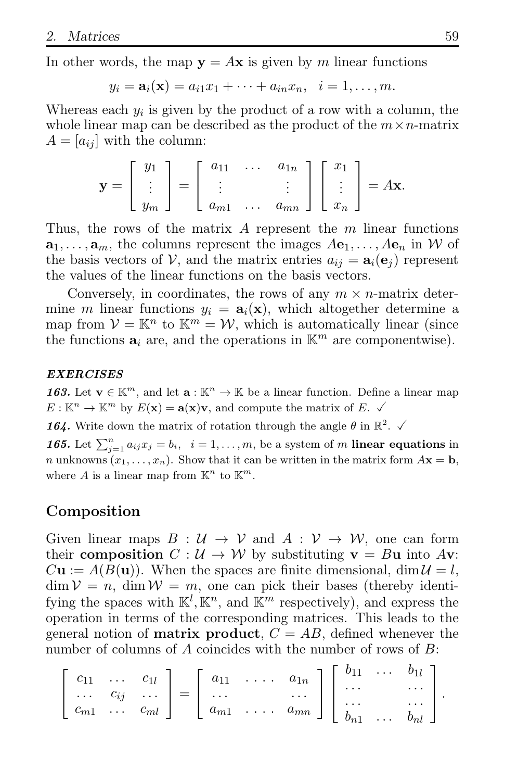In other words, the map  $y = Ax$  is given by m linear functions

$$
y_i = \mathbf{a}_i(\mathbf{x}) = a_{i1}x_1 + \cdots + a_{in}x_n, \quad i = 1, \ldots, m.
$$

Whereas each  $y_i$  is given by the product of a row with a column, the whole linear map can be described as the product of the  $m \times n$ -matrix  $A = [a_{ij}]$  with the column:

$$
\mathbf{y} = \begin{bmatrix} y_1 \\ \vdots \\ y_m \end{bmatrix} = \begin{bmatrix} a_{11} & \dots & a_{1n} \\ \vdots & & \vdots \\ a_{m1} & \dots & a_{mn} \end{bmatrix} \begin{bmatrix} x_1 \\ \vdots \\ x_n \end{bmatrix} = A\mathbf{x}.
$$

Thus, the rows of the matrix  $A$  represent the  $m$  linear functions  $a_1, \ldots, a_m$ , the columns represent the images  $Ae_1, \ldots, Ae_n$  in W of the basis vectors of V, and the matrix entries  $a_{ij} = \mathbf{a}_i(\mathbf{e}_i)$  represent the values of the linear functions on the basis vectors.

Conversely, in coordinates, the rows of any  $m \times n$ -matrix determine m linear functions  $y_i = \mathbf{a}_i(\mathbf{x})$ , which altogether determine a map from  $V = \mathbb{K}^n$  to  $\mathbb{K}^m = \mathcal{W}$ , which is automatically linear (since the functions  $a_i$  are, and the operations in  $\mathbb{K}^m$  are componentwise).

#### *EXERCISES*

**163.** Let  $\mathbf{v} \in \mathbb{K}^m$ , and let  $\mathbf{a} : \mathbb{K}^n \to \mathbb{K}$  be a linear function. Define a linear map  $E: \mathbb{K}^n \to \mathbb{K}^m$  by  $E(\mathbf{x}) = \mathbf{a}(\mathbf{x})\mathbf{v}$ , and compute the matrix of  $E. \checkmark$ 

**164.** Write down the matrix of rotation through the angle  $\theta$  in  $\mathbb{R}^2$ .  $\checkmark$ 

**165.** Let  $\sum_{j=1}^{n} a_{ij}x_j = b_i$ ,  $i = 1, ..., m$ , be a system of m **linear equations** in n unknowns  $(x_1, \ldots, x_n)$ . Show that it can be written in the matrix form  $A\mathbf{x} = \mathbf{b}$ , where A is a linear map from  $\mathbb{K}^n$  to  $\mathbb{K}^m$ .

### Composition

Given linear maps  $B: U \to V$  and  $A: V \to W$ , one can form their composition  $C : \mathcal{U} \to \mathcal{W}$  by substituting  $\mathbf{v} = B\mathbf{u}$  into  $A\mathbf{v}$ :  $C**u** := A(B(**u**)).$  When the spaces are finite dimensional,  $\dim \mathcal{U} = l$ ,  $\dim \mathcal{V} = n$ ,  $\dim \mathcal{W} = m$ , one can pick their bases (thereby identifying the spaces with  $\mathbb{K}^l$ ,  $\mathbb{K}^n$ , and  $\mathbb{K}^m$  respectively), and express the operation in terms of the corresponding matrices. This leads to the general notion of **matrix product**,  $C = AB$ , defined whenever the number of columns of A coincides with the number of rows of B:

$$
\left[\begin{array}{ccc}c_{11} & \ldots & c_{1l} \\ \ldots & c_{ij} & \ldots \\ c_{m1} & \ldots & c_{ml}\end{array}\right] = \left[\begin{array}{ccc}a_{11} & \ldots & a_{1n} \\ \ldots & & \ldots \\ a_{m1} & \ldots & a_{mn}\end{array}\right] \left[\begin{array}{ccc}b_{11} & \ldots & b_{1l} \\ \ldots & & \ldots \\ b_{n1} & \ldots & b_{nl}\end{array}\right].
$$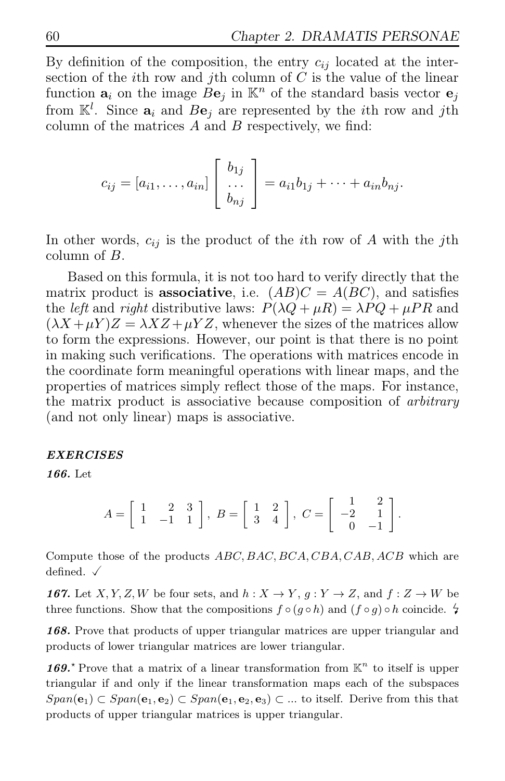By definition of the composition, the entry  $c_{ij}$  located at the intersection of the *i*th row and *j*th column of  $C$  is the value of the linear function  $a_i$  on the image  $Be_j$  in  $\mathbb{K}^n$  of the standard basis vector  $e_j$ from  $\mathbb{K}^l$ . Since  $\mathbf{a}_i$  and  $B\mathbf{e}_j$  are represented by the *i*th row and *j*th column of the matrices  $A$  and  $B$  respectively, we find:

$$
c_{ij}=[a_{i1},\ldots,a_{in}]\left[\begin{array}{c}b_{1j}\\ \ldots\\ b_{nj}\end{array}\right]=a_{i1}b_{1j}+\cdots+a_{in}b_{nj}.
$$

In other words,  $c_{ij}$  is the product of the *i*th row of A with the *j*th column of B.

Based on this formula, it is not too hard to verify directly that the matrix product is **associative**, i.e.  $(AB)C = A(BC)$ , and satisfies the *left* and *right* distributive laws:  $P(\lambda Q + \mu R) = \lambda PQ + \mu PR$  and  $(\lambda X + \mu Y)Z = \lambda XZ + \mu YZ$ , whenever the sizes of the matrices allow to form the expressions. However, our point is that there is no point in making such verifications. The operations with matrices encode in the coordinate form meaningful operations with linear maps, and the properties of matrices simply reflect those of the maps. For instance, the matrix product is associative because composition of arbitrary (and not only linear) maps is associative.

#### *EXERCISES*

*166.* Let

$$
A = \begin{bmatrix} 1 & 2 & 3 \\ 1 & -1 & 1 \end{bmatrix}, B = \begin{bmatrix} 1 & 2 \\ 3 & 4 \end{bmatrix}, C = \begin{bmatrix} 1 & 2 \\ -2 & 1 \\ 0 & -1 \end{bmatrix}.
$$

Compute those of the products  $ABC, BAC, BCA, CBA, CAB, ACB$  which are defined.  $\checkmark$ 

*167.* Let  $X, Y, Z, W$  be four sets, and  $h: X \to Y, g: Y \to Z$ , and  $f: Z \to W$  be three functions. Show that the compositions  $f \circ (g \circ h)$  and  $(f \circ g) \circ h$  coincide.  $\sharp$ 

*168.* Prove that products of upper triangular matrices are upper triangular and products of lower triangular matrices are lower triangular.

169.<sup>\*</sup> Prove that a matrix of a linear transformation from  $K<sup>n</sup>$  to itself is upper triangular if and only if the linear transformation maps each of the subspaces  $Span(e_1) \subset Span(e_1, e_2) \subset Span(e_1, e_2, e_3) \subset \dots$  to itself. Derive from this that products of upper triangular matrices is upper triangular.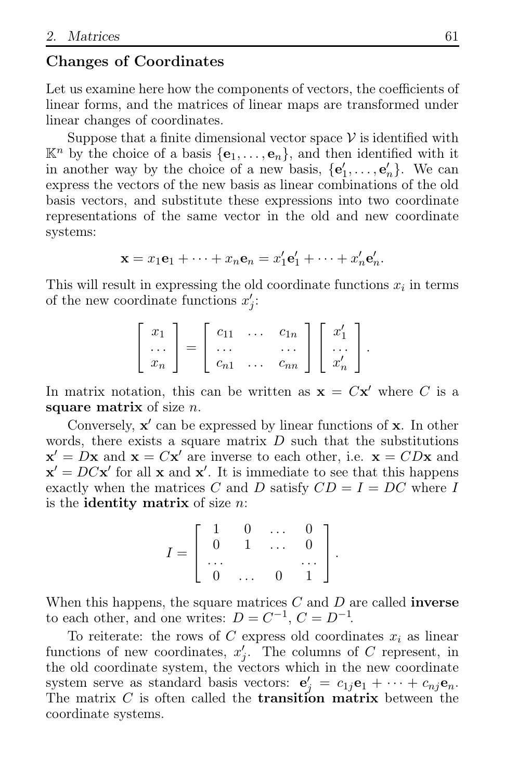### Changes of Coordinates

Let us examine here how the components of vectors, the coefficients of linear forms, and the matrices of linear maps are transformed under linear changes of coordinates.

Suppose that a finite dimensional vector space  $\mathcal V$  is identified with  $\mathbb{K}^n$  by the choice of a basis  $\{\mathbf{e}_1, \ldots, \mathbf{e}_n\}$ , and then identified with it in another way by the choice of a new basis,  $\{e'_1, \ldots, e'_n\}$ . We can express the vectors of the new basis as linear combinations of the old basis vectors, and substitute these expressions into two coordinate representations of the same vector in the old and new coordinate systems:

$$
\mathbf{x} = x_1 \mathbf{e}_1 + \dots + x_n \mathbf{e}_n = x'_1 \mathbf{e}'_1 + \dots + x'_n \mathbf{e}'_n.
$$

This will result in expressing the old coordinate functions  $x_i$  in terms of the new coordinate functions  $x'_j$ :

$$
\begin{bmatrix} x_1 \\ \dots \\ x_n \end{bmatrix} = \begin{bmatrix} c_{11} & \dots & c_{1n} \\ \dots & & \dots \\ c_{n1} & \dots & c_{nn} \end{bmatrix} \begin{bmatrix} x'_1 \\ \dots \\ x'_n \end{bmatrix}.
$$

In matrix notation, this can be written as  $\mathbf{x} = C\mathbf{x}'$  where C is a square matrix of size  $n$ .

Conversely,  $x'$  can be expressed by linear functions of  $x$ . In other words, there exists a square matrix  $D$  such that the substitutions  $\mathbf{x}' = D\mathbf{x}$  and  $\mathbf{x} = C\mathbf{x}'$  are inverse to each other, i.e.  $\mathbf{x} = CD\mathbf{x}$  and  $\mathbf{x}' = DC\mathbf{x}'$  for all  $\mathbf{x}$  and  $\mathbf{x}'$ . It is immediate to see that this happens exactly when the matrices C and D satisfy  $CD = I = DC$  where I is the **identity matrix** of size  $n$ :

$$
I=\left[\begin{array}{ccccc}1&0&\ldots&0\\0&1&\ldots&0\\ \ldots& & &\ldots\\0&\ldots&0&1\end{array}\right].
$$

When this happens, the square matrices  $C$  and  $D$  are called **inverse** to each other, and one writes:  $D = C^{-1}$ ,  $C = D^{-1}$ .

To reiterate: the rows of C express old coordinates  $x_i$  as linear functions of new coordinates,  $x'_{j}$ . The columns of C represent, in the old coordinate system, the vectors which in the new coordinate system serve as standard basis vectors:  $\mathbf{e}'_j = c_{1j}\mathbf{e}_1 + \cdots + c_{nj}\mathbf{e}_n$ . The matrix  $C$  is often called the **transition matrix** between the coordinate systems.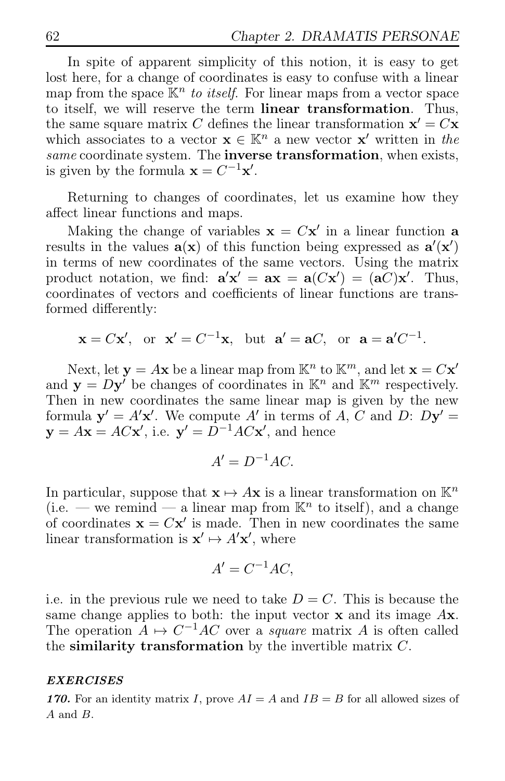In spite of apparent simplicity of this notion, it is easy to get lost here, for a change of coordinates is easy to confuse with a linear map from the space  $\mathbb{K}^n$  to itself. For linear maps from a vector space to itself, we will reserve the term linear transformation. Thus, the same square matrix C defines the linear transformation  $\mathbf{x}' = C\mathbf{x}$ which associates to a vector  $\mathbf{x} \in \mathbb{K}^n$  a new vector  $\mathbf{x}'$  written in the same coordinate system. The inverse transformation, when exists, is given by the formula  $\mathbf{x} = C^{-1}\mathbf{x}'$ .

Returning to changes of coordinates, let us examine how they affect linear functions and maps.

Making the change of variables  $\mathbf{x} = C\mathbf{x}'$  in a linear function **a** results in the values  $\mathbf{a}(\mathbf{x})$  of this function being expressed as  $\mathbf{a}'(\mathbf{x}')$ in terms of new coordinates of the same vectors. Using the matrix product notation, we find:  $\mathbf{a}'\mathbf{x}' = \mathbf{a}\mathbf{x} = \mathbf{a}(C\mathbf{x}') = (\mathbf{a}C)\mathbf{x}'$ . Thus, coordinates of vectors and coefficients of linear functions are transformed differently:

 $\mathbf{x} = C\mathbf{x}'$ , or  $\mathbf{x}' = C^{-1}\mathbf{x}$ , but  $\mathbf{a}' = \mathbf{a}C$ , or  $\mathbf{a} = \mathbf{a}'C^{-1}$ .

Next, let  $y = Ax$  be a linear map from  $\mathbb{K}^n$  to  $\mathbb{K}^m$ , and let  $x = Cx'$ and  $\mathbf{y} = D\mathbf{y}^{\prime}$  be changes of coordinates in  $\mathbb{K}^{n}$  and  $\mathbb{K}^{m}$  respectively. Then in new coordinates the same linear map is given by the new formula  $\mathbf{y}' = A'\mathbf{x}'$ . We compute A' in terms of A, C and D:  $D\mathbf{y}' =$  $y = Ax = ACx'$ , i.e.  $y' = D^{-1}ACx'$ , and hence

$$
A'=D^{-1}AC.
$$

In particular, suppose that  $\mathbf{x} \mapsto A\mathbf{x}$  is a linear transformation on  $\mathbb{K}^n$ (i.e. – we remind – a linear map from  $\mathbb{K}^n$  to itself), and a change of coordinates  $\mathbf{x} = C\mathbf{x}'$  is made. Then in new coordinates the same linear transformation is  $\mathbf{x}' \mapsto A' \mathbf{x}'$ , where

$$
A' = C^{-1}AC,
$$

i.e. in the previous rule we need to take  $D = C$ . This is because the same change applies to both: the input vector  $x$  and its image  $Ax$ . The operation  $A \mapsto C^{-1}AC$  over a *square* matrix A is often called the similarity transformation by the invertible matrix  $C$ .

#### *EXERCISES*

**170.** For an identity matrix I, prove  $AI = A$  and  $IB = B$  for all allowed sizes of A and B.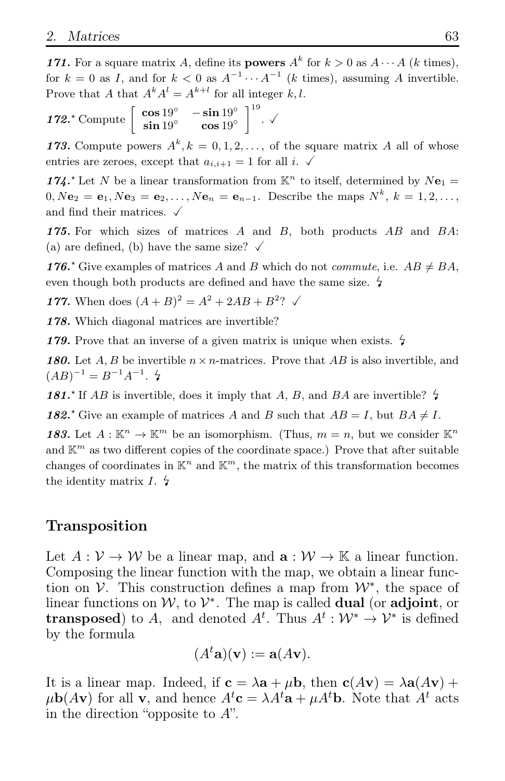*171.* For a square matrix A, define its **powers**  $A^k$  for  $k > 0$  as  $A \cdots A$  (k times), for  $k = 0$  as I, and for  $k < 0$  as  $A^{-1} \cdots A^{-1}$  (k times), assuming A invertible. Prove that A that  $A^k A^l = A^{k+l}$  for all integer k, l.

172<sup>\*</sup> Compute  $\begin{bmatrix} \cos 19^\circ & -\sin 19^\circ \\ \sin 19^\circ & \cos 19^\circ \end{bmatrix}$  $\Big]^{19}$ .  $\checkmark$ 

173. Compute powers  $A^k, k = 0, 1, 2, \ldots$ , of the square matrix A all of whose entries are zeroes, except that  $a_{i,i+1} = 1$  for all i.  $\checkmark$ 

174.<sup>\*</sup> Let N be a linear transformation from  $\mathbb{K}^n$  to itself, determined by  $N\mathbf{e}_1 =$  $0, N**e**_2 = **e**_1, N**e**_3 = **e**_2, \ldots, N**e**_n = **e**_{n-1}$ . Describe the maps  $N^k, k = 1, 2, \ldots,$ and find their matrices.  $\checkmark$ 

*175.* For which sizes of matrices A and B, both products AB and BA: (a) are defined, (b) have the same size?  $\checkmark$ 

**176.**<sup>\*</sup> Give examples of matrices A and B which do not *commute*, i.e.  $AB \neq BA$ , even though both products are defined and have the same size.  $\frac{1}{4}$ 

**177.** When does  $(A + B)^2 = A^2 + 2AB + B^2$ ?  $\checkmark$ 

*178.* Which diagonal matrices are invertible?

179. Prove that an inverse of a given matrix is unique when exists.  $\frac{1}{2}$ 

**180.** Let A, B be invertible  $n \times n$ -matrices. Prove that AB is also invertible, and  $(AB)^{-1} = B^{-1}A^{-1}$ .  $\sharp$ 

181.<sup>\*</sup> If AB is invertible, does it imply that A, B, and BA are invertible?  $\frac{1}{4}$ 

**182.**<sup>\*</sup> Give an example of matrices A and B such that  $AB = I$ , but  $BA \neq I$ .

183. Let  $A: \mathbb{K}^n \to \mathbb{K}^m$  be an isomorphism. (Thus,  $m = n$ , but we consider  $\mathbb{K}^n$ and  $\mathbb{K}^m$  as two different copies of the coordinate space.) Prove that after suitable changes of coordinates in  $\mathbb{K}^n$  and  $\mathbb{K}^m$ , the matrix of this transformation becomes the identity matrix  $I. \n\ddot{}$ 

### Transposition

Let  $A: \mathcal{V} \to \mathcal{W}$  be a linear map, and  $\mathbf{a}: \mathcal{W} \to \mathbb{K}$  a linear function. Composing the linear function with the map, we obtain a linear function on  $\mathcal V$ . This construction defines a map from  $\mathcal W^*$ , the space of linear functions on  $W$ , to  $V^*$ . The map is called **dual** (or **adjoint**, or **transposed**) to A, and denoted  $A^t$ . Thus  $A^t: \mathcal{W}^* \to \mathcal{V}^*$  is defined by the formula

$$
(Ata)(v) := a(Av).
$$

It is a linear map. Indeed, if  $\mathbf{c} = \lambda \mathbf{a} + \mu \mathbf{b}$ , then  $\mathbf{c}(A\mathbf{v}) = \lambda \mathbf{a}(A\mathbf{v}) +$  $\mu$ **b**(Av) for all **v**, and hence  $A^t$ **c** =  $\lambda A^t$ **a** +  $\mu A^t$ **b**. Note that  $A^t$  acts in the direction "opposite to  $A$ ".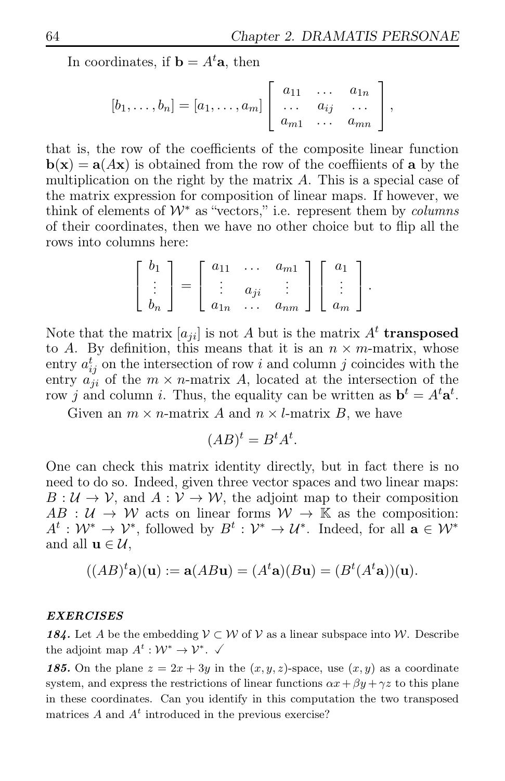In coordinates, if  $\mathbf{b} = A^t \mathbf{a}$ , then

$$
[b_1,\ldots,b_n] = [a_1,\ldots,a_m] \left[ \begin{array}{ccc} a_{11} & \ldots & a_{1n} \\ \ldots & a_{ij} & \ldots \\ a_{m1} & \ldots & a_{mn} \end{array} \right],
$$

that is, the row of the coefficients of the composite linear function  $\mathbf{b}(\mathbf{x}) = \mathbf{a}(A\mathbf{x})$  is obtained from the row of the coeffiients of **a** by the multiplication on the right by the matrix  $A$ . This is a special case of the matrix expression for composition of linear maps. If however, we think of elements of  $W^*$  as "vectors," i.e. represent them by *columns* of their coordinates, then we have no other choice but to flip all the rows into columns here:

$$
\begin{bmatrix} b_1 \\ \vdots \\ b_n \end{bmatrix} = \begin{bmatrix} a_{11} & \dots & a_{m1} \\ \vdots & a_{ji} & \vdots \\ a_{1n} & \dots & a_{nm} \end{bmatrix} \begin{bmatrix} a_1 \\ \vdots \\ a_m \end{bmatrix}.
$$

Note that the matrix  $[a_{ji}]$  is not A but is the matrix  $A<sup>t</sup>$  transposed to A. By definition, this means that it is an  $n \times m$ -matrix, whose entry  $a_{ij}^t$  on the intersection of row i and column j coincides with the entry  $a_{ji}$  of the  $m \times n$ -matrix A, located at the intersection of the row j and column i. Thus, the equality can be written as  $\mathbf{b}^t = A^t \mathbf{a}^t$ .

Given an  $m \times n$ -matrix A and  $n \times l$ -matrix B, we have

$$
(AB)^t = B^t A^t.
$$

One can check this matrix identity directly, but in fact there is no need to do so. Indeed, given three vector spaces and two linear maps:  $B: U \to V$ , and  $A: V \to W$ , the adjoint map to their composition  $AB: U \to W$  acts on linear forms  $W \to \mathbb{K}$  as the composition:  $A^t: \mathcal{W}^* \to \mathcal{V}^*$ , followed by  $B^t: \mathcal{V}^* \to \mathcal{U}^*$ . Indeed, for all  $\mathbf{a} \in \mathcal{W}^*$ and all  $\mathbf{u} \in \mathcal{U}$ ,

$$
((AB)^{t}\mathbf{a})(\mathbf{u}) := \mathbf{a}(AB\mathbf{u}) = (A^{t}\mathbf{a})(B\mathbf{u}) = (B^{t}(A^{t}\mathbf{a}))(\mathbf{u}).
$$

#### *EXERCISES*

**184.** Let A be the embedding  $V \subset W$  of V as a linear subspace into W. Describe the adjoint map  $A^t: \mathcal{W}^* \to \mathcal{V}^*. \check{\checkmark}$ 

**185.** On the plane  $z = 2x + 3y$  in the  $(x, y, z)$ -space, use  $(x, y)$  as a coordinate system, and express the restrictions of linear functions  $\alpha x + \beta y + \gamma z$  to this plane in these coordinates. Can you identify in this computation the two transposed matrices  $A$  and  $A<sup>t</sup>$  introduced in the previous exercise?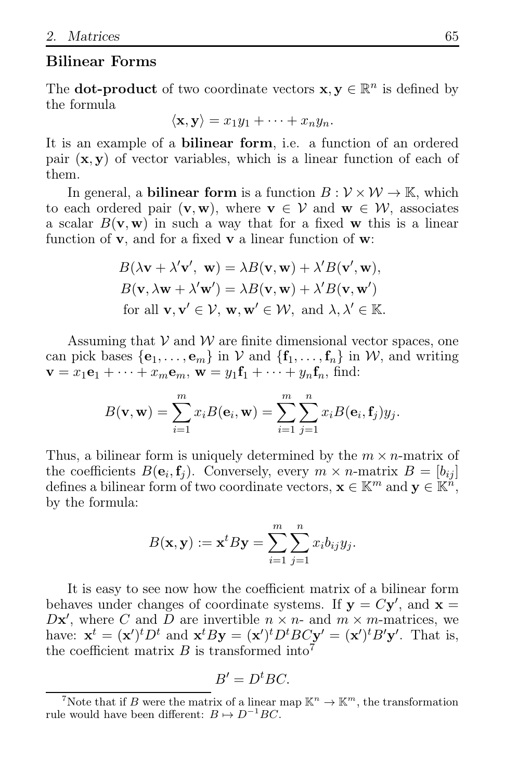### Bilinear Forms

The **dot-product** of two coordinate vectors  $\mathbf{x}, \mathbf{y} \in \mathbb{R}^n$  is defined by the formula

$$
\langle \mathbf{x}, \mathbf{y} \rangle = x_1 y_1 + \cdots + x_n y_n.
$$

It is an example of a **bilinear form**, i.e. a function of an ordered pair  $(x, y)$  of vector variables, which is a linear function of each of them.

In general, a **bilinear form** is a function  $B: V \times W \rightarrow \mathbb{K}$ , which to each ordered pair  $(v, w)$ , where  $v \in V$  and  $w \in W$ , associates a scalar  $B(\mathbf{v}, \mathbf{w})$  in such a way that for a fixed **w** this is a linear function of  $v$ , and for a fixed  $v$  a linear function of  $w$ :

$$
B(\lambda \mathbf{v} + \lambda' \mathbf{v}', \mathbf{w}) = \lambda B(\mathbf{v}, \mathbf{w}) + \lambda' B(\mathbf{v}', \mathbf{w}),
$$
  
\n
$$
B(\mathbf{v}, \lambda \mathbf{w} + \lambda' \mathbf{w}') = \lambda B(\mathbf{v}, \mathbf{w}) + \lambda' B(\mathbf{v}, \mathbf{w}')
$$
  
\nfor all  $\mathbf{v}, \mathbf{v}' \in \mathcal{V}, \mathbf{w}, \mathbf{w}' \in \mathcal{W}, \text{ and } \lambda, \lambda' \in \mathbb{K}.$ 

Assuming that  $V$  and  $W$  are finite dimensional vector spaces, one can pick bases  $\{e_1, \ldots, e_m\}$  in V and  $\{f_1, \ldots, f_n\}$  in W, and writing  $\mathbf{v} = x_1 \mathbf{e}_1 + \cdots + x_m \mathbf{e}_m$ ,  $\mathbf{w} = y_1 \mathbf{f}_1 + \cdots + y_n \mathbf{f}_n$ , find:

$$
B(\mathbf{v}, \mathbf{w}) = \sum_{i=1}^{m} x_i B(\mathbf{e}_i, \mathbf{w}) = \sum_{i=1}^{m} \sum_{j=1}^{n} x_i B(\mathbf{e}_i, \mathbf{f}_j) y_j.
$$

Thus, a bilinear form is uniquely determined by the  $m \times n$ -matrix of the coefficients  $B(\mathbf{e}_i, \mathbf{f}_j)$ . Conversely, every  $m \times n$ -matrix  $B = [b_{ij}]$ defines a bilinear form of two coordinate vectors,  $\mathbf{x} \in \mathbb{K}^m$  and  $\mathbf{y} \in \mathbb{K}^n$ , by the formula:

$$
B(\mathbf{x}, \mathbf{y}) := \mathbf{x}^t B \mathbf{y} = \sum_{i=1}^m \sum_{j=1}^n x_i b_{ij} y_j.
$$

It is easy to see now how the coefficient matrix of a bilinear form behaves under changes of coordinate systems. If  $y = Cy'$ , and  $x =$  $D\mathbf{x}'$ , where C and  $\overline{D}$  are invertible  $n \times n$ - and  $m \times m$ -matrices, we have:  $\mathbf{x}^t = (\mathbf{x}')^t D^t$  and  $\mathbf{x}^t B \mathbf{y} = (\mathbf{x}')^t D^t B C \mathbf{y}' = (\mathbf{x}')^t B' \mathbf{y}'$ . That is, the coefficient matrix B is transformed into<sup>7</sup>

$$
B'=D^tBC.
$$

<sup>&</sup>lt;sup>7</sup>Note that if B were the matrix of a linear map  $\mathbb{K}^n \to \mathbb{K}^m$ , the transformation rule would have been different:  $B \mapsto D^{-1}BC$ .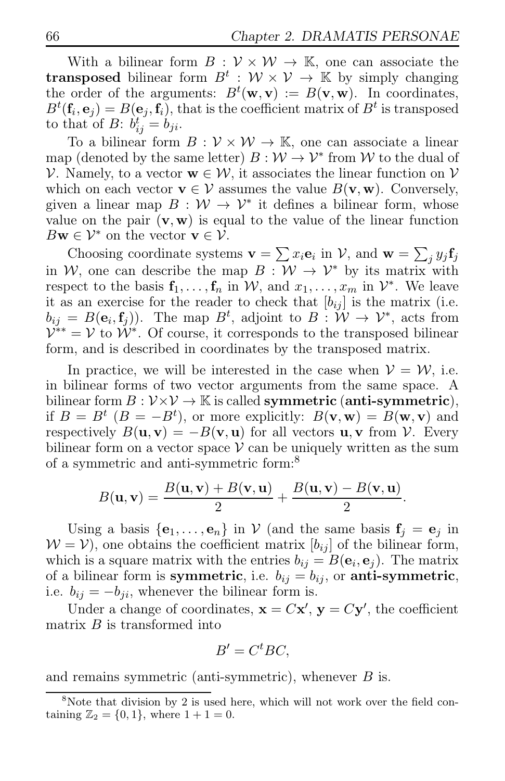With a bilinear form  $B: V \times W \rightarrow \mathbb{K}$ , one can associate the **transposed** bilinear form  $B^t : \mathcal{W} \times \mathcal{V} \to \mathbb{K}$  by simply changing the order of the arguments:  $B^t(\mathbf{w}, \mathbf{v}) := B(\mathbf{v}, \mathbf{w})$ . In coordinates,  $B^t(\mathbf{f}_i, \mathbf{e}_j) = B(\mathbf{e}_j, \mathbf{f}_i)$ , that is the coefficient matrix of  $B^t$  is transposed to that of B:  $b_{ij}^t = b_{ji}$ .

To a bilinear form  $B: V \times W \rightarrow \mathbb{K}$ , one can associate a linear map (denoted by the same letter)  $B: W \to V^*$  from W to the dual of V. Namely, to a vector  $\mathbf{w} \in \mathcal{W}$ , it associates the linear function on V which on each vector  $\mathbf{v} \in \mathcal{V}$  assumes the value  $B(\mathbf{v}, \mathbf{w})$ . Conversely, given a linear map  $B: \mathcal{W} \to \mathcal{V}^*$  it defines a bilinear form, whose value on the pair  $(v, w)$  is equal to the value of the linear function  $B\mathbf{w} \in \mathcal{V}^*$  on the vector  $\mathbf{v} \in \mathcal{V}$ .

Choosing coordinate systems  $\mathbf{v} = \sum x_i \mathbf{e}_i$  in  $\mathcal{V}$ , and  $\mathbf{w} = \sum_j y_j \mathbf{f}_j$ in W, one can describe the map  $B : W \to V^*$  by its matrix with respect to the basis  $\mathbf{f}_1, \ldots, \mathbf{f}_n$  in W, and  $x_1, \ldots, x_m$  in  $\mathcal{V}^*$ . We leave it as an exercise for the reader to check that  $[b_{ij}]$  is the matrix (i.e.  $b_{ij} = B(e_i, f_j)$ . The map  $B^t$ , adjoint to  $B: W \to V^*$ , acts from  $\mathcal{V}^{**} = \mathcal{V}$  to  $\mathcal{W}^*$ . Of course, it corresponds to the transposed bilinear form, and is described in coordinates by the transposed matrix.

In practice, we will be interested in the case when  $V = W$ , i.e. in bilinear forms of two vector arguments from the same space. A bilinear form  $B: V \times V \to \mathbb{K}$  is called symmetric (anti-symmetric), if  $B = B^t$   $(B = -B^t)$ , or more explicitly:  $B(\mathbf{v}, \mathbf{w}) = B(\mathbf{w}, \mathbf{v})$  and respectively  $B(\mathbf{u}, \mathbf{v}) = -B(\mathbf{v}, \mathbf{u})$  for all vectors  $\mathbf{u}, \mathbf{v}$  from  $\mathcal{V}$ . Every bilinear form on a vector space  $\mathcal V$  can be uniquely written as the sum of a symmetric and anti-symmetric form:<sup>8</sup>

$$
B(\mathbf{u},\mathbf{v})=\frac{B(\mathbf{u},\mathbf{v})+B(\mathbf{v},\mathbf{u})}{2}+\frac{B(\mathbf{u},\mathbf{v})-B(\mathbf{v},\mathbf{u})}{2}.
$$

Using a basis  $\{e_1, \ldots, e_n\}$  in  $\mathcal V$  (and the same basis  $f_j = e_j$  in  $W = V$ , one obtains the coefficient matrix  $[b_{ij}]$  of the bilinear form, which is a square matrix with the entries  $b_{ij} = B(\mathbf{e}_i, \mathbf{e}_j)$ . The matrix of a bilinear form is symmetric, i.e.  $b_{ij} = b_{ij}$ , or anti-symmetric, i.e.  $b_{ij} = -b_{ji}$ , whenever the bilinear form is.

Under a change of coordinates,  $\mathbf{x} = C\mathbf{x}'$ ,  $\mathbf{y} = C\mathbf{y}'$ , the coefficient matrix  $B$  is transformed into

$$
B' = C^t BC,
$$

and remains symmetric (anti-symmetric), whenever  $B$  is.

 $8$ Note that division by 2 is used here, which will not work over the field containing  $\mathbb{Z}_2 = \{0, 1\}$ , where  $1 + 1 = 0$ .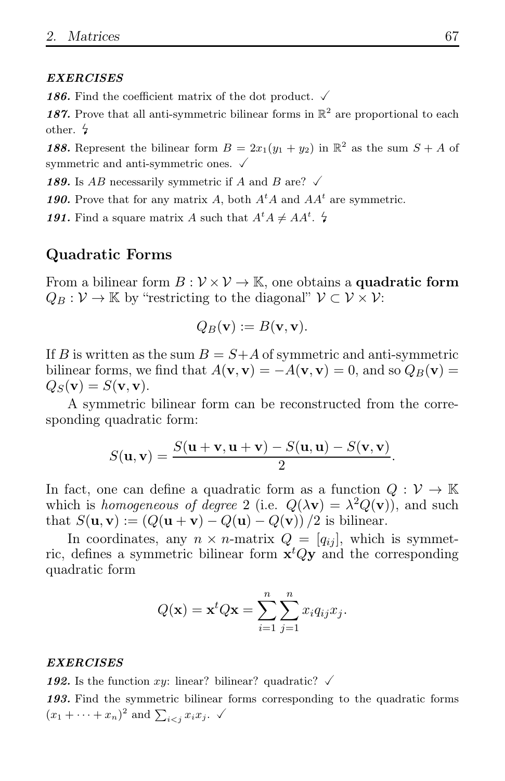#### *EXERCISES*

**186.** Find the coefficient matrix of the dot product.  $\checkmark$ 

187. Prove that all anti-symmetric bilinear forms in  $\mathbb{R}^2$  are proportional to each other.

**188.** Represent the bilinear form  $B = 2x_1(y_1 + y_2)$  in  $\mathbb{R}^2$  as the sum  $S + A$  of symmetric and anti-symmetric ones.  $\checkmark$ 

**189.** Is AB necessarily symmetric if A and B are?  $\checkmark$ 

**190.** Prove that for any matrix A, both  $A<sup>t</sup>A$  and  $AA<sup>t</sup>$  are symmetric.

191. Find a square matrix A such that  $A^t A \neq AA^t$ .  $\sharp$ 

#### Quadratic Forms

From a bilinear form  $B: V \times V \to \mathbb{K}$ , one obtains a **quadratic form**  $Q_B : \mathcal{V} \to \mathbb{K}$  by "restricting to the diagonal"  $\mathcal{V} \subset \mathcal{V} \times \mathcal{V}$ :

$$
Q_B(\mathbf{v}) := B(\mathbf{v}, \mathbf{v}).
$$

If B is written as the sum  $B = S+A$  of symmetric and anti-symmetric bilinear forms, we find that  $A(\mathbf{v}, \mathbf{v}) = -A(\mathbf{v}, \mathbf{v}) = 0$ , and so  $Q_B(\mathbf{v}) =$  $Q_S(\mathbf{v}) = S(\mathbf{v}, \mathbf{v}).$ 

A symmetric bilinear form can be reconstructed from the corresponding quadratic form:

$$
S(\mathbf{u}, \mathbf{v}) = \frac{S(\mathbf{u} + \mathbf{v}, \mathbf{u} + \mathbf{v}) - S(\mathbf{u}, \mathbf{u}) - S(\mathbf{v}, \mathbf{v})}{2}.
$$

In fact, one can define a quadratic form as a function  $Q: V \to \mathbb{K}$ which is homogeneous of degree 2 (i.e.  $Q(\lambda \mathbf{v}) = \lambda^2 Q(\mathbf{v})$ ), and such that  $S(\mathbf{u}, \mathbf{v}) := (Q(\mathbf{u} + \mathbf{v}) - Q(\mathbf{u}) - Q(\mathbf{v}))/2$  is bilinear.

In coordinates, any  $n \times n$ -matrix  $Q = [q_{ij}]$ , which is symmetric, defines a symmetric bilinear form  $x^t Qy$  and the corresponding quadratic form

$$
Q(\mathbf{x}) = \mathbf{x}^t Q \mathbf{x} = \sum_{i=1}^n \sum_{j=1}^n x_i q_{ij} x_j.
$$

#### *EXERCISES*

**192.** Is the function xy: linear? bilinear? quadratic?  $\checkmark$ 

*193.* Find the symmetric bilinear forms corresponding to the quadratic forms  $(x_1 + \cdots + x_n)^2$  and  $\sum_{i < j} x_i x_j$ .  $\checkmark$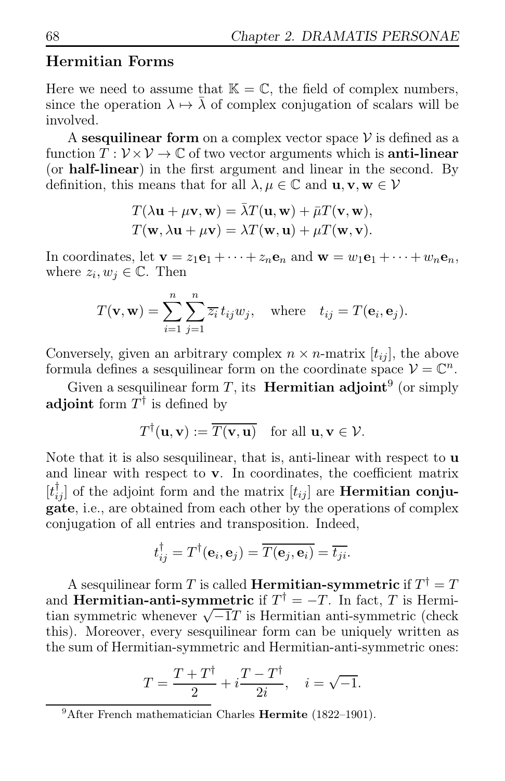### Hermitian Forms

Here we need to assume that  $\mathbb{K} = \mathbb{C}$ , the field of complex numbers, since the operation  $\lambda \mapsto \lambda$  of complex conjugation of scalars will be involved.

A sesquilinear form on a complex vector space  $\mathcal V$  is defined as a function  $T: \mathcal{V} \times \mathcal{V} \to \mathbb{C}$  of two vector arguments which is **anti-linear** (or half-linear) in the first argument and linear in the second. By definition, this means that for all  $\lambda, \mu \in \mathbb{C}$  and  $\mathbf{u}, \mathbf{v}, \mathbf{w} \in \mathcal{V}$ 

$$
T(\lambda \mathbf{u} + \mu \mathbf{v}, \mathbf{w}) = \overline{\lambda} T(\mathbf{u}, \mathbf{w}) + \overline{\mu} T(\mathbf{v}, \mathbf{w}),
$$
  

$$
T(\mathbf{w}, \lambda \mathbf{u} + \mu \mathbf{v}) = \lambda T(\mathbf{w}, \mathbf{u}) + \mu T(\mathbf{w}, \mathbf{v}).
$$

In coordinates, let  $\mathbf{v} = z_1 \mathbf{e}_1 + \cdots + z_n \mathbf{e}_n$  and  $\mathbf{w} = w_1 \mathbf{e}_1 + \cdots + w_n \mathbf{e}_n$ , where  $z_i, w_j \in \mathbb{C}$ . Then

$$
T(\mathbf{v}, \mathbf{w}) = \sum_{i=1}^{n} \sum_{j=1}^{n} \overline{z_i} t_{ij} w_j
$$
, where  $t_{ij} = T(\mathbf{e}_i, \mathbf{e}_j)$ .

Conversely, given an arbitrary complex  $n \times n$ -matrix  $[t_{ij}]$ , the above formula defines a sesquilinear form on the coordinate space  $\mathcal{V} = \mathbb{C}^n$ .

Given a sesquilinear form T, its **Hermitian adjoint**<sup>9</sup> (or simply adjoint form  $T^{\dagger}$  is defined by

$$
T^{\dagger}(\mathbf{u}, \mathbf{v}) := \overline{T(\mathbf{v}, \mathbf{u})} \quad \text{for all } \mathbf{u}, \mathbf{v} \in \mathcal{V}.
$$

Note that it is also sesquilinear, that is, anti-linear with respect to **u** and linear with respect to v. In coordinates, the coefficient matrix  $[t_{ij}^{\dagger}]$  of the adjoint form and the matrix  $[t_{ij}]$  are **Hermitian conju**gate, i.e., are obtained from each other by the operations of complex conjugation of all entries and transposition. Indeed,

$$
t_{ij}^{\dagger} = T^{\dagger}(\mathbf{e}_i, \mathbf{e}_j) = \overline{T(\mathbf{e}_j, \mathbf{e}_i)} = \overline{t_{ji}}.
$$

A sesquilinear form  $T$  is called **Hermitian-symmetric** if  $T^{\dagger} = T$ and **Hermitian-anti-symmetric** if  $T^{\dagger} = -T$ . In fact, T is Hermitian symmetric whenever  $\sqrt{-1}T$  is Hermitian anti-symmetric (check this). Moreover, every sesquilinear form can be uniquely written as the sum of Hermitian-symmetric and Hermitian-anti-symmetric ones:

$$
T = \frac{T + T^{\dagger}}{2} + i \frac{T - T^{\dagger}}{2i}, \quad i = \sqrt{-1}.
$$

 $9$ After French mathematician Charles Hermite (1822–1901).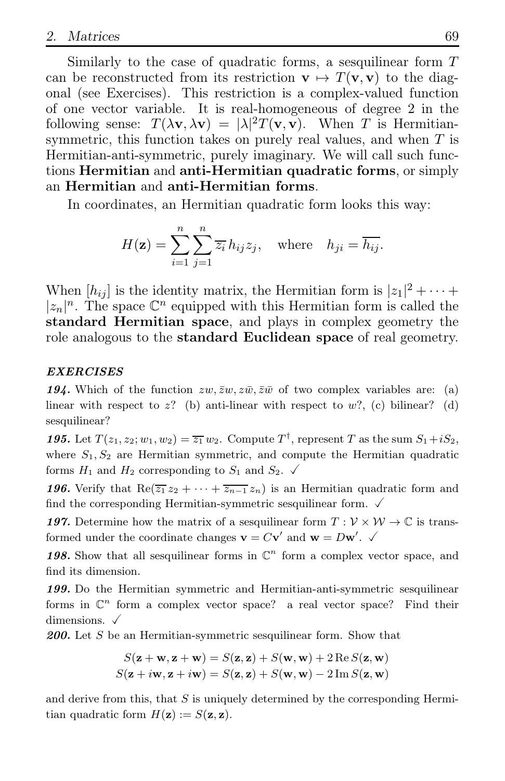Similarly to the case of quadratic forms, a sesquilinear form  $T$ can be reconstructed from its restriction  $\mathbf{v} \mapsto T(\mathbf{v}, \mathbf{v})$  to the diagonal (see Exercises). This restriction is a complex-valued function of one vector variable. It is real-homogeneous of degree 2 in the following sense:  $T(\lambda \mathbf{v}, \lambda \mathbf{v}) = |\lambda|^2 T(\mathbf{v}, \mathbf{v})$ . When T is Hermitiansymmetric, this function takes on purely real values, and when T is Hermitian-anti-symmetric, purely imaginary. We will call such functions Hermitian and anti-Hermitian quadratic forms, or simply an Hermitian and anti-Hermitian forms.

In coordinates, an Hermitian quadratic form looks this way:

$$
H(\mathbf{z}) = \sum_{i=1}^{n} \sum_{j=1}^{n} \overline{z_i} h_{ij} z_j, \text{ where } h_{ji} = \overline{h_{ij}}.
$$

When  $[h_{ij}]$  is the identity matrix, the Hermitian form is  $|z_1|^2 + \cdots$  $|z_n|^n$ . The space  $\mathbb{C}^n$  equipped with this Hermitian form is called the standard Hermitian space, and plays in complex geometry the role analogous to the standard Euclidean space of real geometry.

#### *EXERCISES*

**194.** Which of the function  $zw$ ,  $\overline{zw}$ ,  $\overline{zw}$ ,  $\overline{zw}$  of two complex variables are: (a) linear with respect to  $z$ ? (b) anti-linear with respect to  $w$ ?, (c) bilinear? (d) sesquilinear?

**195.** Let  $T(z_1, z_2; w_1, w_2) = \overline{z_1} w_2$ . Compute  $T^{\dagger}$ , represent T as the sum  $S_1 + iS_2$ , where  $S_1, S_2$  are Hermitian symmetric, and compute the Hermitian quadratic forms  $H_1$  and  $H_2$  corresponding to  $S_1$  and  $S_2$ .

*196.* Verify that Re( $\overline{z_1} z_2 + \cdots + \overline{z_{n-1}} z_n$ ) is an Hermitian quadratic form and find the corresponding Hermitian-symmetric sesquilinear form.  $\sqrt{ }$ 

**197.** Determine how the matrix of a sesquilinear form  $T : \mathcal{V} \times \mathcal{W} \to \mathbb{C}$  is transformed under the coordinate changes  $\mathbf{v} = C\mathbf{v}'$  and  $\mathbf{w} = D\mathbf{w}'$ .

198. Show that all sesquilinear forms in  $\mathbb{C}^n$  form a complex vector space, and find its dimension.

*199.* Do the Hermitian symmetric and Hermitian-anti-symmetric sesquilinear forms in  $\mathbb{C}^n$  form a complex vector space? a real vector space? Find their dimensions.  $\sqrt{ }$ 

**200.** Let S be an Hermitian-symmetric sesquilinear form. Show that

$$
S(\mathbf{z} + \mathbf{w}, \mathbf{z} + \mathbf{w}) = S(\mathbf{z}, \mathbf{z}) + S(\mathbf{w}, \mathbf{w}) + 2 \operatorname{Re} S(\mathbf{z}, \mathbf{w})
$$
  

$$
S(\mathbf{z} + i\mathbf{w}, \mathbf{z} + i\mathbf{w}) = S(\mathbf{z}, \mathbf{z}) + S(\mathbf{w}, \mathbf{w}) - 2 \operatorname{Im} S(\mathbf{z}, \mathbf{w})
$$

and derive from this, that  $S$  is uniquely determined by the corresponding Hermitian quadratic form  $H(\mathbf{z}) := S(\mathbf{z}, \mathbf{z}).$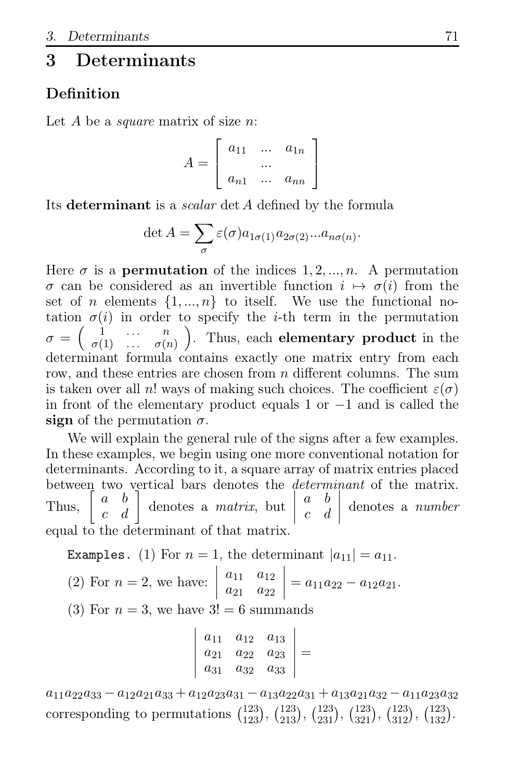## 3 Determinants

### **Definition**

Let  $A$  be a *square* matrix of size  $n$ :

$$
A = \left[ \begin{array}{ccc} a_{11} & \dots & a_{1n} \\ \dots & \dots & \dots \\ a_{n1} & \dots & a_{nn} \end{array} \right]
$$

Its determinant is a *scalar* det A defined by the formula

$$
\det A = \sum_{\sigma} \varepsilon(\sigma) a_{1\sigma(1)} a_{2\sigma(2)} ... a_{n\sigma(n)}.
$$

Here  $\sigma$  is a **permutation** of the indices  $1, 2, ..., n$ . A permutation  $\sigma$  can be considered as an invertible function  $i \mapsto \sigma(i)$  from the set of *n* elements  $\{1, ..., n\}$  to itself. We use the functional notation  $\sigma(i)$  in order to specify the *i*-th term in the permutation  $\sigma = \begin{pmatrix} 1 & \cdots & n \\ \sigma^{(1)} & \cdots & \sigma^{(n)} \end{pmatrix}$  $\sigma(1)$  ...  $\sigma(n)$  . Thus, each elementary product in the determinant formula contains exactly one matrix entry from each row, and these entries are chosen from *n* different columns. The sum is taken over all n! ways of making such choices. The coefficient  $\varepsilon(\sigma)$ in front of the elementary product equals 1 or −1 and is called the sign of the permutation  $\sigma$ .

We will explain the general rule of the signs after a few examples. In these examples, we begin using one more conventional notation for determinants. According to it, a square array of matrix entries placed between two vertical bars denotes the determinant of the matrix. Thus,  $\begin{bmatrix} a & b \\ c & d \end{bmatrix}$ denotes a matrix, but  $\begin{bmatrix} 1 \\ 1 \\ 1 \end{bmatrix}$ a b c d  $\begin{matrix} \phantom{-} \end{matrix}$ denotes a number equal to the determinant of that matrix.

Examples. (1) For  $n = 1$ , the determinant  $|a_{11}| = a_{11}$ .

(2) For 
$$
n = 2
$$
, we have:  $\begin{vmatrix} a_{11} & a_{12} \\ a_{21} & a_{22} \end{vmatrix} = a_{11}a_{22} - a_{12}a_{21}$ .

(3) For  $n = 3$ , we have  $3! = 6$  summands  $\overline{\phantom{a}}$ 

 $\overline{\phantom{a}}$  $\overline{\phantom{a}}$ I  $\mathsf{I}$  $\overline{\phantom{a}}$ 

$$
\begin{vmatrix} a_{11} & a_{12} & a_{13} \ a_{21} & a_{22} & a_{23} \ a_{31} & a_{32} & a_{33} \end{vmatrix} =
$$

 $a_{11}a_{22}a_{33} - a_{12}a_{21}a_{33} + a_{12}a_{23}a_{31} - a_{13}a_{22}a_{31} + a_{13}a_{21}a_{32} - a_{11}a_{23}a_{32}$ corresponding to permutations  $\binom{123}{123}$ ,  $\binom{123}{213}$ ,  $\binom{123}{231}$ ,  $\binom{123}{321}$ ,  $\binom{123}{312}$ ,  $\binom{123}{132}$ .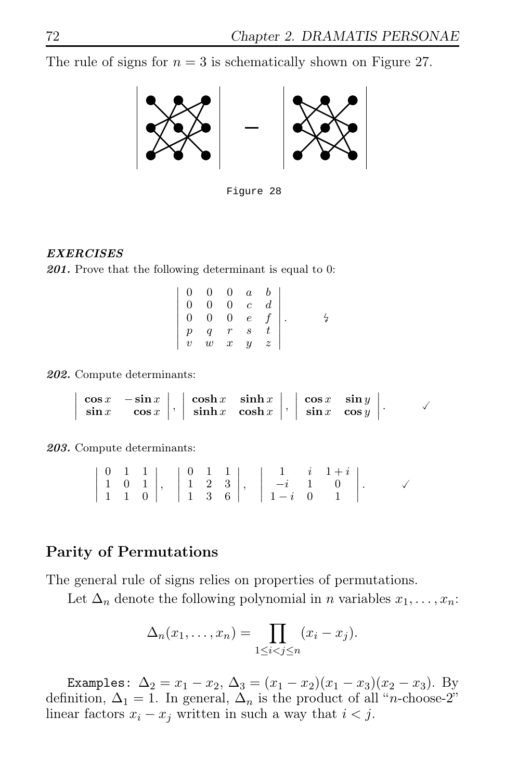The rule of signs for  $n = 3$  is schematically shown on Figure 27.



Figure 28

#### *EXERCISES*

*201.* Prove that the following determinant is equal to 0:

|  |  | $\left \begin{array}{cccc} 0 & 0 & 0 & a & b \\ 0 & 0 & 0 & c & d \\ 0 & 0 & 0 & e & f \\ p & q & r & s & t \\ v & w & x & y & z \end{array}\right .$ |
|--|--|-------------------------------------------------------------------------------------------------------------------------------------------------------|

*202.* Compute determinants:

 $\mid$ I  $\overline{\phantom{a}}$  $\mid$  $\begin{array}{cc} \cos x & -\sin x \\ \sin x & \cos x \end{array}$  $\begin{array}{c} \begin{array}{c} \begin{array}{c} \begin{array}{c} \end{array} \\ \end{array} \end{array} \end{array}$ ,      $\cosh x$   $\sinh x$  $\sinh x$  cosh x  $\begin{array}{c} \n\end{array}$ ,      $\cos x$   $\sin y$  $\sin x$  cos y  $\checkmark$ 

*203.* Compute determinants:

|  |  |  |  | $\left \begin{array}{ccc c} 0 & 1 & 1 \\ 1 & 0 & 1 \\ 1 & 1 & 0 \end{array}\right ,\quad \left \begin{array}{ccc c} 0 & 1 & 1 \\ 1 & 2 & 3 \\ 1 & 3 & 6 \end{array}\right ,\quad \left \begin{array}{ccc c} 1 & i & 1+i \\ -i & 1 & 0 \\ 1-i & 0 & 1 \end{array}\right .$ |  |  |
|--|--|--|--|---------------------------------------------------------------------------------------------------------------------------------------------------------------------------------------------------------------------------------------------------------------------------|--|--|

### Parity of Permutations

The general rule of signs relies on properties of permutations.

Let  $\Delta_n$  denote the following polynomial in *n* variables  $x_1, \ldots, x_n$ :

$$
\Delta_n(x_1,\ldots,x_n)=\prod_{1\leq i
$$

Examples:  $\Delta_2 = x_1 - x_2$ ,  $\Delta_3 = (x_1 - x_2)(x_1 - x_3)(x_2 - x_3)$ . By definition,  $\Delta_1 = 1$ . In general,  $\Delta_n$  is the product of all "*n*-choose-2" linear factors  $x_i - x_j$  written in such a way that  $i < j$ .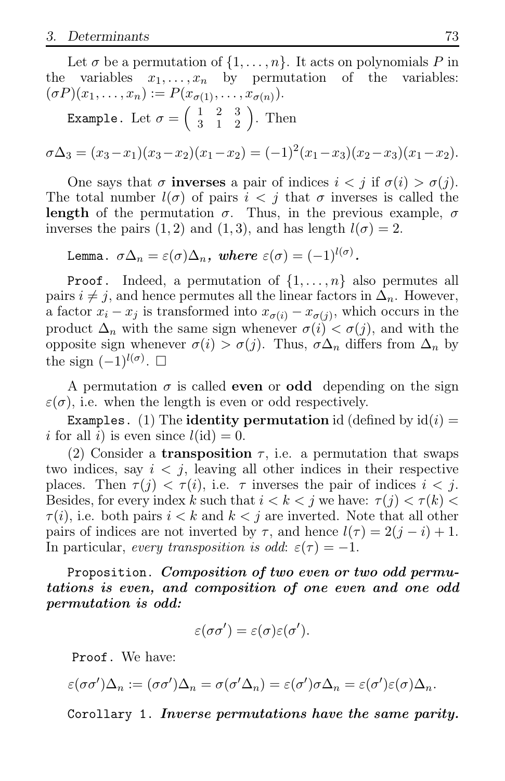Let  $\sigma$  be a permutation of  $\{1, \ldots, n\}$ . It acts on polynomials P in variables:<br>variables  $x_1, \ldots, x_n$  by permutation of the variables: the variables  $x_1, \ldots, x_n$  by permutation  $(\sigma P)(x_1, ..., x_n) := P(x_{\sigma(1)}, ..., x_{\sigma(n)}).$ Example. Let  $\sigma = \begin{pmatrix} 1 & 2 & 3 \\ 3 & 1 & 2 \end{pmatrix}$ . Then

$$
\sigma\Delta_3=(x_3-x_1)(x_3-x_2)(x_1-x_2)=(-1)^2(x_1-x_3)(x_2-x_3)(x_1-x_2).
$$

One says that  $\sigma$  inverses a pair of indices  $i < j$  if  $\sigma(i) > \sigma(j)$ . The total number  $l(\sigma)$  of pairs  $i < j$  that  $\sigma$  inverses is called the length of the permutation  $\sigma$ . Thus, in the previous example,  $\sigma$ inverses the pairs (1, 2) and (1, 3), and has length  $l(\sigma) = 2$ .

Lemma.  $\sigma \Delta_n = \varepsilon(\sigma) \Delta_n$ , where  $\varepsilon(\sigma) = (-1)^{l(\sigma)}$ .

**Proof.** Indeed, a permutation of  $\{1, \ldots, n\}$  also permutes all pairs  $i \neq j$ , and hence permutes all the linear factors in  $\Delta_n$ . However, a factor  $x_i - x_j$  is transformed into  $x_{\sigma(i)} - x_{\sigma(j)}$ , which occurs in the product  $\Delta_n$  with the same sign whenever  $\sigma(i) < \sigma(j)$ , and with the opposite sign whenever  $\sigma(i) > \sigma(j)$ . Thus,  $\sigma \Delta_n$  differs from  $\Delta_n$  by the sign  $(-1)^{l(\sigma)}$ .  $\square$ 

A permutation  $\sigma$  is called **even** or **odd** depending on the sign  $\varepsilon(\sigma)$ , i.e. when the length is even or odd respectively.

Examples. (1) The identity permutation id (defined by  $id(i) =$ i for all i) is even since  $l(\mathrm{id}) = 0$ .

(2) Consider a **transposition**  $\tau$ , i.e. a permutation that swaps two indices, say  $i < j$ , leaving all other indices in their respective places. Then  $\tau(j) < \tau(i)$ , i.e.  $\tau$  inverses the pair of indices  $i < j$ . Besides, for every index k such that  $i < k < j$  we have:  $\tau(j) < \tau(k)$  $\tau(i)$ , i.e. both pairs  $i < k$  and  $k < j$  are inverted. Note that all other pairs of indices are not inverted by  $\tau$ , and hence  $l(\tau) = 2(j - i) + 1$ . In particular, every transposition is odd:  $\varepsilon(\tau) = -1$ .

Proposition. *Composition of two even or two odd permutations is even, and composition of one even and one odd permutation is odd:*

$$
\varepsilon(\sigma\sigma')=\varepsilon(\sigma)\varepsilon(\sigma').
$$

Proof. We have:

$$
\varepsilon(\sigma\sigma')\Delta_n := (\sigma\sigma')\Delta_n = \sigma(\sigma'\Delta_n) = \varepsilon(\sigma')\sigma\Delta_n = \varepsilon(\sigma')\varepsilon(\sigma)\Delta_n.
$$

Corollary 1. *Inverse permutations have the same parity.*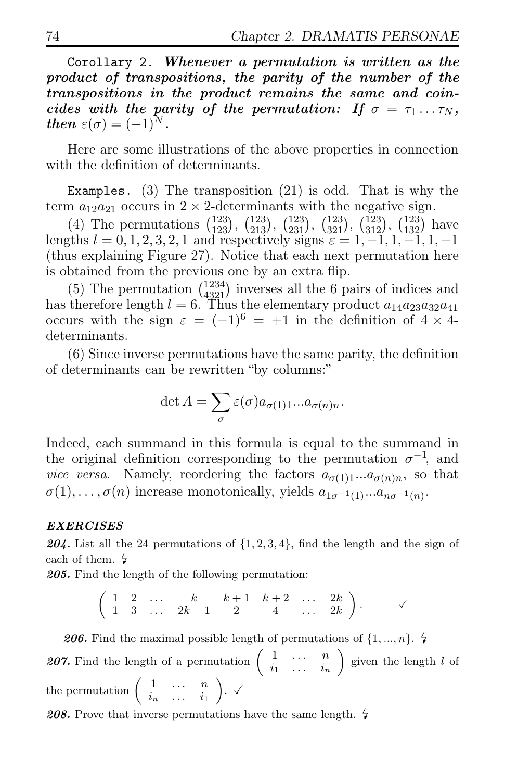Corollary 2. *Whenever a permutation is written as the product of transpositions, the parity of the number of the transpositions in the product remains the same and coincides with the parity of the permutation:* If  $\sigma = \tau_1 \dots \tau_N$ , *then*  $\varepsilon(\sigma) = (-1)^N$ .

Here are some illustrations of the above properties in connection with the definition of determinants.

Examples. (3) The transposition (21) is odd. That is why the term  $a_{12}a_{21}$  occurs in  $2 \times 2$ -determinants with the negative sign.

(4) The permutations  $\binom{123}{123}$ ,  $\binom{123}{231}$ ,  $\binom{123}{231}$ ,  $\binom{123}{321}$ ,  $\binom{123}{132}$ ,  $\binom{123}{132}$  have lengths  $l = 0, 1, 2, 3, 2, 1$  and respectively signs  $\varepsilon = 1, -1, 1, -1, 1, -1$ (thus explaining Figure 27). Notice that each next permutation here is obtained from the previous one by an extra flip.

(5) The permutation  $\binom{1234}{4321}$  inverses all the 6 pairs of indices and has therefore length  $l = 6$ . Thus the elementary product  $a_{14}a_{23}a_{32}a_{41}$ occurs with the sign  $\varepsilon = (-1)^6 = +1$  in the definition of  $4 \times 4$ determinants.

(6) Since inverse permutations have the same parity, the definition of determinants can be rewritten "by columns:"

$$
\det A = \sum_{\sigma} \varepsilon(\sigma) a_{\sigma(1)1} \dots a_{\sigma(n)n}.
$$

Indeed, each summand in this formula is equal to the summand in the original definition corresponding to the permutation  $\sigma^{-1}$ , and vice versa. Namely, reordering the factors  $a_{\sigma(1)1}...a_{\sigma(n)n}$ , so that  $\sigma(1), \ldots, \sigma(n)$  increase monotonically, yields  $a_{1\sigma^{-1}(1)}...a_{n\sigma^{-1}(n)}$ .

#### *EXERCISES*

**204.** List all the 24 permutations of  $\{1, 2, 3, 4\}$ , find the length and the sign of each of them.

*205.* Find the length of the following permutation:

$$
\left(\begin{array}{ccccccccc}\n1 & 2 & \ldots & k & k+1 & k+2 & \ldots & 2k \\
1 & 3 & \ldots & 2k-1 & 2 & 4 & \ldots & 2k\n\end{array}\right).
$$

**206.** Find the maximal possible length of permutations of  $\{1, ..., n\}$ . **207.** Find the length of a permutation  $\begin{pmatrix} 1 & \cdots & n \\ \vdots & \cdots & \vdots \end{pmatrix}$  $i_1 \ldots i_n$ ) given the length  $l$  of the permutation  $\begin{pmatrix} 1 & \cdots & n \\ \vdots & \vdots & \vdots \end{pmatrix}$  $i_n \ldots i_1$ ).  $\checkmark$ 

208. Prove that inverse permutations have the same length.  $\frac{1}{4}$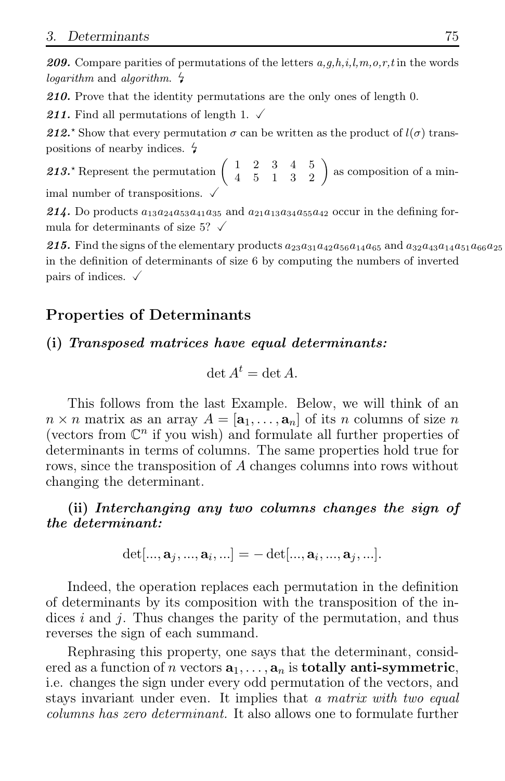**209.** Compare parities of permutations of the letters  $a, g, h, i, l, m, o, r, t$  in the words logarithm and algorithm.  $\frac{1}{4}$ 

*210.* Prove that the identity permutations are the only ones of length 0.

211. Find all permutations of length 1.  $\checkmark$ 

212<sup>\*</sup> Show that every permutation  $\sigma$  can be written as the product of  $l(\sigma)$  transpositions of nearby indices.

213.<sup>\*</sup> Represent the permutation  $\begin{pmatrix} 1 & 2 & 3 & 4 & 5 \\ 4 & 5 & 1 & 3 & 2 \end{pmatrix}$  as composition of a minimal number of transpositions.  $\sqrt{ }$ 

**214.** Do products  $a_{13}a_{24}a_{53}a_{41}a_{35}$  and  $a_{21}a_{13}a_{34}a_{55}a_{42}$  occur in the defining formula for determinants of size 5?  $\checkmark$ 

**215.** Find the signs of the elementary products  $a_{23}a_{31}a_{42}a_{56}a_{14}a_{65}$  and  $a_{32}a_{43}a_{14}a_{51}a_{66}a_{25}$ in the definition of determinants of size 6 by computing the numbers of inverted pairs of indices.  $\sqrt{ }$ 

### Properties of Determinants

### (i) *Transposed matrices have equal determinants:*

$$
\det A^t = \det A.
$$

This follows from the last Example. Below, we will think of an  $n \times n$  matrix as an array  $A = [\mathbf{a}_1, \dots, \mathbf{a}_n]$  of its n columns of size n (vectors from  $\mathbb{C}^n$  if you wish) and formulate all further properties of determinants in terms of columns. The same properties hold true for rows, since the transposition of A changes columns into rows without changing the determinant.

(ii) *Interchanging any two columns changes the sign of the determinant:*

$$
\det[...,\mathbf{a}_j,...,\mathbf{a}_i,...] = -\det[...,\mathbf{a}_i,...,\mathbf{a}_j,...].
$$

Indeed, the operation replaces each permutation in the definition of determinants by its composition with the transposition of the indices i and j. Thus changes the parity of the permutation, and thus reverses the sign of each summand.

Rephrasing this property, one says that the determinant, considered as a function of n vectors  $a_1, \ldots, a_n$  is **totally anti-symmetric**, i.e. changes the sign under every odd permutation of the vectors, and stays invariant under even. It implies that a matrix with two equal columns has zero determinant. It also allows one to formulate further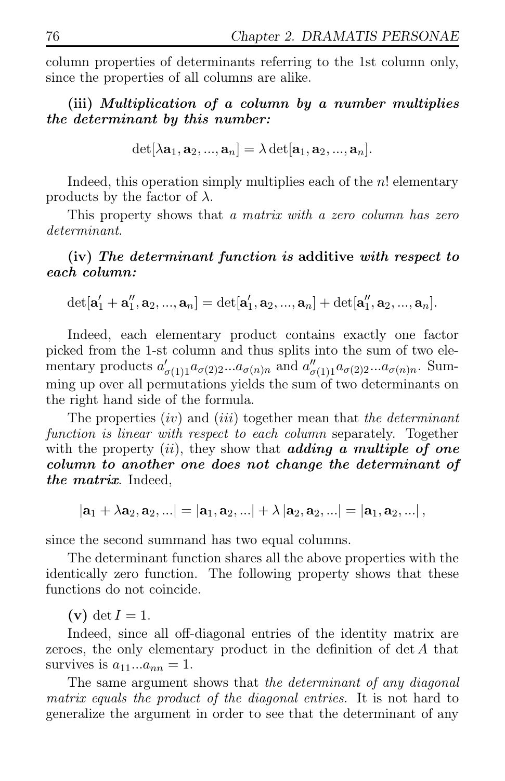column properties of determinants referring to the 1st column only, since the properties of all columns are alike.

(iii) *Multiplication of a column by a number multiplies the determinant by this number:*

$$
\det[\lambda {\bf a}_1,{\bf a}_2,...,{\bf a}_n]=\lambda \det[{\bf a}_1,{\bf a}_2,...,{\bf a}_n].
$$

Indeed, this operation simply multiplies each of the n! elementary products by the factor of  $\lambda$ .

This property shows that a matrix with a zero column has zero determinant.

(iv) *The determinant function is* additive *with respect to each column:*

$$
\det[\mathbf{a}'_1+\mathbf{a}''_1,\mathbf{a}_2,...,\mathbf{a}_n]=\det[\mathbf{a}'_1,\mathbf{a}_2,...,\mathbf{a}_n]+\det[\mathbf{a}''_1,\mathbf{a}_2,...,\mathbf{a}_n].
$$

Indeed, each elementary product contains exactly one factor picked from the 1-st column and thus splits into the sum of two elementary products  $a'_{\sigma(1)1}a_{\sigma(2)2}...a_{\sigma(n)n}$  and  $a''_{\sigma(1)1}a_{\sigma(2)2}...a_{\sigma(n)n}$ . Summing up over all permutations yields the sum of two determinants on the right hand side of the formula.

The properties  $(iv)$  and  $(iii)$  together mean that the determinant function is linear with respect to each column separately. Together with the property *(ii)*, they show that *adding a multiple of one column to another one does not change the determinant of the matrix*. Indeed,

$$
|\mathbf{a}_1 + \lambda \mathbf{a}_2, \mathbf{a}_2, \ldots| = |\mathbf{a}_1, \mathbf{a}_2, \ldots| + \lambda |\mathbf{a}_2, \mathbf{a}_2, \ldots| = |\mathbf{a}_1, \mathbf{a}_2, \ldots|,
$$

since the second summand has two equal columns.

The determinant function shares all the above properties with the identically zero function. The following property shows that these functions do not coincide.

 $(v) det I = 1.$ 

Indeed, since all off-diagonal entries of the identity matrix are zeroes, the only elementary product in the definition of det A that survives is  $a_{11}...a_{nn} = 1$ .

The same argument shows that the determinant of any diagonal matrix equals the product of the diagonal entries. It is not hard to generalize the argument in order to see that the determinant of any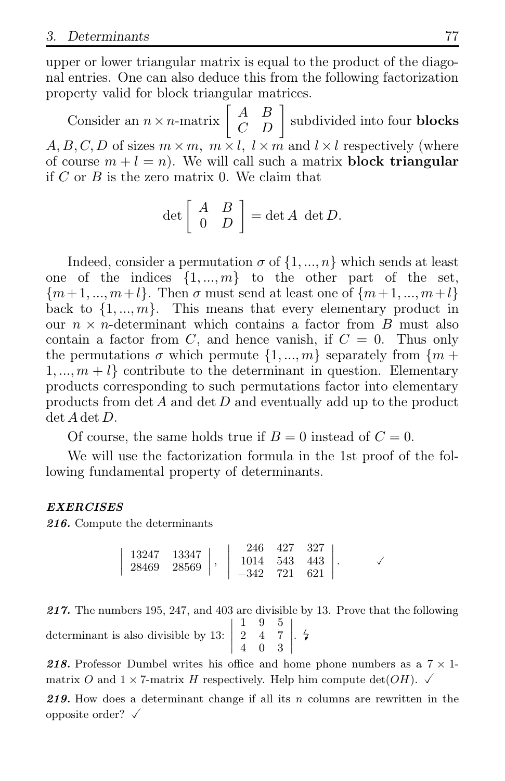upper or lower triangular matrix is equal to the product of the diagonal entries. One can also deduce this from the following factorization property valid for block triangular matrices.

Consider an  $n \times n$ -matrix  $\begin{bmatrix} A & B \\ C & D \end{bmatrix}$  subdivided into four **blocks**  $A, B, C, D$  of sizes  $m \times m$ ,  $m \times l$ ,  $l \times m$  and  $l \times l$  respectively (where of course  $m + l = n$ ). We will call such a matrix **block triangular** if  $C$  or  $B$  is the zero matrix 0. We claim that

$$
\det \left[ \begin{array}{cc} A & B \\ 0 & D \end{array} \right] = \det A \ \det D.
$$

Indeed, consider a permutation  $\sigma$  of  $\{1, ..., n\}$  which sends at least one of the indices  $\{1, ..., m\}$  to the other part of the set,  ${m+1, ..., m+l}$ . Then  $\sigma$  must send at least one of  ${m+1, ..., m+l}$ back to  $\{1, ..., m\}$ . This means that every elementary product in our  $n \times n$ -determinant which contains a factor from B must also contain a factor from C, and hence vanish, if  $C = 0$ . Thus only the permutations  $\sigma$  which permute  $\{1, ..., m\}$  separately from  $\{m +$  $1, \ldots, m+l$  contribute to the determinant in question. Elementary products corresponding to such permutations factor into elementary products from  $\det A$  and  $\det D$  and eventually add up to the product det A det D.

Of course, the same holds true if  $B = 0$  instead of  $C = 0$ .

We will use the factorization formula in the 1st proof of the following fundamental property of determinants.

#### *EXERCISES*

*216.* Compute the determinants

$$
\left|\begin{array}{cc} 13247 & 13347 \\ 28469 & 28569 \end{array}\right|, \left|\begin{array}{cc} 246 & 427 & 327 \\ 1014 & 543 & 443 \\ -342 & 721 & 621 \end{array}\right|.
$$

*217.* The numbers 195, 247, and 403 are divisible by 13. Prove that the following determinant is also divisible by 13:  $\begin{array}{c} \begin{array}{c} \begin{array}{c} \begin{array}{c} \end{array} \\ \begin{array}{c} \end{array} \end{array} \end{array} \end{array}$  $\frac{1}{2}$ 1 9 5 2 4 7 4 0 3  $\begin{matrix} \cdot & 4 \end{matrix}$  $\frac{1}{2}$ 

**218.** Professor Dumbel writes his office and home phone numbers as a  $7 \times 1$ matrix O and  $1 \times 7$ -matrix H respectively. Help him compute det(OH).  $\checkmark$ 

*219.* How does a determinant change if all its n columns are rewritten in the opposite order?  $\checkmark$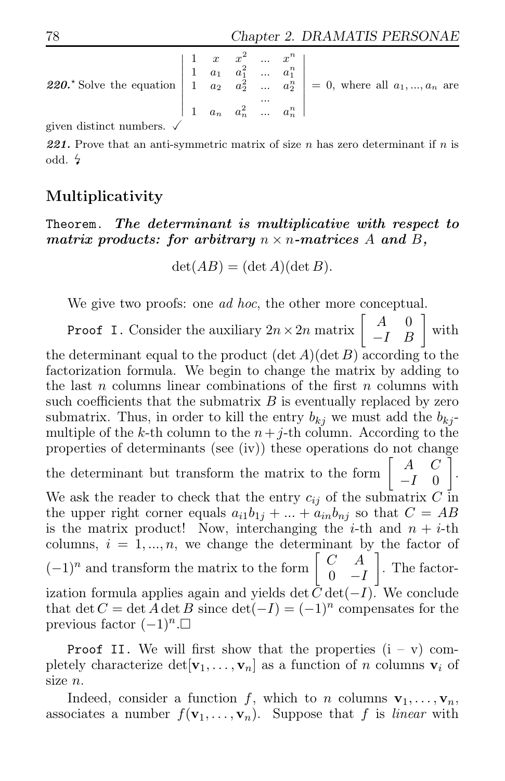**220.** Solve the equation 
$$
\begin{vmatrix} 1 & x & x^2 & \dots & x^n \\ 1 & a_1 & a_1^2 & \dots & a_1^n \\ 1 & a_2 & a_2^2 & \dots & a_2^n \\ 1 & a_n & a_n^2 & \dots & a_n^n \end{vmatrix} = 0
$$
, where all  $a_1, ..., a_n$  are

given distinct numbers.

**221.** Prove that an anti-symmetric matrix of size  $n$  has zero determinant if  $n$  is odd.  $\frac{1}{2}$ 

### Multiplicativity

Theorem. *The determinant is multiplicative with respect to matrix products: for arbitrary*  $n \times n$ -matrices A and B,

 $\det(AB) = (\det A)(\det B).$ 

We give two proofs: one *ad hoc*, the other more conceptual.

**Proof I.** Consider the auxiliary  $2n \times 2n$  matrix  $\begin{bmatrix} A & 0 \\ -I & B \end{bmatrix}$ with

the determinant equal to the product  $(\det A)(\det B)$  according to the factorization formula. We begin to change the matrix by adding to the last n columns linear combinations of the first  $n$  columns with such coefficients that the submatrix  $B$  is eventually replaced by zero submatrix. Thus, in order to kill the entry  $b_{ki}$  we must add the  $b_{ki}$ multiple of the k-th column to the  $n+j$ -th column. According to the properties of determinants (see (iv)) these operations do not change the determinant but transform the matrix to the form  $\begin{bmatrix} A & C \\ I & 0 \end{bmatrix}$  $-I \quad 0$ Ĭ . We ask the reader to check that the entry  $c_{ij}$  of the submatrix C in the upper right corner equals  $a_{i1}b_{1j} + ... + a_{in}b_{nj}$  so that  $C = AB$ is the matrix product! Now, interchanging the *i*-th and  $n + i$ -th columns,  $i = 1, ..., n$ , we change the determinant by the factor of  $(-1)^n$  and transform the matrix to the form  $\begin{bmatrix} C & A \\ 0 & -I \end{bmatrix}$  $0 \t -I$  $\overline{1}$ . The factorization formula applies again and yields det  $\bar{C}$  det( $-I$ ). We conclude that det  $C = \det A \det B$  since  $\det(-I) = (-1)^n$  compensates for the previous factor  $(-1)^n$ . $□$ 

**Proof II.** We will first show that the properties  $(i - v)$  completely characterize  $\det[\mathbf{v}_1, \ldots, \mathbf{v}_n]$  as a function of n columns  $\mathbf{v}_i$  of size n.

Indeed, consider a function f, which to n columns  $\mathbf{v}_1, \ldots, \mathbf{v}_n$ , associates a number  $f(\mathbf{v}_1, \dots, \mathbf{v}_n)$ . Suppose that f is linear with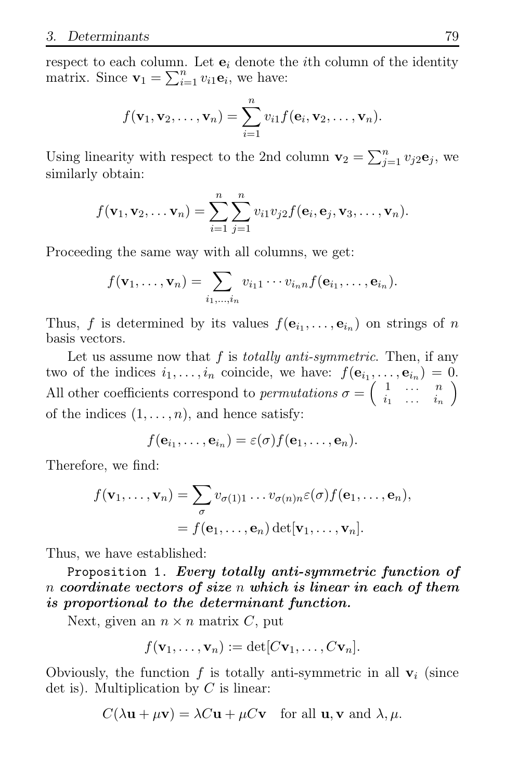respect to each column. Let  $e_i$  denote the *i*th column of the identity matrix. Since  $\mathbf{v}_1 = \sum_{i=1}^n v_{i1} \mathbf{e}_i$ , we have:

$$
f(\mathbf{v}_1, \mathbf{v}_2, \dots, \mathbf{v}_n) = \sum_{i=1}^n v_{i1} f(\mathbf{e}_i, \mathbf{v}_2, \dots, \mathbf{v}_n).
$$

Using linearity with respect to the 2nd column  $\mathbf{v}_2 = \sum_{j=1}^n v_j 2 \mathbf{e}_j$ , we similarly obtain:

$$
f(\mathbf{v}_1, \mathbf{v}_2, \dots \mathbf{v}_n) = \sum_{i=1}^n \sum_{j=1}^n v_{i1} v_{j2} f(\mathbf{e}_i, \mathbf{e}_j, \mathbf{v}_3, \dots, \mathbf{v}_n).
$$

Proceeding the same way with all columns, we get:

$$
f(\mathbf{v}_1,\ldots,\mathbf{v}_n)=\sum_{i_1,\ldots,i_n}v_{i_11}\cdots v_{i_n}f(\mathbf{e}_{i_1},\ldots,\mathbf{e}_{i_n}).
$$

Thus, f is determined by its values  $f(\mathbf{e}_{i_1}, \ldots, \mathbf{e}_{i_n})$  on strings of n basis vectors.

Let us assume now that  $f$  is *totally anti-symmetric*. Then, if any two of the indices  $i_1, \ldots, i_n$  coincide, we have:  $f(\mathbf{e}_{i_1}, \ldots, \mathbf{e}_{i_n}) = 0$ . All other coefficients correspond to *permutations*  $\sigma = \begin{pmatrix} 1 & \cdots & n \\ \vdots & \cdots & \vdots \end{pmatrix}$  $i_1 \ldots i_n$  $\overline{ }$ of the indices  $(1, \ldots, n)$ , and hence satisfy:

$$
f(\mathbf{e}_{i_1},\ldots,\mathbf{e}_{i_n})=\varepsilon(\sigma)f(\mathbf{e}_1,\ldots,\mathbf{e}_n).
$$

Therefore, we find:

$$
f(\mathbf{v}_1,\ldots,\mathbf{v}_n)=\sum_{\sigma}v_{\sigma(1)1}\ldots v_{\sigma(n)n}\varepsilon(\sigma)f(\mathbf{e}_1,\ldots,\mathbf{e}_n),
$$
  
=  $f(\mathbf{e}_1,\ldots,\mathbf{e}_n)\det[\mathbf{v}_1,\ldots,\mathbf{v}_n].$ 

Thus, we have established:

Proposition 1. *Every totally anti-symmetric function of* n *coordinate vectors of size* n *which is linear in each of them is proportional to the determinant function.*

Next, given an  $n \times n$  matrix C, put

$$
f(\mathbf{v}_1,\ldots,\mathbf{v}_n):=\det [C\mathbf{v}_1,\ldots,C\mathbf{v}_n].
$$

Obviously, the function f is totally anti-symmetric in all  $v_i$  (since det is). Multiplication by  $C$  is linear:

$$
C(\lambda \mathbf{u} + \mu \mathbf{v}) = \lambda C \mathbf{u} + \mu C \mathbf{v}
$$
 for all **u**, **v** and  $\lambda$ ,  $\mu$ .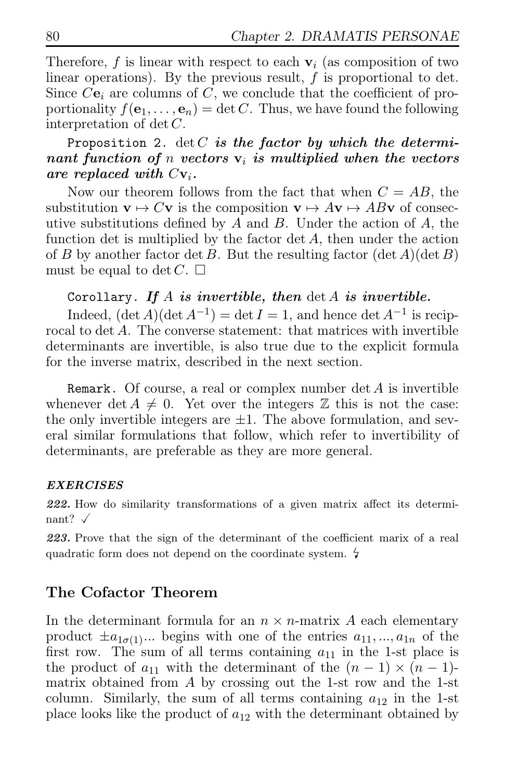Therefore, f is linear with respect to each  $v_i$  (as composition of two linear operations). By the previous result,  $f$  is proportional to det. Since  $Ce_i$  are columns of C, we conclude that the coefficient of proportionality  $f(\mathbf{e}_1, \dots, \mathbf{e}_n) = \det C$ . Thus, we have found the following interpretation of det  $C$ .

### Proposition 2.  $\det C$  *is the factor by which the determinant function of n vectors*  $v_i$  *is multiplied when the vectors are replaced with*  $Cv_i$ .

Now our theorem follows from the fact that when  $C = AB$ , the substitution  $\mathbf{v} \mapsto C\mathbf{v}$  is the composition  $\mathbf{v} \mapsto A\mathbf{v} \mapsto AB\mathbf{v}$  of consecutive substitutions defined by  $A$  and  $B$ . Under the action of  $A$ , the function det is multiplied by the factor  $\det A$ , then under the action of B by another factor det B. But the resulting factor  $(\det A)(\det B)$ must be equal to det  $C$ .  $\Box$ 

### Corollary. *If* A *is invertible, then* det A *is invertible.*

Indeed,  $(\det A)(\det A^{-1}) = \det I = 1$ , and hence  $\det A^{-1}$  is reciprocal to det A. The converse statement: that matrices with invertible determinants are invertible, is also true due to the explicit formula for the inverse matrix, described in the next section.

**Remark.** Of course, a real or complex number  $\det A$  is invertible whenever  $\det A \neq 0$ . Yet over the integers Z this is not the case: the only invertible integers are  $\pm 1$ . The above formulation, and several similar formulations that follow, which refer to invertibility of determinants, are preferable as they are more general.

### *EXERCISES*

*222.* How do similarity transformations of a given matrix affect its determinant?  $\checkmark$ 

*223.* Prove that the sign of the determinant of the coefficient marix of a real quadratic form does not depend on the coordinate system.  $\frac{1}{4}$ 

### The Cofactor Theorem

In the determinant formula for an  $n \times n$ -matrix A each elementary product  $\pm a_{1\sigma(1)}$ ... begins with one of the entries  $a_{11},...,a_{1n}$  of the first row. The sum of all terms containing  $a_{11}$  in the 1-st place is the product of  $a_{11}$  with the determinant of the  $(n-1) \times (n-1)$ matrix obtained from  $A$  by crossing out the 1-st row and the 1-st column. Similarly, the sum of all terms containing  $a_{12}$  in the 1-st place looks like the product of  $a_{12}$  with the determinant obtained by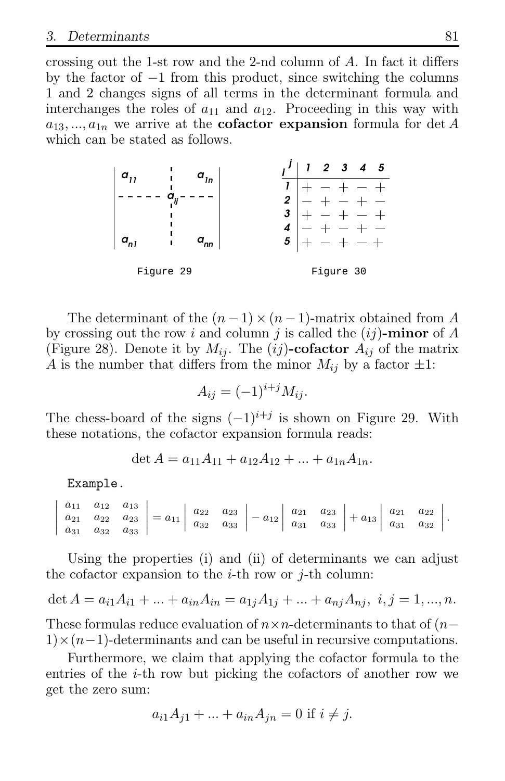crossing out the 1-st row and the 2-nd column of A. In fact it differs by the factor of −1 from this product, since switching the columns 1 and 2 changes signs of all terms in the determinant formula and interchanges the roles of  $a_{11}$  and  $a_{12}$ . Proceeding in this way with  $a_{13},...,a_{1n}$  we arrive at the **cofactor expansion** formula for det A which can be stated as follows.



The determinant of the  $(n-1) \times (n-1)$ -matrix obtained from A by crossing out the row i and column j is called the  $(i)$ -minor of A (Figure 28). Denote it by  $M_{ij}$ . The  $(ij)$ -cofactor  $A_{ij}$  of the matrix A is the number that differs from the minor  $M_{ij}$  by a factor  $\pm 1$ :

$$
A_{ij} = (-1)^{i+j} M_{ij}.
$$

The chess-board of the signs  $(-1)^{i+j}$  is shown on Figure 29. With these notations, the cofactor expansion formula reads:

$$
\det A = a_{11}A_{11} + a_{12}A_{12} + \dots + a_{1n}A_{1n}.
$$

Example.

|  |  |  | $\begin{vmatrix} a_{11} & a_{12} & a_{13} \ a_{21} & a_{22} & a_{23} \ a_{31} & a_{32} & a_{33} \end{vmatrix} = a_{11} \begin{vmatrix} a_{22} & a_{23} \ a_{32} & a_{33} \end{vmatrix} - a_{12} \begin{vmatrix} a_{21} & a_{23} \ a_{31} & a_{33} \end{vmatrix} + a_{13} \begin{vmatrix} a_{21} & a_{22} \ a_{31} & a_{32} \end{vmatrix}.$ |  |  |  |
|--|--|--|--------------------------------------------------------------------------------------------------------------------------------------------------------------------------------------------------------------------------------------------------------------------------------------------------------------------------------------------|--|--|--|
|  |  |  |                                                                                                                                                                                                                                                                                                                                            |  |  |  |

Using the properties (i) and (ii) of determinants we can adjust the cofactor expansion to the *i*-th row or *j*-th column:

$$
\det A = a_{i1}A_{i1} + \dots + a_{in}A_{in} = a_{1j}A_{1j} + \dots + a_{nj}A_{nj}, \ i, j = 1, \dots, n.
$$

These formulas reduce evaluation of  $n \times n$ -determinants to that of  $(n 1) \times (n-1)$ -determinants and can be useful in recursive computations.

Furthermore, we claim that applying the cofactor formula to the entries of the i-th row but picking the cofactors of another row we get the zero sum:

$$
a_{i1}A_{j1} + \dots + a_{in}A_{jn} = 0 \text{ if } i \neq j.
$$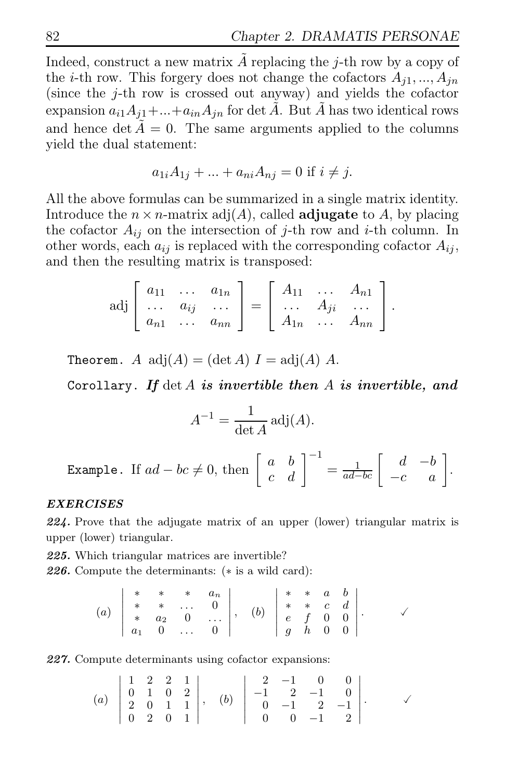Indeed, construct a new matrix  $\tilde{A}$  replacing the j-th row by a copy of the *i*-th row. This forgery does not change the cofactors  $A_{i1},...,A_{in}$ (since the j-th row is crossed out anyway) and yields the cofactor expansion  $a_{i1}A_{i1} + ... + a_{in}A_{in}$  for det  $\tilde{A}$ . But  $\tilde{A}$  has two identical rows and hence det  $\tilde{A} = 0$ . The same arguments applied to the columns yield the dual statement:

$$
a_{1i}A_{1j} + ... + a_{ni}A_{nj} = 0
$$
 if  $i \neq j$ .

All the above formulas can be summarized in a single matrix identity. Introduce the  $n \times n$ -matrix adj $(A)$ , called **adjugate** to A, by placing the cofactor  $A_{ij}$  on the intersection of j-th row and i-th column. In other words, each  $a_{ij}$  is replaced with the corresponding cofactor  $A_{ij}$ , and then the resulting matrix is transposed:

$$
\text{adj}\left[\begin{array}{ccc} a_{11} & \dots & a_{1n} \\ \dots & a_{ij} & \dots \\ a_{n1} & \dots & a_{nn} \end{array}\right] = \left[\begin{array}{ccc} A_{11} & \dots & A_{n1} \\ \dots & A_{ji} & \dots \\ A_{1n} & \dots & A_{nn} \end{array}\right].
$$

Theorem. A  $\text{adj}(A) = (\det A) I = \text{adj}(A) A$ .

Corollary. *If* det A *is invertible then* A *is invertible, and*

$$
A^{-1} = \frac{1}{\det A} \operatorname{adj}(A).
$$
  
Example. If  $ad - bc \neq 0$ , then  $\begin{bmatrix} a & b \\ c & d \end{bmatrix}^{-1} = \frac{1}{ad - bc} \begin{bmatrix} d & -b \\ -c & a \end{bmatrix}$ 

.

#### *EXERCISES*

*224.* Prove that the adjugate matrix of an upper (lower) triangular matrix is upper (lower) triangular.

*225.* Which triangular matrices are invertible?

*226.* Compute the determinants: (∗ is a wild card):

(a) 
$$
\begin{vmatrix} * & * & * & a_n \\ * & * & \cdots & 0 \\ * & a_2 & 0 & \cdots \\ a_1 & 0 & \cdots & 0 \end{vmatrix}
$$
, (b)  $\begin{vmatrix} * & * & a & b \\ * & * & c & d \\ e & f & 0 & 0 \\ g & h & 0 & 0 \end{vmatrix}$ .

*227.* Compute determinants using cofactor expansions:

(a) 
$$
\begin{vmatrix} 1 & 2 & 2 & 1 \\ 0 & 1 & 0 & 2 \\ 2 & 0 & 1 & 1 \\ 0 & 2 & 0 & 1 \end{vmatrix}
$$
, (b)  $\begin{vmatrix} 2 & -1 & 0 & 0 \\ -1 & 2 & -1 & 0 \\ 0 & -1 & 2 & -1 \\ 0 & 0 & -1 & 2 \end{vmatrix}$ .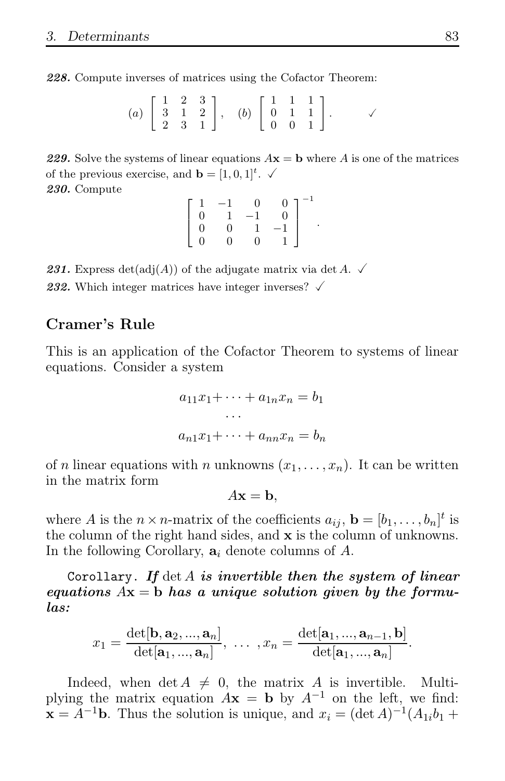*228.* Compute inverses of matrices using the Cofactor Theorem:

(a) 
$$
\begin{bmatrix} 1 & 2 & 3 \\ 3 & 1 & 2 \\ 2 & 3 & 1 \end{bmatrix}
$$
, (b)  $\begin{bmatrix} 1 & 1 & 1 \\ 0 & 1 & 1 \\ 0 & 0 & 1 \end{bmatrix}$ .

**229.** Solve the systems of linear equations  $A\mathbf{x} = \mathbf{b}$  where A is one of the matrices of the previous exercise, and  $\mathbf{b} = [1, 0, 1]^t$ .  $\checkmark$ *230.* Compute

$$
\left[\begin{array}{rrrr}1 & -1 & 0 & 0 \\0 & 1 & -1 & 0 \\0 & 0 & 1 & -1 \\0 & 0 & 0 & 1\end{array}\right]^{-1}
$$

.

**231.** Express  $det(adj(A))$  of the adjugate matrix via  $det A$ .  $\checkmark$ 

**232.** Which integer matrices have integer inverses?  $\checkmark$ 

### Cramer's Rule

This is an application of the Cofactor Theorem to systems of linear equations. Consider a system

$$
a_{11}x_1 + \dots + a_{1n}x_n = b_1
$$
  
...  

$$
a_{n1}x_1 + \dots + a_{nn}x_n = b_n
$$

of n linear equations with n unknowns  $(x_1, \ldots, x_n)$ . It can be written in the matrix form

$$
A\mathbf{x} = \mathbf{b},
$$

where A is the  $n \times n$ -matrix of the coefficients  $a_{ij}$ ,  $\mathbf{b} = [b_1, \ldots, b_n]^t$  is the column of the right hand sides, and  $\boldsymbol{\mathrm{x}}$  is the column of unknowns. In the following Corollary,  $a_i$  denote columns of A.

Corollary. *If* det A *is invertible then the system of linear equations* Ax = b *has a unique solution given by the formulas:*

$$
x_1 = \frac{\det[\mathbf{b}, \mathbf{a}_2, ..., \mathbf{a}_n]}{\det[\mathbf{a}_1, ..., \mathbf{a}_n]}, \ \dots \ , x_n = \frac{\det[\mathbf{a}_1, ..., \mathbf{a}_{n-1}, \mathbf{b}]}{\det[\mathbf{a}_1, ..., \mathbf{a}_n]}.
$$

Indeed, when  $\det A \neq 0$ , the matrix A is invertible. Multiplying the matrix equation  $A\mathbf{x} = \mathbf{b}$  by  $A^{-1}$  on the left, we find:  $\mathbf{x} = A^{-1}\mathbf{b}$ . Thus the solution is unique, and  $x_i = (\det A)^{-1}(A_{1i}b_1 +$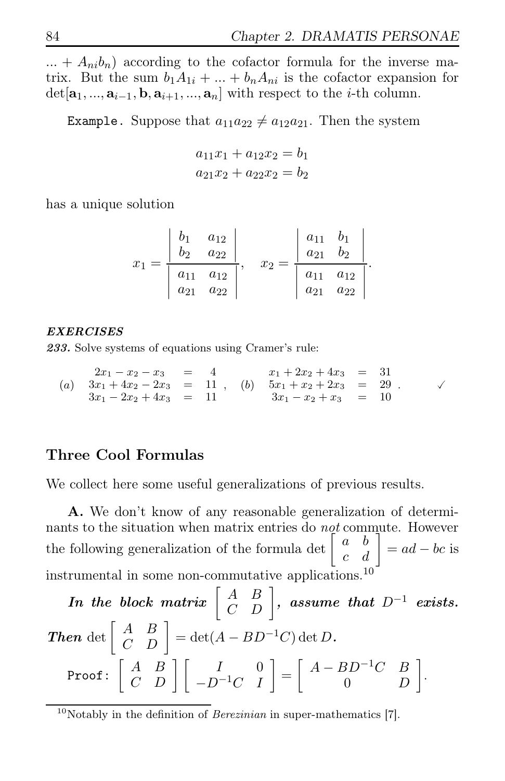$... + A_{ni}b_n$  according to the cofactor formula for the inverse matrix. But the sum  $b_1A_{1i} + ... + b_nA_{ni}$  is the cofactor expansion for  $\det[\mathbf{a}_1, ..., \mathbf{a}_{i-1}, \mathbf{b}, \mathbf{a}_{i+1}, ..., \mathbf{a}_n]$  with respect to the *i*-th column.

Example. Suppose that  $a_{11}a_{22} \neq a_{12}a_{21}$ . Then the system

$$
a_{11}x_1 + a_{12}x_2 = b_1
$$
  

$$
a_{21}x_2 + a_{22}x_2 = b_2
$$

has a unique solution

$$
x_1 = \frac{\begin{vmatrix} b_1 & a_{12} \\ b_2 & a_{22} \end{vmatrix}}{\begin{vmatrix} a_{11} & a_{12} \\ a_{21} & a_{22} \end{vmatrix}}, \quad x_2 = \frac{\begin{vmatrix} a_{11} & b_1 \\ a_{21} & b_2 \end{vmatrix}}{\begin{vmatrix} a_{11} & a_{12} \\ a_{21} & a_{22} \end{vmatrix}}.
$$

#### *EXERCISES*

*233.* Solve systems of equations using Cramer's rule:

$$
\begin{array}{rcl}\n2x_1 - x_2 - x_3 & = & 4 \\
(a) \quad 3x_1 + 4x_2 - 2x_3 & = & 11 \\
3x_1 - 2x_2 + 4x_3 & = & 11\n\end{array}, \quad\n(b) \quad\n\begin{array}{rcl}\n5x_1 + 2x_2 + 4x_3 & = & 31 \\
5x_1 + x_2 + 2x_3 & = & 29 \\
3x_1 - x_2 + x_3 & = & 10\n\end{array}
$$

### Three Cool Formulas

We collect here some useful generalizations of previous results.

A. We don't know of any reasonable generalization of determinants to the situation when matrix entries do not commute. However the following generalization of the formula det  $\begin{bmatrix} a & b \\ c & d \end{bmatrix} = ad - bc$  is instrumental in some non-commutative applications.<sup>10</sup>

 $In \,\,the \,\,block \,\,matrix \left[ \begin{array}{cc} A & B \ C & D \end{array} \right], \,\,assume \,\,that \,\,D^{-1} \,\,exists \,\,exists.$ *Then* det  $\begin{bmatrix} A & B \\ C & D \end{bmatrix} = \det(A - BD^{-1}C) \det D$ . Proof:  $\left[ \begin{array}{cc} A & B \ C & D \end{array} \right] \left[ \begin{array}{cc} I & 0 \ -D^{-1}C & I \end{array} \right]$ =  $\begin{bmatrix} A - BD^{-1}C & B \end{bmatrix}$  $0$   $D$ 1 .

 $10$ Notably in the definition of *Berezinian* in super-mathematics [7].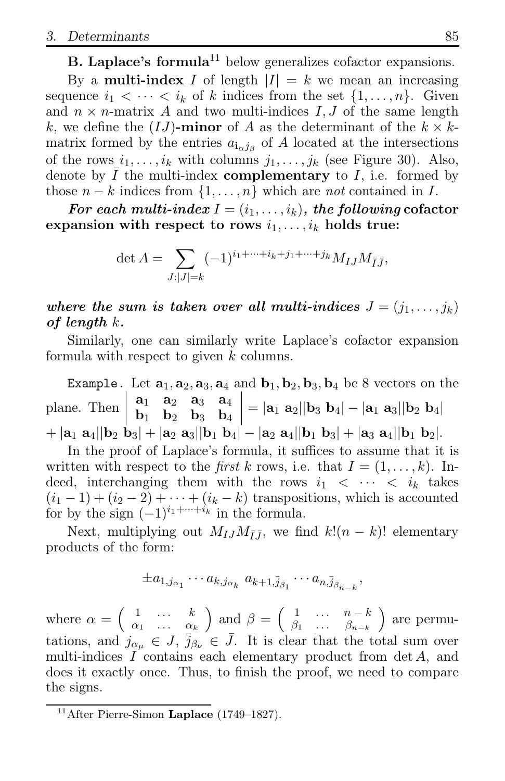**B.** Laplace's formula<sup>11</sup> below generalizes cofactor expansions.

By a **multi-index** I of length  $|I| = k$  we mean an increasing sequence  $i_1 < \cdots < i_k$  of k indices from the set  $\{1, \ldots, n\}$ . Given and  $n \times n$ -matrix A and two multi-indices I, J of the same length k, we define the  $(IJ)$ -minor of A as the determinant of the  $k \times k$ matrix formed by the entries  $a_{\mathbf{i}_{\alpha}j_{\beta}}$  of A located at the intersections of the rows  $i_1, \ldots, i_k$  with columns  $j_1, \ldots, j_k$  (see Figure 30). Also, denote by  $I$  the multi-index **complementary** to  $I$ , i.e. formed by those  $n - k$  indices from  $\{1, \ldots, n\}$  which are not contained in I.

*For each multi-index*  $I = (i_1, \ldots, i_k)$ *, the following* cofactor expansion with respect to rows  $i_1, \ldots, i_k$  holds true:

$$
\det A = \sum_{J:|J|=k} (-1)^{i_1 + \dots + i_k + j_1 + \dots + j_k} M_{IJ} M_{\bar{I}\bar{J}},
$$

where the sum is taken over all multi-indices  $J = (j_1, \ldots, j_k)$ *of length* k*.*

Similarly, one can similarly write Laplace's cofactor expansion formula with respect to given k columns.

**Example.** Let  $\mathbf{a}_1, \mathbf{a}_2, \mathbf{a}_3, \mathbf{a}_4$  and  $\mathbf{b}_1, \mathbf{b}_2, \mathbf{b}_3, \mathbf{b}_4$  be 8 vectors on the plane. Then  $a_1$   $a_2$   $a_3$   $a_4$  $\mathbf{b}_1$   $\mathbf{b}_2$   $\mathbf{b}_3$   $\mathbf{b}_4$  $= |\mathbf{a}_1 \; \mathbf{a}_2| |\mathbf{b}_3 \; \mathbf{b}_4| - |\mathbf{a}_1 \; \mathbf{a}_3| |\mathbf{b}_2 \; \mathbf{b}_4|$  $+ |a_1 \t a_4||b_2 \t b_3| + |a_2 \t a_3||b_1 \t b_4| - |a_2 \t a_4||b_1 \t b_3| + |a_3 \t a_4||b_1 \t b_2|.$ 

In the proof of Laplace's formula, it suffices to assume that it is written with respect to the *first k* rows, i.e. that  $I = (1, \ldots, k)$ . Indeed, interchanging them with the rows  $i_1$  <  $\cdots$  <  $i_k$  takes  $(i_1 - 1) + (i_2 - 2) + \cdots + (i_k - k)$  transpositions, which is accounted for by the sign  $(-1)^{i_1+\cdots+i_k}$  in the formula.

Next, multiplying out  $M_{IJ}M_{\bar{I}\bar{J}}$ , we find  $k!(n-k)!$  elementary products of the form:

$$
\pm a_{1,j_{\alpha_1}}\cdots a_{k,j_{\alpha_k}} a_{k+1,\bar{j}_{\beta_1}}\cdots a_{n,\bar{j}_{\beta_{n-k}}},
$$

where  $\alpha = \begin{pmatrix} 1 & \cdots & k \\ 0 & \cdots & k \end{pmatrix}$  $\alpha_1 \quad \ldots \quad \alpha_k$ and  $\beta = \begin{pmatrix} 1 & \cdots & n-k \\ \beta_1 & \cdots & \beta_{n-k} \end{pmatrix}$  are permutations, and  $j_{\alpha\mu} \in J$ ,  $\bar{j}_{\beta\nu} \in \bar{J}$ . It is clear that the total sum over multi-indices  $I$  contains each elementary product from det  $A$ , and does it exactly once. Thus, to finish the proof, we need to compare the signs.

 $11$ After Pierre-Simon Laplace (1749–1827).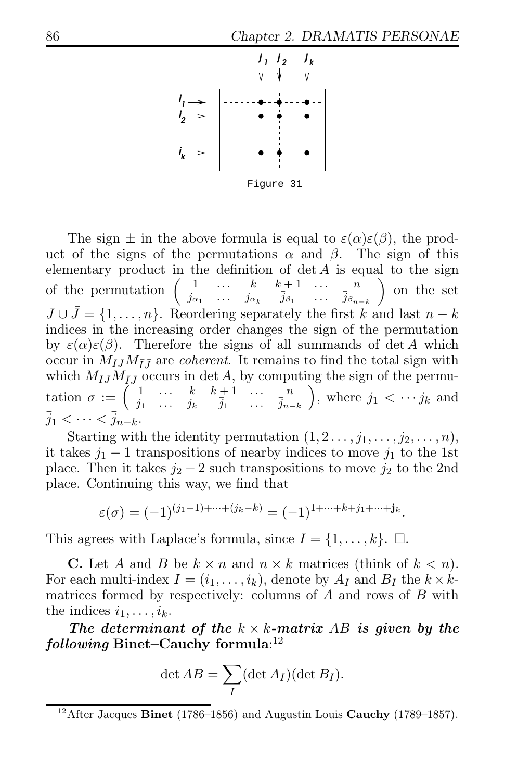

The sign  $\pm$  in the above formula is equal to  $\varepsilon(\alpha)\varepsilon(\beta)$ , the product of the signs of the permutations  $\alpha$  and  $\beta$ . The sign of this elementary product in the definition of  $\det A$  is equal to the sign of the permutation  $\begin{pmatrix} 1 & \cdots & k & k+1 & \cdots & n \\ i & \cdots & i & \bar{i} & \bar{i} \\ 1 & 0 & 0 & 0 & \bar{i} \end{pmatrix}$  $j_{\alpha_1} \cdots j_{\alpha_k} \bar{j}_{\beta_1} \cdots \bar{j}_{\beta_{n-k}}$  on the set  $J \cup \bar{J} = \{1, \ldots, n\}$ . Reordering separately the first k and last  $n - k$ indices in the increasing order changes the sign of the permutation by  $\varepsilon(\alpha)\varepsilon(\beta)$ . Therefore the signs of all summands of det A which occur in  $M_{IJ}M_{\bar{I}\bar{J}}$  are *coherent*. It remains to find the total sign with which  $M_{IJ}M_{\bar{I}\bar{J}}$  occurs in det A, by computing the sign of the permutation  $\sigma := \begin{pmatrix} 1 & \dots & k & k+1 & \dots & n \\ i_1 & \dots & i_n & \overline{i}_1 \end{pmatrix}$  $j_1$  ...  $j_k$   $\bar{j}_1$  ...  $\bar{j}_{n-k}$ ), where  $j_1 < \cdots j_k$  and  $\overline{j}_1 < \cdots < \overline{j}_{n-k}.$ 

Starting with the identity permutation  $(1, 2, \ldots, j_1, \ldots, j_2, \ldots, n)$ , it takes  $j_1 - 1$  transpositions of nearby indices to move  $j_1$  to the 1st place. Then it takes  $j_2 - 2$  such transpositions to move  $j_2$  to the 2nd place. Continuing this way, we find that

$$
\varepsilon(\sigma) = (-1)^{(j_1-1)+\cdots+(j_k-k)} = (-1)^{1+\cdots+k+j_1+\cdots+j_k}.
$$

This agrees with Laplace's formula, since  $I = \{1, \ldots, k\}$ .  $\Box$ .

**C.** Let A and B be  $k \times n$  and  $n \times k$  matrices (think of  $k < n$ ). For each multi-index  $I = (i_1, \ldots, i_k)$ , denote by  $A_I$  and  $B_I$  the  $k \times k$ matrices formed by respectively: columns of  $A$  and rows of  $B$  with the indices  $i_1, \ldots, i_k$ .

*The determinant of the*  $k \times k$ *-matrix AB is given by the following* Binet–Cauchy formula: 12

$$
\det AB = \sum_{I} (\det A_I)(\det B_I).
$$

 $12$ After Jacques Binet (1786–1856) and Augustin Louis Cauchy (1789–1857).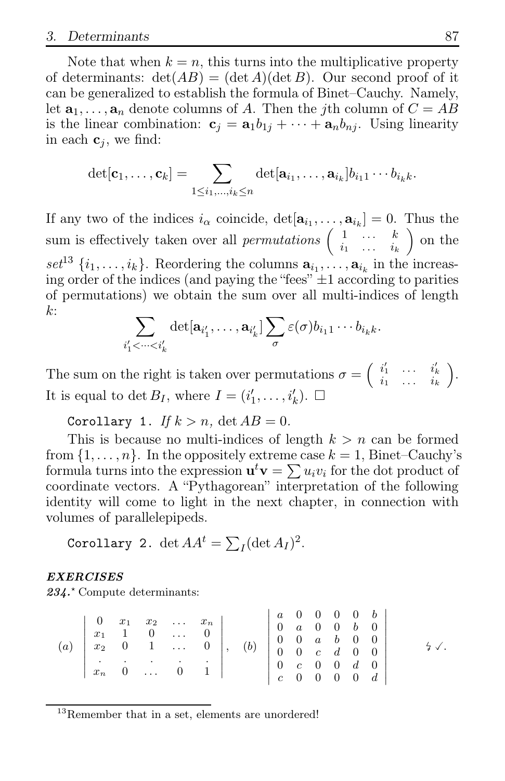Note that when  $k = n$ , this turns into the multiplicative property of determinants:  $\det(AB) = (\det A)(\det B)$ . Our second proof of it can be generalized to establish the formula of Binet–Cauchy. Namely, let  $\mathbf{a}_1, \ldots, \mathbf{a}_n$  denote columns of A. Then the j<sup>th</sup> column of  $C = AB$ is the linear combination:  $\mathbf{c}_i = \mathbf{a}_1 b_{1i} + \cdots + \mathbf{a}_n b_{ni}$ . Using linearity in each  $\mathbf{c}_i$ , we find:

$$
\det[\mathbf{c}_1,\ldots,\mathbf{c}_k] = \sum_{1 \leq i_1,\ldots,i_k \leq n} \det[\mathbf{a}_{i_1},\ldots,\mathbf{a}_{i_k}] b_{i_1 1} \cdots b_{i_k k}.
$$

If any two of the indices  $i_{\alpha}$  coincide,  $\det[\mathbf{a}_{i_1}, \ldots, \mathbf{a}_{i_k}] = 0$ . Thus the sum is effectively taken over all *permutations*  $\begin{pmatrix} 1 & \cdots & k \\ i_1 & \cdots & i_k \end{pmatrix}$  $i_1 \quad \ldots \quad i_k$  on the set<sup>13</sup>  $\{i_1, \ldots, i_k\}$ . Reordering the columns  $\mathbf{a}_{i_1}, \ldots, \mathbf{a}_{i_k}$  in the increasing order of the indices (and paying the "fees"  $\pm 1$  according to parities of permutations) we obtain the sum over all multi-indices of length k:

$$
\sum_{i'_1 < \dots < i'_k} \det[\mathbf{a}_{i'_1}, \dots, \mathbf{a}_{i'_k}] \sum_{\sigma} \varepsilon(\sigma) b_{i_1 1} \cdots b_{i_k k}.
$$

The sum on the right is taken over permutations  $\sigma = \begin{pmatrix} i'_1 & \cdots & i'_k \\ i_1 & \cdots & i_k \end{pmatrix}$  . It is equal to det  $B_I$ , where  $I = (i'_1, \ldots, i'_k)$ .  $\Box$ 

Corollary 1. If  $k > n$ ,  $\det AB = 0$ .

This is because no multi-indices of length  $k > n$  can be formed from  $\{1, \ldots, n\}$ . In the oppositely extreme case  $k = 1$ , Binet–Cauchy's formula turns into the expression  $\mathbf{u}^t \mathbf{v} = \sum u_i v_i$  for the dot product of coordinate vectors. A "Pythagorean" interpretation of the following identity will come to light in the next chapter, in connection with volumes of parallelepipeds.

Corollary 2.  $\det AA^t = \sum_I (\det A_I)^2$ .

#### *EXERCISES*

234<sup>\*</sup> Compute determinants:

<sup>13</sup>Remember that in a set, elements are unordered!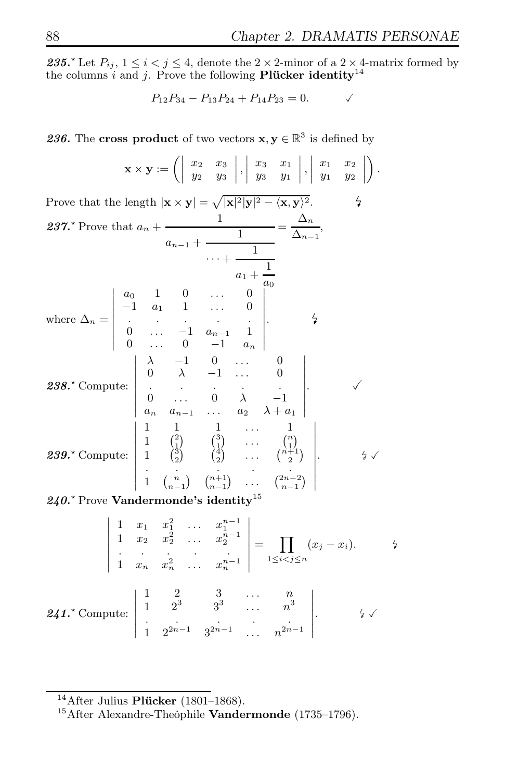235.<sup> $\star$ </sup> Let  $P_{ij}$ ,  $1 \leq i < j \leq 4$ , denote the 2 × 2-minor of a 2 × 4-matrix formed by the columns i and j. Prove the following **Plücker identity**<sup>14</sup>

$$
P_{12}P_{34} - P_{13}P_{24} + P_{14}P_{23} = 0.
$$

**236.** The cross product of two vectors  $\mathbf{x}, \mathbf{y} \in \mathbb{R}^3$  is defined by

$$
\mathbf{x} \times \mathbf{y} := \left( \begin{array}{ccc} x_2 & x_3 \\ y_2 & y_3 \end{array} \middle| \begin{array}{ccc} x_3 & x_1 \\ y_3 & y_1 \end{array} \middle| \begin{array}{ccc} x_1 & x_2 \\ y_1 & y_2 \end{array} \middle| \right).
$$

Prove that the length  $|\mathbf{x} \times \mathbf{y}| = \sqrt{|\mathbf{x}|^2 |\mathbf{y}|^2 - \langle \mathbf{x}, \mathbf{y} \rangle^2}$ .  $\qquad \qquad$ Prove that the length  $|\mathbf{x} \times \mathbf{y}| = \sqrt{|\mathbf{x}|^2 |\mathbf{y}|^2 - \langle \mathbf{x}, \mathbf{y} \rangle^2}$ . 237.\* Prove that  $a_n + \frac{1}{n}$  $a_{n-1} + \frac{1}{\cdots}$  $\cdots$  +  $\frac{1}{\cdots}$  $a_1 + \frac{1}{1}$  $a_0$  $=\frac{\Delta_n}{\Delta_n}$  $\frac{-n}{\Delta_{n-1}},$ where  $\Delta_n =$   $a_0$  1 0 ... 0  $-1$   $a_1$  1 ... 0<br>. . . . . 0 ...  $-1$   $a_{n-1}$  1 0 ... 0  $-1$   $a_n$  . 4 *238.*<sup>⋆</sup> Compute:  $\lambda$  -1 0 ... 0  $\begin{matrix} 0 & \lambda & -1 & \dots & 0 \\ \vdots & \vdots & \vdots & \ddots & \vdots \end{matrix}$ 0 ... 0  $\lambda$  -1<br>  $a_n$   $a_{n-1}$  ...  $a_2$   $\lambda + a_1$  .  $\sqrt{ }$ *239.*<sup>⋆</sup> Compute: 1 1 ... 1 1  $\begin{pmatrix} 2 \\ 1 \end{pmatrix}$   $\begin{pmatrix} 3 \\ 1 \end{pmatrix}$   $\cdots$   $\begin{pmatrix} n \\ 1 \end{pmatrix}$ 1  $\binom{3}{2}$   $\binom{4}{2}$  ...  $\binom{n+1}{2}$ . . . . . 1  $\binom{n}{n-1}$   $\binom{n+1}{n-1}$  ...  $\binom{2n-2}{n-1}$  .  $\frac{1}{2}$ 

 $240.^{\star}$  Prove Vandermonde's identity<sup>15</sup>

$$
241.^{\star} \text{ Compute: } \begin{vmatrix} 1 & x_1 & x_1^2 & \dots & x_1^{n-1} \\ 1 & x_2 & x_2^2 & \dots & x_2^{n-1} \\ \vdots & \vdots & \ddots & \vdots \\ 1 & x_n & x_n^2 & \dots & x_n^{n-1} \end{vmatrix} = \prod_{1 \le i < j \le n} (x_j - x_i). \qquad \downarrow
$$
  
241.<sup>\*</sup> Compute: 
$$
\begin{vmatrix} 1 & 2 & 3 & \dots & n \\ 1 & 2^3 & 3^3 & \dots & n^3 \\ \vdots & \vdots & \vdots & \ddots & \vdots \\ 1 & 2^{2n-1} & 3^{2n-1} & \dots & n^{2n-1} \end{vmatrix} . \qquad \downarrow \qquad \downarrow
$$

 $14$ After Julius Plücker (1801–1868).

<sup>&</sup>lt;sup>15</sup>After Alexandre-Theóphile **Vandermonde** (1735–1796).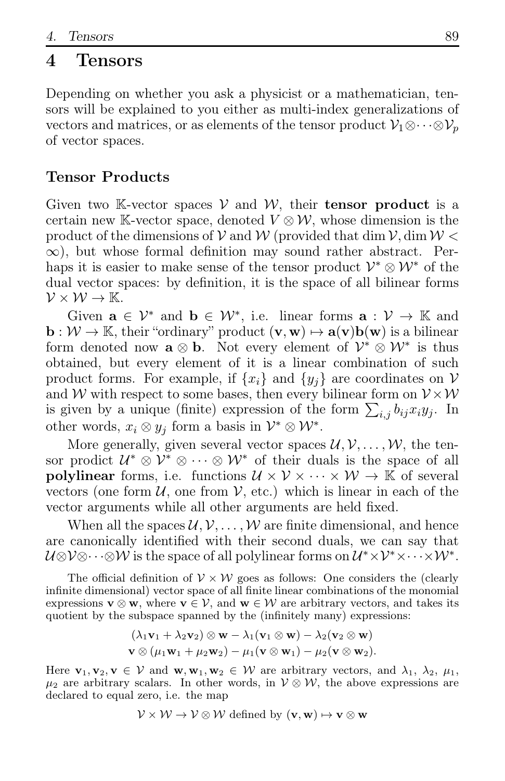### 4 Tensors

Depending on whether you ask a physicist or a mathematician, tensors will be explained to you either as multi-index generalizations of vectors and matrices, or as elements of the tensor product  $\mathcal{V}_1 \otimes \cdots \otimes \mathcal{V}_n$ of vector spaces.

### Tensor Products

Given two K-vector spaces  $V$  and  $W$ , their **tensor product** is a certain new K-vector space, denoted  $V \otimes W$ , whose dimension is the product of the dimensions of V and W (provided that dim  $\mathcal{V}$ , dim  $\mathcal{W}$  <  $\infty$ ), but whose formal definition may sound rather abstract. Perhaps it is easier to make sense of the tensor product  $\mathcal{V}^* \otimes \mathcal{W}^*$  of the dual vector spaces: by definition, it is the space of all bilinear forms  $\mathcal{V}\times\mathcal{W}\rightarrow\mathbb{K}.$ 

Given  $\mathbf{a} \in \mathcal{V}^*$  and  $\mathbf{b} \in \mathcal{W}^*$ , i.e. linear forms  $\mathbf{a} : \mathcal{V} \to \mathbb{K}$  and  $\mathbf{b}: \mathcal{W} \to \mathbb{K}$ , their "ordinary" product  $(\mathbf{v}, \mathbf{w}) \mapsto \mathbf{a}(\mathbf{v})\mathbf{b}(\mathbf{w})$  is a bilinear form denoted now  $\mathbf{a} \otimes \mathbf{b}$ . Not every element of  $\mathcal{V}^* \otimes \mathcal{W}^*$  is thus obtained, but every element of it is a linear combination of such product forms. For example, if  $\{x_i\}$  and  $\{y_i\}$  are coordinates on V and W with respect to some bases, then every bilinear form on  $V \times W$ is given by a unique (finite) expression of the form  $\sum_{i,j} b_{ij} x_i y_j$ . In other words,  $x_i \otimes y_j$  form a basis in  $\mathcal{V}^* \otimes \mathcal{W}^*$ .

More generally, given several vector spaces  $\mathcal{U}, \mathcal{V}, \ldots, \mathcal{W}$ , the tensor prodict  $\mathcal{U}^* \otimes \mathcal{V}^* \otimes \cdots \otimes \mathcal{W}^*$  of their duals is the space of all polylinear forms, i.e. functions  $\mathcal{U} \times \mathcal{V} \times \cdots \times \mathcal{W} \to \mathbb{K}$  of several vectors (one form  $U$ , one from  $V$ , etc.) which is linear in each of the vector arguments while all other arguments are held fixed.

When all the spaces  $\mathcal{U}, \mathcal{V}, \ldots, \mathcal{W}$  are finite dimensional, and hence are canonically identified with their second duals, we can say that  $\mathcal{U} \otimes \mathcal{V} \otimes \cdots \otimes \mathcal{W}$  is the space of all polylinear forms on  $\mathcal{U}^* \times \mathcal{V}^* \times \cdots \times \mathcal{W}^*$ .

The official definition of  $V \times W$  goes as follows: One considers the (clearly infinite dimensional) vector space of all finite linear combinations of the monomial expressions  $\mathbf{v} \otimes \mathbf{w}$ , where  $\mathbf{v} \in \mathcal{V}$ , and  $\mathbf{w} \in \mathcal{W}$  are arbitrary vectors, and takes its quotient by the subspace spanned by the (infinitely many) expressions:

$$
(\lambda_1\mathbf{v}_1 + \lambda_2\mathbf{v}_2) \otimes \mathbf{w} - \lambda_1(\mathbf{v}_1 \otimes \mathbf{w}) - \lambda_2(\mathbf{v}_2 \otimes \mathbf{w})
$$
  

$$
\mathbf{v} \otimes (\mu_1\mathbf{w}_1 + \mu_2\mathbf{w}_2) - \mu_1(\mathbf{v} \otimes \mathbf{w}_1) - \mu_2(\mathbf{v} \otimes \mathbf{w}_2).
$$

Here  $\mathbf{v}_1, \mathbf{v}_2, \mathbf{v} \in \mathcal{V}$  and  $\mathbf{w}, \mathbf{w}_1, \mathbf{w}_2 \in \mathcal{W}$  are arbitrary vectors, and  $\lambda_1, \lambda_2, \mu_1, \mu_2$  $\mu_2$  are arbitrary scalars. In other words, in  $\mathcal{V} \otimes \mathcal{W}$ , the above expressions are declared to equal zero, i.e. the map

$$
\mathcal{V} \times \mathcal{W} \to \mathcal{V} \otimes \mathcal{W} \text{ defined by } (\mathbf{v}, \mathbf{w}) \mapsto \mathbf{v} \otimes \mathbf{w}
$$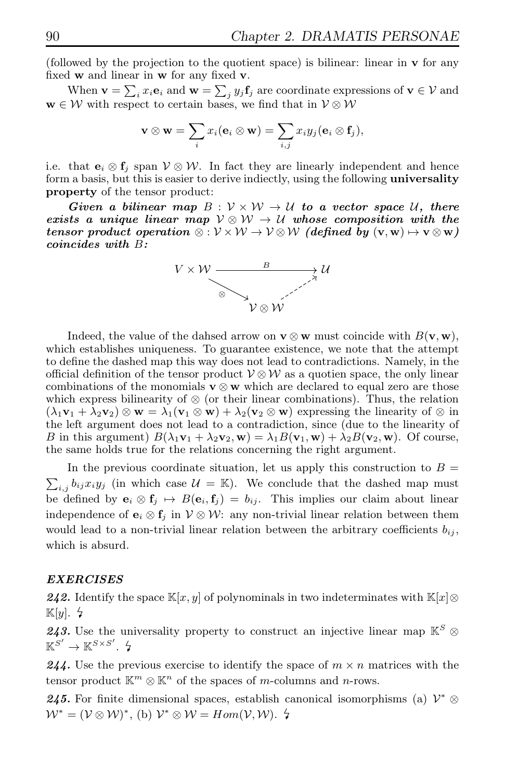(followed by the projection to the quotient space) is bilinear: linear in v for any fixed w and linear in w for any fixed v.

When  $\mathbf{v} = \sum_i x_i \mathbf{e}_i$  and  $\mathbf{w} = \sum_j y_j \mathbf{f}_j$  are coordinate expressions of  $\mathbf{v} \in \mathcal{V}$  and  $\mathbf{w} \in \mathcal{W}$  with respect to certain bases, we find that in  $\mathcal{V} \otimes \mathcal{W}$ 

$$
\mathbf{v} \otimes \mathbf{w} = \sum_i x_i (\mathbf{e}_i \otimes \mathbf{w}) = \sum_{i,j} x_i y_j (\mathbf{e}_i \otimes \mathbf{f}_j),
$$

i.e. that  $e_i \otimes f_j$  span  $V \otimes W$ . In fact they are linearly independent and hence form a basis, but this is easier to derive indiectly, using the following universality property of the tensor product:

*Given a bilinear map*  $B: V \times W \rightarrow U$  *to a vector space* U, there *exists a unique linear map*  $\mathcal{V} \otimes \mathcal{W} \rightarrow \mathcal{U}$  whose composition with the *tensor product operation*  $\otimes : \mathcal{V} \times \mathcal{W} \rightarrow \mathcal{V} \otimes \mathcal{W}$  *(defined by*  $(v, w) \mapsto v \otimes w$ ) *coincides with* B*:*



Indeed, the value of the dahsed arrow on  $\mathbf{v} \otimes \mathbf{w}$  must coincide with  $B(\mathbf{v}, \mathbf{w})$ , which establishes uniqueness. To guarantee existence, we note that the attempt to define the dashed map this way does not lead to contradictions. Namely, in the official definition of the tensor product  $V \otimes W$  as a quotien space, the only linear combinations of the monomials  $\mathbf{v} \otimes \mathbf{w}$  which are declared to equal zero are those which express bilinearity of  $\otimes$  (or their linear combinations). Thus, the relation  $(\lambda_1\mathbf{v}_1 + \lambda_2\mathbf{v}_2) \otimes \mathbf{w} = \lambda_1(\mathbf{v}_1 \otimes \mathbf{w}) + \lambda_2(\mathbf{v}_2 \otimes \mathbf{w})$  expressing the linearity of  $\otimes$  in the left argument does not lead to a contradiction, since (due to the linearity of B in this argument)  $B(\lambda_1\mathbf{v}_1 + \lambda_2\mathbf{v}_2, \mathbf{w}) = \lambda_1 B(\mathbf{v}_1, \mathbf{w}) + \lambda_2 B(\mathbf{v}_2, \mathbf{w})$ . Of course, the same holds true for the relations concerning the right argument.

In the previous coordinate situation, let us apply this construction to  $B =$  $\sum_{i,j} b_{ij} x_i y_j$  (in which case  $\mathcal{U} = \mathbb{K}$ ). We conclude that the dashed map must be defined by  $e_i \otimes f_j \mapsto B(e_i, f_j) = b_{ij}$ . This implies our claim about linear independence of  $\mathbf{e}_i \otimes \mathbf{f}_j$  in  $\mathcal{V} \otimes \mathcal{W}$ : any non-trivial linear relation between them would lead to a non-trivial linear relation between the arbitrary coefficients  $b_{ij}$ , which is absurd.

#### *EXERCISES*

242. Identify the space K[x, y] of polynominals in two indeterminates with K[x]⊗  $\mathbb{K}[y]$ .  $\sharp$ 

243. Use the universality property to construct an injective linear map  $\mathbb{K}^S$  ⊗  $\mathbb{K}^{S'} \to \mathbb{K}^{S \times S'}$ .  $\sharp$ 

**244.** Use the previous exercise to identify the space of  $m \times n$  matrices with the tensor product  $\mathbb{K}^m \otimes \mathbb{K}^n$  of the spaces of m-columns and n-rows.

**245.** For finite dimensional spaces, establish canonical isomorphisms (a)  $\mathcal{V}^* \otimes$  $W^* = (\mathcal{V} \otimes \mathcal{W})^*,$  (b)  $\mathcal{V}^* \otimes \mathcal{W} = Hom(\mathcal{V}, \mathcal{W})$ .  $\sharp$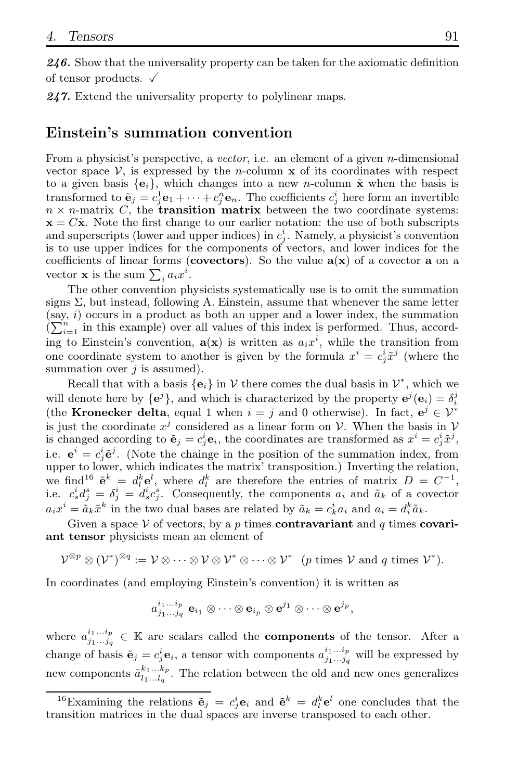*246.* Show that the universality property can be taken for the axiomatic definition of tensor products.  $\sqrt{ }$ 

*247.* Extend the universality property to polylinear maps.

#### Einstein's summation convention

From a physicist's perspective, a vector, i.e. an element of a given *n*-dimensional vector space  $V$ , is expressed by the *n*-column  $x$  of its coordinates with respect to a given basis  $\{e_i\}$ , which changes into a new n-column  $\tilde{\mathbf{x}}$  when the basis is transformed to  $\tilde{\mathbf{e}}_j = c_j^1 \mathbf{e}_1 + \cdots + c_j^n \mathbf{e}_n$ . The coefficients  $c_j^i$  here form an invertible  $n \times n$ -matrix C, the **transition matrix** between the two coordinate systems:  $x = C\tilde{x}$ . Note the first change to our earlier notation: the use of both subscripts and superscripts (lower and upper indices) in  $c_j^i$ . Namely, a physicist's convention is to use upper indices for the components of vectors, and lower indices for the coefficients of linear forms (covectors). So the value  $a(x)$  of a covector a on a vector **x** is the sum  $\sum_i a_i x^i$ .

The other convention physicists systematically use is to omit the summation signs  $\Sigma$ , but instead, following A. Einstein, assume that whenever the same letter  $(say, i)$  occurs in a product as both an upper and a lower index, the summation  $\sum_{i=1}^{n}$  in this example) over all values of this index is performed. Thus, according to Einstein's convention,  $a(x)$  is written as  $a_i x^i$ , while the transition from one coordinate system to another is given by the formula  $x^i = c_j^i \tilde{x}^j$  (where the summation over  $j$  is assumed).

Recall that with a basis  $\{e_i\}$  in  $\mathcal V$  there comes the dual basis in  $\mathcal V^*$ , which we will denote here by  $\{e^j\}$ , and which is characterized by the property  $e^j(e_i) = \delta_i^j$ (the **Kronecker delta**, equal 1 when  $i = j$  and 0 otherwise). In fact,  $e^j \in \mathcal{V}^*$ is just the coordinate  $x^j$  considered as a linear form on V. When the basis in V is changed according to  $\tilde{\mathbf{e}}_j = c_j^i \mathbf{e}_i$ , the coordinates are transformed as  $x^i = c_j^i \tilde{x}^j$ , i.e.  $e^i = c^i_j \tilde{e}^j$ . (Note the chainge in the position of the summation index, from upper to lower, which indicates the matrix' transposition.) Inverting the relation, we find<sup>16</sup>  $\tilde{\mathbf{e}}^k = d_i^k \mathbf{e}^l$ , where  $d_i^k$  are therefore the entries of matrix  $D = C^{-1}$ , i.e.  $c_s^i d_j^s = \delta_j^i = d_s^i c_j^s$ . Consequently, the components  $a_i$  and  $\tilde{a}_k$  of a covector  $a_i x^i = \tilde{a}_k \tilde{x}^k$  in the two dual bases are related by  $\tilde{a}_k = c_k^i a_i$  and  $a_i = d_i^k \tilde{a}_k$ .

Given a space V of vectors, by a p times contravariant and q times covariant tensor physicists mean an element of

$$
\mathcal{V}^{\otimes p} \otimes (\mathcal{V}^*)^{\otimes q} := \mathcal{V} \otimes \cdots \otimes \mathcal{V} \otimes \mathcal{V}^* \otimes \cdots \otimes \mathcal{V}^* \quad (p \text{ times } \mathcal{V} \text{ and } q \text{ times } \mathcal{V}^*).
$$

In coordinates (and employing Einstein's convention) it is written as

$$
a_{j_1...j_q}^{i_1...i_p} \ {\mathbf e}_{i_1} \otimes \cdots \otimes {\mathbf e}_{i_p} \otimes {\mathbf e}^{j_1} \otimes \cdots \otimes {\mathbf e}^{j_p},\\
$$

where  $a_{j_1...j_q}^{i_1...i_p} \in \mathbb{K}$  are scalars called the **components** of the tensor. After a change of basis  $\tilde{\mathbf{e}}_j = c_j^i \mathbf{e}_i$ , a tensor with components  $a_{j_1...j_q}^{i_1...i_p}$  will be expressed by new components  $\tilde{a}_{l_1...l_q}^{k_1...k_p}$ . The relation between the old and new ones generalizes

<sup>&</sup>lt;sup>16</sup>Examining the relations  $\tilde{\mathbf{e}}_j = c_j^i \mathbf{e}_i$  and  $\tilde{\mathbf{e}}^k = d_l^k \mathbf{e}^l$  one concludes that the transition matrices in the dual spaces are inverse transposed to each other.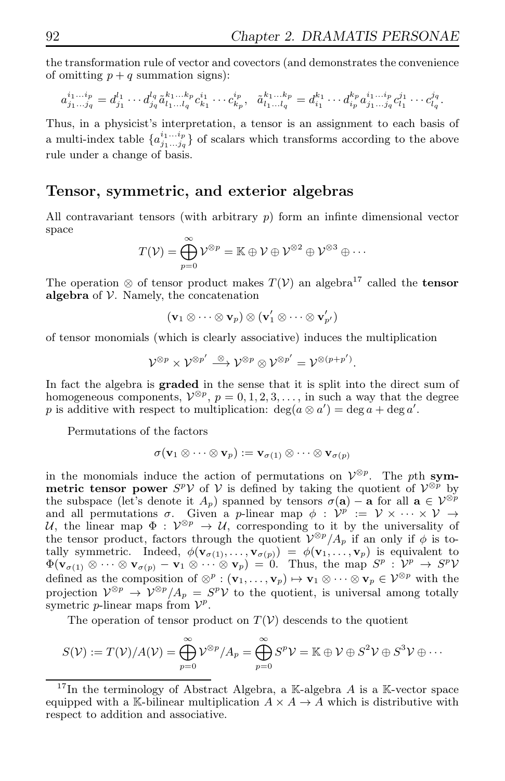the transformation rule of vector and covectors (and demonstrates the convenience of omitting  $p + q$  summation signs):

$$
a_{j_1...j_q}^{i_1...i_p}=d_{j_1}^{l_1}\cdots d_{j_q}^{l_q}\tilde{a}_{l_1...l_q}^{k_1...k_p}c_{k_1}^{i_1}\cdots c_{k_p}^{i_p},\ \ \tilde{a}_{l_1...l_q}^{k_1...k_p}=d_{i_1}^{k_1}\cdots d_{i_p}^{k_p}a_{j_1...j_q}^{i_1...i_p}c_{l_1}^{j_1}\cdots c_{l_q}^{j_q}.
$$

Thus, in a physicist's interpretation, a tensor is an assignment to each basis of a multi-index table  $\{a_{j_1...j_q}^{i_1...i_p}\}$  of scalars which transforms according to the above rule under a change of basis.

#### Tensor, symmetric, and exterior algebras

All contravariant tensors (with arbitrary  $p$ ) form an infinite dimensional vector space

$$
T(\mathcal{V}) = \bigoplus_{p=0}^{\infty} \mathcal{V}^{\otimes p} = \mathbb{K} \oplus \mathcal{V} \oplus \mathcal{V}^{\otimes 2} \oplus \mathcal{V}^{\otimes 3} \oplus \cdots
$$

The operation ⊗ of tensor product makes  $T(V)$  an algebra<sup>17</sup> called the **tensor** algebra of  $V$ . Namely, the concatenation

$$
(\mathbf{v}_1 \otimes \cdots \otimes \mathbf{v}_p) \otimes (\mathbf{v}'_1 \otimes \cdots \otimes \mathbf{v}'_{p'})
$$

of tensor monomials (which is clearly associative) induces the multiplication

$$
\mathcal{V}^{\otimes p} \times \mathcal{V}^{\otimes p'} \stackrel{\otimes}{\longrightarrow} \mathcal{V}^{\otimes p} \otimes \mathcal{V}^{\otimes p'} = \mathcal{V}^{\otimes (p+p')}.
$$

In fact the algebra is graded in the sense that it is split into the direct sum of homogeneous components,  $V^{\otimes p}$ ,  $p = 0, 1, 2, 3, \ldots$ , in such a way that the degree p is additive with respect to multiplication:  $deg(a \otimes a') = deg a + deg a'$ .

Permutations of the factors

$$
\sigma(\mathbf{v}_1 \otimes \cdots \otimes \mathbf{v}_p) := \mathbf{v}_{\sigma(1)} \otimes \cdots \otimes \mathbf{v}_{\sigma(p)}
$$

in the monomials induce the action of permutations on  $\mathcal{V}^{\otimes p}$ . The pth symmetric tensor power  $S^p V$  of  $V$  is defined by taking the quotient of  $V^{\otimes p}$  by the subspace (let's denote it  $A_p$ ) spanned by tensors  $\sigma(\mathbf{a}) - \mathbf{a}$  for all  $\mathbf{a} \in \mathcal{V}^{\otimes p}$ and all permutations  $\sigma$ . Given a p-linear map  $\phi$  :  $\mathcal{V}^p := \mathcal{V} \times \cdots \times \mathcal{V} \rightarrow$ U, the linear map  $\Phi: V^{\otimes p} \to U$ , corresponding to it by the universality of the tensor product, factors through the quotient  $V^{\otimes p}/A_p$  if an only if  $\phi$  is totally symmetric. Indeed,  $\phi(\mathbf{v}_{\sigma(1)},\ldots,\mathbf{v}_{\sigma(p)}) = \phi(\mathbf{v}_1,\ldots,\mathbf{v}_p)$  is equivalent to  $\Phi(\mathbf{v}_{\sigma(1)} \otimes \cdots \otimes \mathbf{v}_{\sigma(p)} - \mathbf{v}_1 \otimes \cdots \otimes \mathbf{v}_p) = 0$ . Thus, the map  $S^p : \mathcal{V}^p \to S^p \mathcal{V}$ defined as the composition of  $\otimes^p : (\mathbf{v}_1, \ldots, \mathbf{v}_p) \mapsto \mathbf{v}_1 \otimes \cdots \otimes \mathbf{v}_p \in \mathcal{V}^{\otimes p}$  with the projection  $\mathcal{V}^{\otimes p} \to \mathcal{V}^{\otimes p}/A_p = S^p \mathcal{V}$  to the quotient, is universal among totally symetric *p*-linear maps from  $\mathcal{V}^p$ .

The operation of tensor product on  $T(V)$  descends to the quotient

$$
S(\mathcal{V}) := T(\mathcal{V})/A(\mathcal{V}) = \bigoplus_{p=0}^{\infty} \mathcal{V}^{\otimes p}/A_p = \bigoplus_{p=0}^{\infty} S^p \mathcal{V} = \mathbb{K} \oplus \mathcal{V} \oplus S^2 \mathcal{V} \oplus S^3 \mathcal{V} \oplus \cdots
$$

<sup>&</sup>lt;sup>17</sup>In the terminology of Abstract Algebra, a K-algebra A is a K-vector space equipped with a K-bilinear multiplication  $A \times A \rightarrow A$  which is distributive with respect to addition and associative.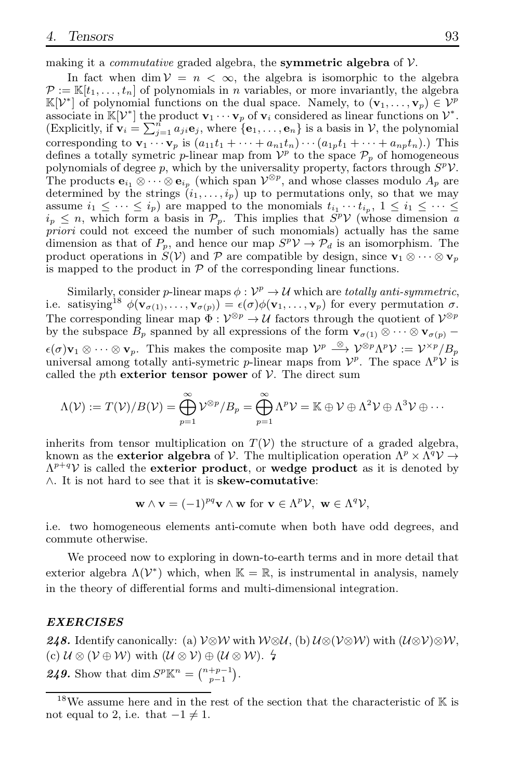making it a *commutative* graded algebra, the **symmetric algebra** of  $V$ .

In fact when dim  $V = n < \infty$ , the algebra is isomorphic to the algebra  $\mathcal{P} := \mathbb{K}[t_1,\ldots,t_n]$  of polynomials in n variables, or more invariantly, the algebra  $\mathbb{K}[\mathcal{V}^*]$  of polynomial functions on the dual space. Namely, to  $(\mathbf{v}_1, \dots, \mathbf{v}_p) \in \mathcal{V}^p$ associate in  $\mathbb{K}[\mathcal{V}^*]$  the product  $\mathbf{v}_1 \cdots \mathbf{v}_p$  of  $\mathbf{v}_i$  considered as linear functions on  $\mathcal{V}^*$ . (Explicitly, if  $\mathbf{v}_i = \sum_{j=1}^n a_{ji} \mathbf{e}_j$ , where  $\{\mathbf{e}_1, \ldots, \mathbf{e}_n\}$  is a basis in  $\mathcal{V}$ , the polynomial corresponding to  $\mathbf{v}_1 \cdots \mathbf{v}_p$  is  $(a_{11}t_1 + \cdots + a_{n1}t_n) \cdots (a_{1p}t_1 + \cdots + a_{np}t_n)$ .) This defines a totally symetric *p*-linear map from  $V^p$  to the space  $\mathcal{P}_p$  of homogeneous polynomials of degree p, which by the universality property, factors through  $S^p$  $V$ . The products  $\mathbf{e}_{i_1} \otimes \cdots \otimes \mathbf{e}_{i_p}$  (which span  $\mathcal{V}^{\otimes p}$ , and whose classes modulo  $A_p$  are determined by the strings  $(i_1, \ldots, i_p)$  up to permutations only, so that we may assume  $i_1 \leq \cdots \leq i_p$ ) are mapped to the monomials  $t_{i_1} \cdots t_{i_p}$ ,  $1 \leq i_1 \leq \cdots \leq i_p$  $i_p \leq n$ , which form a basis in  $\mathcal{P}_p$ . This implies that  $S^p \mathcal{V}$  (whose dimension a priori could not exceed the number of such monomials) actually has the same dimension as that of  $P_p$ , and hence our map  $S^p V \to \mathcal{P}_d$  is an isomorphism. The product operations in  $S(V)$  and P are compatible by design, since  $\mathbf{v}_1 \otimes \cdots \otimes \mathbf{v}_p$ is mapped to the product in  $P$  of the corresponding linear functions.

Similarly, consider p-linear maps  $\phi: \mathcal{V}^p \to \mathcal{U}$  which are totally anti-symmetric, i.e. satisying<sup>18</sup>  $\phi(\mathbf{v}_{\sigma(1)},...,\mathbf{v}_{\sigma(p)}) = \epsilon(\sigma)\phi(\mathbf{v}_1,...,\mathbf{v}_p)$  for every permutation  $\sigma$ . The corresponding linear map  $\Phi: \mathcal{V}^{\otimes p} \to \mathcal{U}$  factors through the quotient of  $\mathcal{V}^{\otimes p}$ by the subspace  $B_p$  spanned by all expressions of the form  $\mathbf{v}_{\sigma(1)} \otimes \cdots \otimes \mathbf{v}_{\sigma(p)}$  –  $\epsilon(\sigma)\mathbf{v}_1 \otimes \cdots \otimes \mathbf{v}_p$ . This makes the composite map  $\mathcal{V}^p \stackrel{\otimes}{\longrightarrow} \mathcal{V}^{\otimes p}\Lambda^p\mathcal{V} := \mathcal{V}^{\times p}/B_p$ universal among totally anti-symetric p-linear maps from  $\mathcal{V}^p$ . The space  $\Lambda^p \mathcal{V}$  is called the pth exterior tensor power of  $V$ . The direct sum

$$
\Lambda(\mathcal{V}) := T(\mathcal{V})/B(\mathcal{V}) = \bigoplus_{p=1}^{\infty} \mathcal{V}^{\otimes p}/B_p = \bigoplus_{p=1}^{\infty} \Lambda^p \mathcal{V} = \mathbb{K} \oplus \mathcal{V} \oplus \Lambda^2 \mathcal{V} \oplus \Lambda^3 \mathcal{V} \oplus \cdots
$$

inherits from tensor multiplication on  $T(V)$  the structure of a graded algebra, known as the **exterior algebra** of  $V$ . The multiplication operation  $\Lambda^p \times \Lambda^q V \to$  $\Lambda^{p+q}$  is called the exterior product, or wedge product as it is denoted by ∧. It is not hard to see that it is skew-comutative:

$$
\mathbf{w} \wedge \mathbf{v} = (-1)^{pq} \mathbf{v} \wedge \mathbf{w} \text{ for } \mathbf{v} \in \Lambda^p \mathcal{V}, \ \mathbf{w} \in \Lambda^q \mathcal{V},
$$

i.e. two homogeneous elements anti-comute when both have odd degrees, and commute otherwise.

We proceed now to exploring in down-to-earth terms and in more detail that exterior algebra  $\Lambda(\mathcal{V}^*)$  which, when  $\mathbb{K} = \mathbb{R}$ , is instrumental in analysis, namely in the theory of differential forms and multi-dimensional integration.

#### *EXERCISES*

*248.* Identify canonically: (a)  $V \otimes W$  with  $W \otimes U$ , (b)  $U \otimes (V \otimes W)$  with  $(U \otimes V) \otimes W$ , (c)  $\mathcal{U} \otimes (\mathcal{V} \oplus \mathcal{W})$  with  $(\mathcal{U} \otimes \mathcal{V}) \oplus (\mathcal{U} \otimes \mathcal{W})$ .  $\sharp$ **249.** Show that  $\dim S^p \mathbb{K}^n = \binom{n+p-1}{p-1}$ .

 $^{18}{\rm{We}}$  assume here and in the rest of the section that the characteristic of  ${\mathbb K}$  is not equal to 2, i.e. that  $-1 \neq 1$ .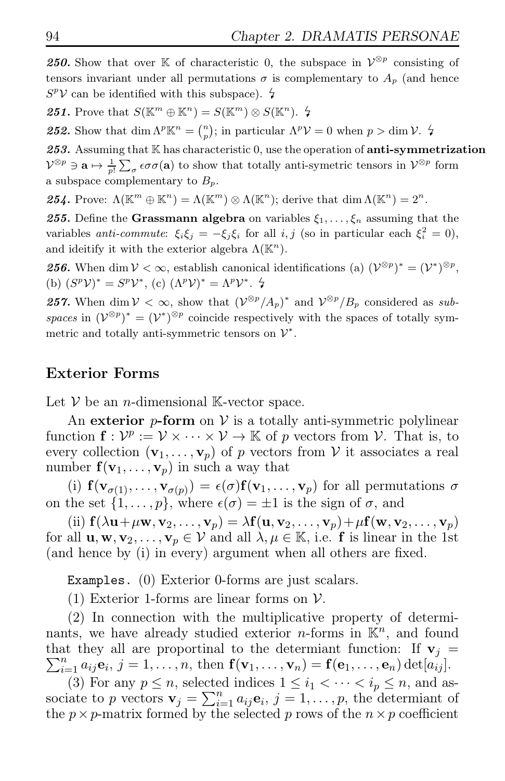**250.** Show that over K of characteristic 0, the subspace in  $V^{\otimes p}$  consisting of tensors invariant under all permutations  $\sigma$  is complementary to  $A_p$  (and hence  $S^p{\mathcal{V}}$  can be identified with this subspace).  $\frac{\mathcal{L}}{\mathcal{V}}$ 

**251.** Prove that  $S(\mathbb{K}^m \oplus \mathbb{K}^n) = S(\mathbb{K}^m) \otimes S(\mathbb{K}^n)$ .  $\sharp$ 

**252.** Show that  $\dim \Lambda^p \mathbb{K}^n = \binom{n}{p}$ ; in particular  $\Lambda^p \mathcal{V} = 0$  when  $p > \dim \mathcal{V}$ .  $\sharp$ 

*253.* Assuming that K has characteristic 0, use the operation of anti-symmetrization  $\mathcal{V}^{\otimes p} \ni \mathbf{a} \mapsto \frac{1}{p!} \sum_{\sigma} \epsilon \sigma \sigma(\mathbf{a})$  to show that totally anti-symetric tensors in  $\mathcal{V}^{\otimes p}$  form a subspace complementary to  $B_p$ .

**254.** Prove:  $\Lambda(\mathbb{K}^m \oplus \mathbb{K}^n) = \Lambda(\mathbb{K}^m) \otimes \Lambda(\mathbb{K}^n)$ ; derive that  $\dim \Lambda(\mathbb{K}^n) = 2^n$ .

**255.** Define the Grassmann algebra on variables  $\xi_1, \ldots, \xi_n$  assuming that the variables anti-commute:  $\xi_i \xi_j = -\xi_j \xi_i$  for all  $i, j$  (so in particular each  $\xi_i^2 = 0$ ), and ideitify it with the exterior algebra  $\Lambda(\mathbb{K}^n)$ .

**256.** When dim  $V < \infty$ , establish canonical identifications (a)  $(V^{\otimes p})^* = (V^*)^{\otimes p}$ , (b)  $(S^p V)^* = S^p V^*$ , (c)  $(\Lambda^p V)^* = \Lambda^p V^*$ .  $\sharp$ 

**257.** When  $\dim V < \infty$ , show that  $(\mathcal{V}^{\otimes p}/A_p)^*$  and  $\mathcal{V}^{\otimes p}/B_p$  considered as subspaces in  $(\mathcal{V}^{\otimes p})^* = (\mathcal{V}^*)^{\otimes p}$  coincide respectively with the spaces of totally symmetric and totally anti-symmetric tensors on  $\mathcal{V}^*$ .

### Exterior Forms

Let  $V$  be an *n*-dimensional K-vector space.

An exterior  $p$ -form on  $V$  is a totally anti-symmetric polylinear function  $f: \mathcal{V}^p := \mathcal{V} \times \cdots \times \mathcal{V} \to \mathbb{K}$  of p vectors from  $\mathcal{V}$ . That is, to every collection  $(\mathbf{v}_1, \ldots, \mathbf{v}_p)$  of p vectors from V it associates a real number  $f(v_1, \ldots, v_p)$  in such a way that

(i)  $f(\mathbf{v}_{\sigma(1)},\ldots,\mathbf{v}_{\sigma(p)})=\epsilon(\sigma)f(\mathbf{v}_1,\ldots,\mathbf{v}_p)$  for all permutations  $\sigma$ on the set  $\{1, \ldots, p\}$ , where  $\epsilon(\sigma) = \pm 1$  is the sign of  $\sigma$ , and

(ii)  $\mathbf{f}(\lambda \mathbf{u} + \mu \mathbf{w}, \mathbf{v}_2, \dots, \mathbf{v}_p) = \lambda \mathbf{f}(\mathbf{u}, \mathbf{v}_2, \dots, \mathbf{v}_p) + \mu \mathbf{f}(\mathbf{w}, \mathbf{v}_2, \dots, \mathbf{v}_p)$ for all  $\mathbf{u}, \mathbf{w}, \mathbf{v}_2, \dots, \mathbf{v}_p \in \mathcal{V}$  and all  $\lambda, \mu \in \mathbb{K}$ , i.e. **f** is linear in the 1st (and hence by (i) in every) argument when all others are fixed.

Examples. (0) Exterior 0-forms are just scalars.

(1) Exterior 1-forms are linear forms on  $\mathcal V$ .

(2) In connection with the multiplicative property of determinants, we have already studied exterior *n*-forms in  $\mathbb{K}^n$ , and found that they all are proportinal to the determiant function: If  $v_j =$  $\sum_{i=1}^n a_{ij} \mathbf{e}_i, j=1,\ldots,n$ , then  $\mathbf{f}(\mathbf{v}_1,\ldots,\mathbf{v}_n)=\mathbf{f}(\mathbf{e}_1,\ldots,\mathbf{e}_n)\det[a_{ij}].$ 

(3) For any  $p \leq n$ , selected indices  $1 \leq i_1 < \cdots < i_n \leq n$ , and associate to p vectors  $\mathbf{v}_j = \sum_{i=1}^n a_{ij} \mathbf{e}_i, j = 1, \ldots, p$ , the determiant of the  $p \times p$ -matrix formed by the selected p rows of the  $n \times p$  coefficient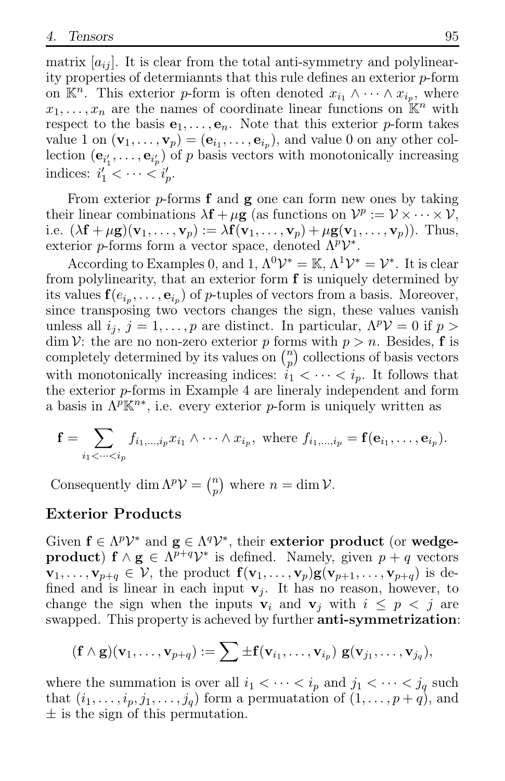matrix  $[a_{ij}]$ . It is clear from the total anti-symmetry and polylinearity properties of determiannts that this rule defines an exterior p-form on  $\mathbb{K}^n$ . This exterior p-form is often denoted  $x_{i_1} \wedge \cdots \wedge x_{i_p}$ , where  $x_1, \ldots, x_n$  are the names of coordinate linear functions on  $\mathbb{K}^n$  with respect to the basis  $e_1, \ldots, e_n$ . Note that this exterior p-form takes value 1 on  $(\mathbf{v}_1, \dots, \mathbf{v}_p) = (\mathbf{e}_{i_1}, \dots, \mathbf{e}_{i_p}),$  and value 0 on any other collection  $(\mathbf{e}_{i'_1}, \ldots, \mathbf{e}_{i'_p})$  of p basis vectors with monotonically increasing indices:  $i'_1 < \cdots < i'_p$ .

From exterior  $p$ -forms  $f$  and  $g$  one can form new ones by taking their linear combinations  $\lambda \mathbf{f} + \mu \mathbf{g}$  (as functions on  $\mathcal{V}^p := \mathcal{V} \times \cdots \times \mathcal{V}$ , i.e.  $(\lambda \mathbf{f} + \mu \mathbf{g})(\mathbf{v}_1, \dots, \mathbf{v}_p) := \lambda \mathbf{f}(\mathbf{v}_1, \dots, \mathbf{v}_p) + \mu \mathbf{g}(\mathbf{v}_1, \dots, \mathbf{v}_p)).$  Thus, exterior p-forms form a vector space, denoted  $\Lambda^p {\cal V}^*$ .

According to Examples 0, and 1,  $\Lambda^0 \mathcal{V}^* = \mathbb{K}, \Lambda^1 \mathcal{V}^* = \mathcal{V}^*$ . It is clear from polylinearity, that an exterior form f is uniquely determined by its values  $f(e_{i_p}, \ldots, e_{i_p})$  of *p*-tuples of vectors from a basis. Moreover, since transposing two vectors changes the sign, these values vanish unless all  $i_j$ ,  $j = 1, ..., p$  are distinct. In particular,  $\Lambda^p V = 0$  if  $p >$  $\dim \mathcal{V}$ : the are no non-zero exterior p forms with  $p > n$ . Besides, f is completely determined by its values on  $\binom{n}{n}$  $\binom{n}{p}$  collections of basis vectors with monotonically increasing indices:  $i_1 < \cdots < i_p$ . It follows that the exterior p-forms in Example 4 are lineraly independent and form a basis in  $\Lambda^p \mathbb{K}^{n*}$ , i.e. every exterior p-form is uniquely written as

$$
\mathbf{f} = \sum_{i_1 < \dots < i_p} f_{i_1, \dots, i_p} x_{i_1} \wedge \dots \wedge x_{i_p}, \text{ where } f_{i_1, \dots, i_p} = \mathbf{f}(\mathbf{e}_{i_1}, \dots, \mathbf{e}_{i_p}).
$$

Consequently dim  $\Lambda^p \mathcal{V} = \binom{n}{p}$  $\binom{n}{p}$  where  $n = \dim \mathcal{V}$ .

### Exterior Products

Given  $\mathbf{f} \in \Lambda^p \mathcal{V}^*$  and  $\mathbf{g} \in \Lambda^q \mathcal{V}^*$ , their exterior product (or wedgeproduct)  $f \wedge g \in \Lambda^{p+q} \mathcal{V}^*$  is defined. Namely, given  $p+q$  vectors  $\mathbf{v}_1,\ldots,\mathbf{v}_{p+q} \in \mathcal{V}$ , the product  $\mathbf{f}(\mathbf{v}_1,\ldots,\mathbf{v}_p)\mathbf{g}(\mathbf{v}_{p+1},\ldots,\mathbf{v}_{p+q})$  is defined and is linear in each input  $v_i$ . It has no reason, however, to change the sign when the inputs  $v_i$  and  $v_j$  with  $i \leq p \leq j$  are swapped. This property is acheved by further **anti-symmetrization**:

$$
(\mathbf{f} \wedge \mathbf{g})(\mathbf{v}_1,\ldots,\mathbf{v}_{p+q}) := \sum \pm \mathbf{f}(\mathbf{v}_{i_1},\ldots,\mathbf{v}_{i_p}) \; \mathbf{g}(\mathbf{v}_{j_1},\ldots,\mathbf{v}_{j_q}),
$$

where the summation is over all  $i_1 < \cdots < i_p$  and  $j_1 < \cdots < j_q$  such that  $(i_1, \ldots, i_p, j_1, \ldots, j_q)$  form a permuatation of  $(1, \ldots, p+q)$ , and  $\pm$  is the sign of this permutation.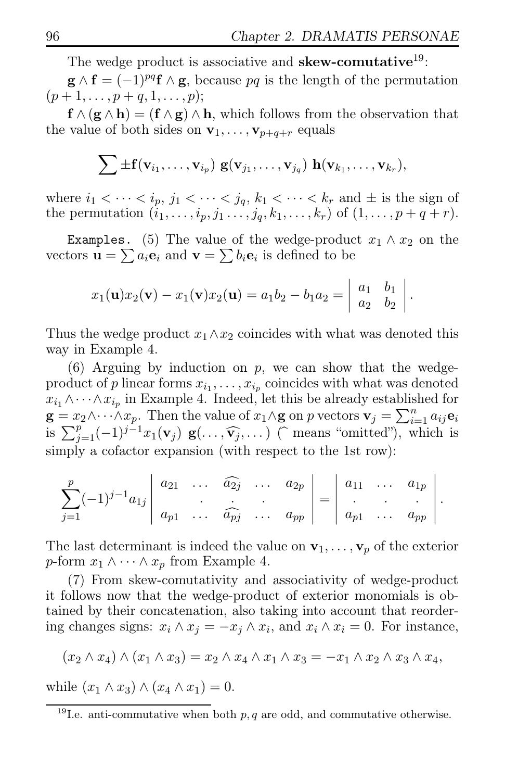The wedge product is associative and **skew-comutative**<sup>19</sup>:

 $\mathbf{g} \wedge \mathbf{f} = (-1)^{pq} \mathbf{f} \wedge \mathbf{g}$ , because pq is the length of the permutation  $(p+1,\ldots,p+q,1,\ldots,p);$ 

 $f \wedge (g \wedge h) = (f \wedge g) \wedge h$ , which follows from the observation that the value of both sides on  $\mathbf{v}_1, \ldots, \mathbf{v}_{p+q+r}$  equals

$$
\sum \pm \mathbf{f}(\mathbf{v}_{i_1},\ldots,\mathbf{v}_{i_p}) \mathbf{g}(\mathbf{v}_{j_1},\ldots,\mathbf{v}_{j_q}) \mathbf{h}(\mathbf{v}_{k_1},\ldots,\mathbf{v}_{k_r}),
$$

where  $i_1 < \cdots < i_p$ ,  $j_1 < \cdots < j_q$ ,  $k_1 < \cdots < k_r$  and  $\pm$  is the sign of the permutation  $(i_1, ..., i_p, j_1 ..., j_q, k_1, ..., k_r)$  of  $(1, ..., p + q + r)$ .

Examples. (5) The value of the wedge-product  $x_1 \wedge x_2$  on the vectors  $\mathbf{u} = \sum a_i \mathbf{e}_i$  and  $\mathbf{v} = \sum b_i \mathbf{e}_i$  is defined to be

$$
x_1(\mathbf{u})x_2(\mathbf{v}) - x_1(\mathbf{v})x_2(\mathbf{u}) = a_1b_2 - b_1a_2 = \begin{vmatrix} a_1 & b_1 \\ a_2 & b_2 \end{vmatrix}.
$$

Thus the wedge product  $x_1 \wedge x_2$  coincides with what was denoted this way in Example 4.

 $(6)$  Arguing by induction on p, we can show that the wedgeproduct of p linear forms  $x_{i_1}, \ldots, x_{i_p}$  coincides with what was denoted  $x_{i_1} \wedge \cdots \wedge x_{i_p}$  in Example 4. Indeed, let this be already established for  $\mathbf{g} = x_2 \wedge \cdots \wedge x_p$ . Then the value of  $x_1 \wedge \mathbf{g}$  on p vectors  $\mathbf{v}_j = \sum_{i=1}^n a_{ij} \mathbf{e}_i$ is  $\sum_{j=1}^p (-1)^{j-1} x_1(\mathbf{v}_j) \mathbf{g}(\ldots, \widehat{\mathbf{v}_j}, \ldots)$  (means "omitted"), which is simply a cofactor expansion (with respect to the 1st row):

$$
\sum_{j=1}^p (-1)^{j-1} a_{1j} \begin{vmatrix} a_{21} & \dots & a_{2j} & \dots & a_{2p} \\ a_{p1} & \dots & a_{pj} & \dots & a_{pp} \end{vmatrix} = \begin{vmatrix} a_{11} & \dots & a_{1p} \\ \vdots & \vdots & \ddots & \vdots \\ a_{p1} & \dots & a_{pp} \end{vmatrix}.
$$

The last determinant is indeed the value on  $\mathbf{v}_1, \ldots, \mathbf{v}_p$  of the exterior p-form  $x_1 \wedge \cdots \wedge x_p$  from Example 4.

(7) From skew-comutativity and associativity of wedge-product it follows now that the wedge-product of exterior monomials is obtained by their concatenation, also taking into account that reordering changes signs:  $x_i \wedge x_j = -x_j \wedge x_i$ , and  $x_i \wedge x_i = 0$ . For instance,

$$
(x_2 \wedge x_4) \wedge (x_1 \wedge x_3) = x_2 \wedge x_4 \wedge x_1 \wedge x_3 = -x_1 \wedge x_2 \wedge x_3 \wedge x_4,
$$

while  $(x_1 \wedge x_3) \wedge (x_4 \wedge x_1) = 0.$ 

<sup>&</sup>lt;sup>19</sup>I.e. anti-commutative when both  $p, q$  are odd, and commutative otherwise.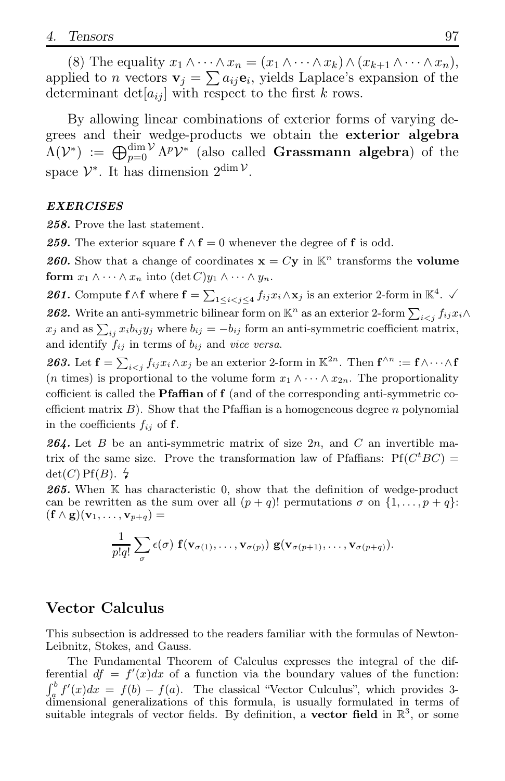(8) The equality  $x_1 \wedge \cdots \wedge x_n = (x_1 \wedge \cdots \wedge x_k) \wedge (x_{k+1} \wedge \cdots \wedge x_n),$ applied to *n* vectors  $\mathbf{v}_j = \sum a_{ij} \mathbf{e}_i$ , yields Laplace's expansion of the determinant det $[a_{ij}]$  with respect to the first k rows.

By allowing linear combinations of exterior forms of varying degrees and their wedge-products we obtain the exterior algebra  $\Lambda(\mathcal{V}^*) := \bigoplus_{p=0}^{\dim \mathcal{V}} \Lambda^p \mathcal{V}^*$  (also called Grassmann algebra) of the space  $\mathcal{V}^*$ . It has dimension  $2^{\dim \mathcal{V}}$ .

#### *EXERCISES*

*258.* Prove the last statement.

259. The exterior square  $f \wedge f = 0$  whenever the degree of f is odd.

**260.** Show that a change of coordinates  $\mathbf{x} = C\mathbf{y}$  in  $\mathbb{K}^n$  transforms the **volume** form  $x_1 \wedge \cdots \wedge x_n$  into  $(\det C)y_1 \wedge \cdots \wedge y_n$ .

261. Compute  $f \wedge f$  where  $f = \sum_{1 \leq i < j \leq 4} f_{ij} x_i \wedge x_j$  is an exterior 2-form in  $\mathbb{K}^4$ .  $\checkmark$ 262. Write an anti-symmetric bilinear form on  $\mathbb{K}^n$  as an exterior 2-form  $\sum_{i < j} f_{ij} x_i \wedge$  $x_j$  and as  $\sum_{ij} x_i b_{ij} y_j$  where  $b_{ij} = -b_{ij}$  form an anti-symmetric coefficient matrix, and identify  $f_{ij}$  in terms of  $b_{ij}$  and vice versa.

263. Let  $\mathbf{f} = \sum_{i < j} f_{ij} x_i \wedge x_j$  be an exterior 2-form in  $\mathbb{K}^{2n}$ . Then  $\mathbf{f}^{\wedge n} := \mathbf{f} \wedge \cdots \wedge \mathbf{f}$ (*n* times) is proportional to the volume form  $x_1 \wedge \cdots \wedge x_{2n}$ . The proportionality cofficient is called the **Pfaffian** of  $f$  (and of the corresponding anti-symmetric coefficient matrix  $B$ ). Show that the Pfaffian is a homogeneous degree n polynomial in the coefficients  $f_{ij}$  of f.

*264.* Let B be an anti-symmetric matrix of size 2n, and C an invertible matrix of the same size. Prove the transformation law of Pfaffians:  $Pf(C^tBC)$  =  $\det(C)$  Pf(B).  $\sharp$ 

265. When K has characteristic 0, show that the definition of wedge-product can be rewritten as the sum over all  $(p+q)!$  permutations  $\sigma$  on  $\{1,\ldots,p+q\}$ :  $(\mathbf{f} \wedge \mathbf{g})(\mathbf{v}_1, \ldots, \mathbf{v}_{p+q}) =$ 

$$
\frac{1}{p!q!}\sum_{\sigma}\epsilon(\sigma)\ {\bf f}({\bf v}_{\sigma(1)},\ldots,{\bf v}_{\sigma(p)})\ {\bf g}({\bf v}_{\sigma(p+1)},\ldots,{\bf v}_{\sigma(p+q)}).
$$

### Vector Calculus

This subsection is addressed to the readers familiar with the formulas of Newton-Leibnitz, Stokes, and Gauss.

The Fundamental Theorem of Calculus expresses the integral of the differential  $df = f'(x)dx$  of a function via the boundary values of the function:  $\int_a^b f'(x)dx = f(b) - f(a)$ . The classical "Vector Culculus", which provides 3-<br>dimensional generalizations of this formula, is usually formulated in terms of suitable integrals of vector fields. By definition, a **vector field** in  $\mathbb{R}^3$ , or some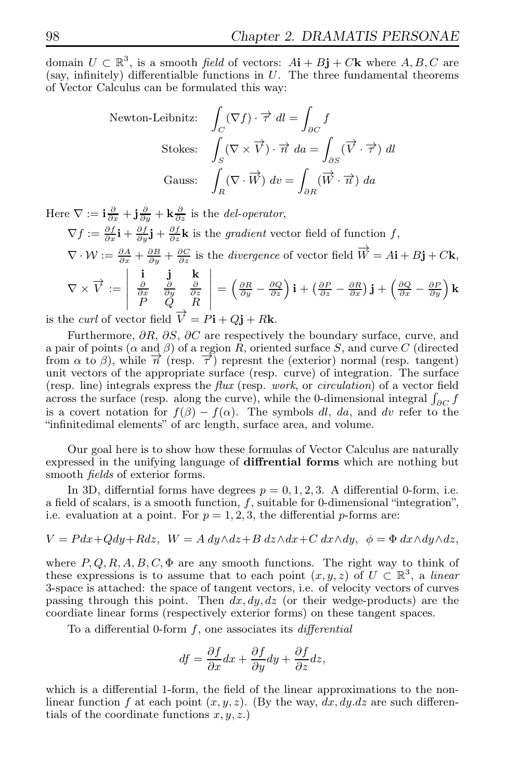domain  $U \subset \mathbb{R}^3$ , is a smooth field of vectors:  $A\mathbf{i} + B\mathbf{j} + C\mathbf{k}$  where  $A, B, C$  are (say, infinitely) differentialble functions in  $U$ . The three fundamental theorems of Vector Calculus can be formulated this way:

Newton-Leibnitz: 
$$
\int_C (\nabla f) \cdot \vec{\tau} \, dl = \int_{\partial C} f
$$
  
Stokes: 
$$
\int_S (\nabla \times \vec{V}) \cdot \vec{n} \, da = \int_{\partial S} (\vec{V} \cdot \vec{\tau}) \, dl
$$
  
Gauss: 
$$
\int_R (\nabla \cdot \vec{W}) \, dv = \int_{\partial R} (\vec{W} \cdot \vec{n}) \, da
$$

Here  $\nabla := \mathbf{i}\frac{\partial}{\partial x} + \mathbf{j}\frac{\partial}{\partial y} + \mathbf{k}\frac{\partial}{\partial z}$  is the *del-operator*,  $\nabla f := \frac{\partial f}{\partial x}\mathbf{i} + \frac{\partial f}{\partial y}\mathbf{j} + \frac{\partial f}{\partial z}\mathbf{k}$  is the *gradient* vector field of function f,  $\nabla \cdot \mathcal{W} := \frac{\partial A}{\partial x} + \frac{\partial B}{\partial y} + \frac{\partial C}{\partial z}$  is the *divergence* of vector field  $\overrightarrow{W} = A\mathbf{i} + B\mathbf{j} + C\mathbf{k}$ ,  $\nabla \times \vec{V} :=$   $\begin{array}{ccccc} \mathbf{i} & \mathbf{j} & \mathbf{k} \\ \frac{\partial}{\partial x} & \frac{\partial}{\partial y} & \frac{\partial}{\partial z} \\ P & Q & R \end{array}$   $=\left(\frac{\partial R}{\partial y} - \frac{\partial Q}{\partial z}\right)\mathbf{i} + \left(\frac{\partial P}{\partial z} - \frac{\partial R}{\partial x}\right)\mathbf{j} + \left(\frac{\partial Q}{\partial x} - \frac{\partial P}{\partial y}\right)\mathbf{k}$ 

is the *curl* of vector field  $\vec{V} = P\mathbf{i} + Q\mathbf{j} + R\mathbf{k}$ .

Furthermore,  $\partial R$ ,  $\partial S$ ,  $\partial C$  are respectively the boundary surface, curve, and a pair of points ( $\alpha$  and  $\beta$ ) of a region R, oriented surface S, and curve C (directed from  $\alpha$  to  $\beta$ ), while  $\overrightarrow{n}$  (resp.  $\overrightarrow{\tau}$ ) represnt the (exterior) normal (resp. tangent) unit vectors of the appropriate surface (resp. curve) of integration. The surface (resp. line) integrals express the flux (resp. work, or circulation) of a vector field across the surface (resp. along the curve), while the 0-dimensional integral  $\int_{\partial C} f$ is a covert notation for  $f(\beta) - f(\alpha)$ . The symbols dl, da, and dv refer to the "infinitedimal elements" of arc length, surface area, and volume.

Our goal here is to show how these formulas of Vector Calculus are naturally expressed in the unifying language of diffrential forms which are nothing but smooth *fields* of exterior forms.

In 3D, differntial forms have degrees  $p = 0, 1, 2, 3$ . A differential 0-form, i.e. a field of scalars, is a smooth function,  $f$ , suitable for 0-dimensional "integration", i.e. evaluation at a point. For  $p = 1, 2, 3$ , the differential p-forms are:

$$
V = Pdx + Qdy + Rdz, \quad W = A\ dy \wedge dz + B\ dz \wedge dx + C\ dx \wedge dy, \quad \phi = \Phi\ dx \wedge dy \wedge dz,
$$

where  $P, Q, R, A, B, C, \Phi$  are any smooth functions. The right way to think of these expressions is to assume that to each point  $(x, y, z)$  of  $U \subset \mathbb{R}^3$ , a linear 3-space is attached: the space of tangent vectors, i.e. of velocity vectors of curves passing through this point. Then  $dx, dy, dz$  (or their wedge-products) are the coordiate linear forms (respectively exterior forms) on these tangent spaces.

To a differential 0-form  $f$ , one associates its *differential* 

$$
df = \frac{\partial f}{\partial x}dx + \frac{\partial f}{\partial y}dy + \frac{\partial f}{\partial z}dz,
$$

which is a differential 1-form, the field of the linear approximations to the nonlinear function f at each point  $(x, y, z)$ . (By the way, dx, dy, dz are such differentials of the coordinate functions  $x, y, z$ .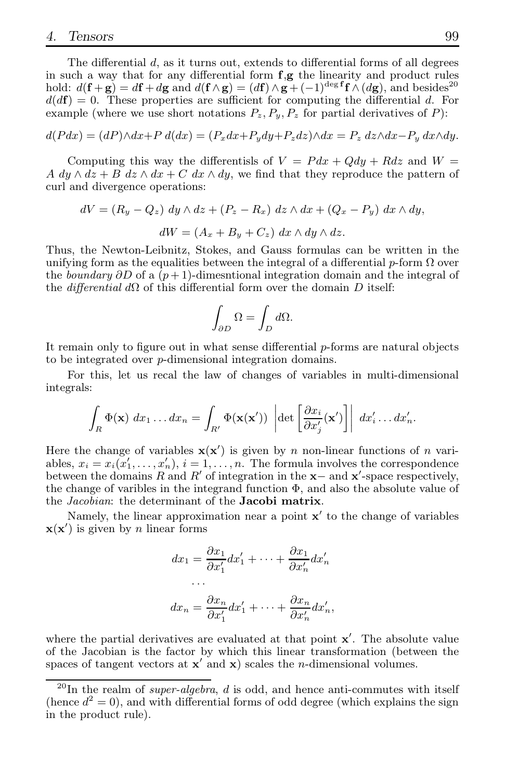The differential  $d$ , as it turns out, extends to differential forms of all degrees in such a way that for any differential form  $f, g$  the linearity and product rules hold:  $d(\mathbf{f} + \mathbf{g}) = d\mathbf{f} + d\mathbf{g}$  and  $d(\mathbf{f} \wedge \mathbf{g}) = (d\mathbf{f}) \wedge \mathbf{g} + (-1)^{\deg \mathbf{f}} \mathbf{f} \wedge (d\mathbf{g})$ , and besides<sup>20</sup>  $d(d\mathbf{f}) = 0$ . These properties are sufficient for computing the differential d. For example (where we use short notations  $P_z$ ,  $P_y$ ,  $P_z$  for partial derivatives of P):

$$
d(Pdx) = (dP)\wedge dx + P d(dx) = (P_x dx + P_y dy + P_z dz)\wedge dx = P_z dz \wedge dx - P_y dx \wedge dy.
$$

Computing this way the differentisls of  $V = P dx + Q dy + R dz$  and  $W =$ A dy  $\wedge$  dz + B dz  $\wedge$  dx + C dx  $\wedge$  dy, we find that they reproduce the pattern of curl and divergence operations:

$$
dV = (R_y - Q_z) dy \wedge dz + (P_z - R_x) dz \wedge dx + (Q_x - P_y) dx \wedge dy,
$$
  

$$
dW = (A_x + B_y + C_z) dx \wedge dy \wedge dz.
$$

Thus, the Newton-Leibnitz, Stokes, and Gauss formulas can be written in the unifying form as the equalities between the integral of a differential p-form  $\Omega$  over the boundary  $\partial D$  of a  $(p+1)$ -dimesntional integration domain and the integral of the *differential*  $d\Omega$  of this differential form over the domain D itself:

$$
\int_{\partial D} \Omega = \int_D d\Omega.
$$

It remain only to figure out in what sense differential p-forms are natural objects to be integrated over p-dimensional integration domains.

For this, let us recal the law of changes of variables in multi-dimensional integrals:

$$
\int_R \Phi(\mathbf{x}) dx_1 \dots dx_n = \int_{R'} \Phi(\mathbf{x}(\mathbf{x}')) \left| \det \left[ \frac{\partial x_i}{\partial x'_j}(\mathbf{x}') \right] \right| dx'_i \dots dx'_n.
$$

Here the change of variables  $\mathbf{x}(\mathbf{x}')$  is given by n non-linear functions of n variables,  $x_i = x_i(x'_1, \ldots, x'_n), i = 1, \ldots, n$ . The formula involves the correspondence between the domains R and R' of integration in the  $x-$  and  $x'$ -space respectively, the change of varibles in the integrand function  $\Phi$ , and also the absolute value of the *Jacobian*: the determinant of the **Jacobi matrix**.

Namely, the linear approximation near a point  $x'$  to the change of variables  $\mathbf{x}(\mathbf{x}')$  is given by *n* linear forms

$$
dx_1 = \frac{\partial x_1}{\partial x'_1} dx'_1 + \dots + \frac{\partial x_1}{\partial x'_n} dx'_n
$$

$$
\dots
$$

$$
dx_n = \frac{\partial x_n}{\partial x'_1} dx'_1 + \dots + \frac{\partial x_n}{\partial x'_n} dx'_n,
$$

where the partial derivatives are evaluated at that point  $x'$ . The absolute value of the Jacobian is the factor by which this linear transformation (between the spaces of tangent vectors at  $x'$  and  $x$ ) scales the *n*-dimensional volumes.

 $^{20}$ In the realm of *super-algebra*, d is odd, and hence anti-commutes with itself (hence  $d^2 = 0$ ), and with differential forms of odd degree (which explains the sign in the product rule).